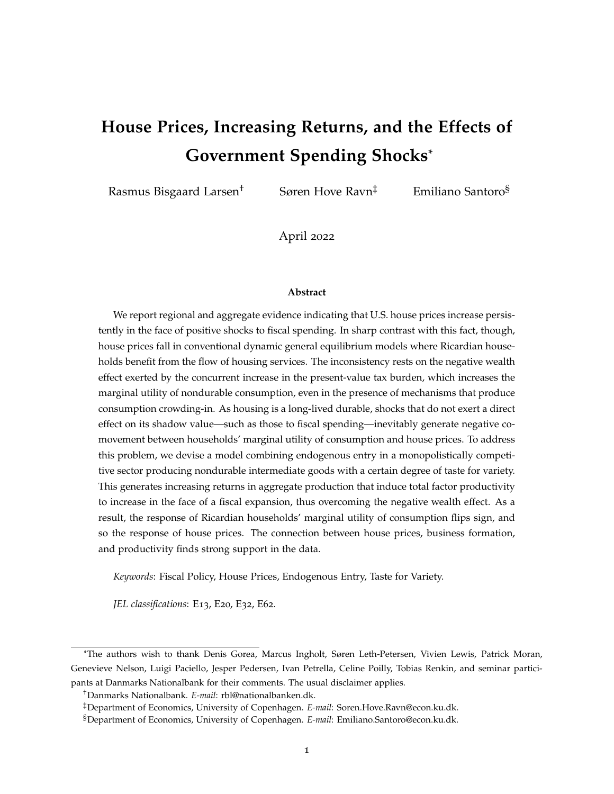# **House Prices, Increasing Returns, and the Effects of Government Spending Shocks**\*

Rasmus Bisgaard Larsen<sup>†</sup> Søren Hove Ravn<sup>‡</sup> Emiliano Santoro<sup>§</sup>

April 2022

#### **Abstract**

We report regional and aggregate evidence indicating that U.S. house prices increase persistently in the face of positive shocks to fiscal spending. In sharp contrast with this fact, though, house prices fall in conventional dynamic general equilibrium models where Ricardian households benefit from the flow of housing services. The inconsistency rests on the negative wealth effect exerted by the concurrent increase in the present-value tax burden, which increases the marginal utility of nondurable consumption, even in the presence of mechanisms that produce consumption crowding-in. As housing is a long-lived durable, shocks that do not exert a direct effect on its shadow value—such as those to fiscal spending—inevitably generate negative comovement between households' marginal utility of consumption and house prices. To address this problem, we devise a model combining endogenous entry in a monopolistically competitive sector producing nondurable intermediate goods with a certain degree of taste for variety. This generates increasing returns in aggregate production that induce total factor productivity to increase in the face of a fiscal expansion, thus overcoming the negative wealth effect. As a result, the response of Ricardian households' marginal utility of consumption flips sign, and so the response of house prices. The connection between house prices, business formation, and productivity finds strong support in the data.

*Keywords*: Fiscal Policy, House Prices, Endogenous Entry, Taste for Variety.

*JEL classifications*: E13, E20, E32, E62.

<sup>\*</sup>The authors wish to thank Denis Gorea, Marcus Ingholt, Søren Leth-Petersen, Vivien Lewis, Patrick Moran, Genevieve Nelson, Luigi Paciello, Jesper Pedersen, Ivan Petrella, Celine Poilly, Tobias Renkin, and seminar participants at Danmarks Nationalbank for their comments. The usual disclaimer applies.

<sup>†</sup>Danmarks Nationalbank. *E-mail*: rbl@nationalbanken.dk.

<sup>‡</sup>Department of Economics, University of Copenhagen. *E-mail*: Soren.Hove.Ravn@econ.ku.dk.

<sup>§</sup>Department of Economics, University of Copenhagen. *E-mail*: Emiliano.Santoro@econ.ku.dk.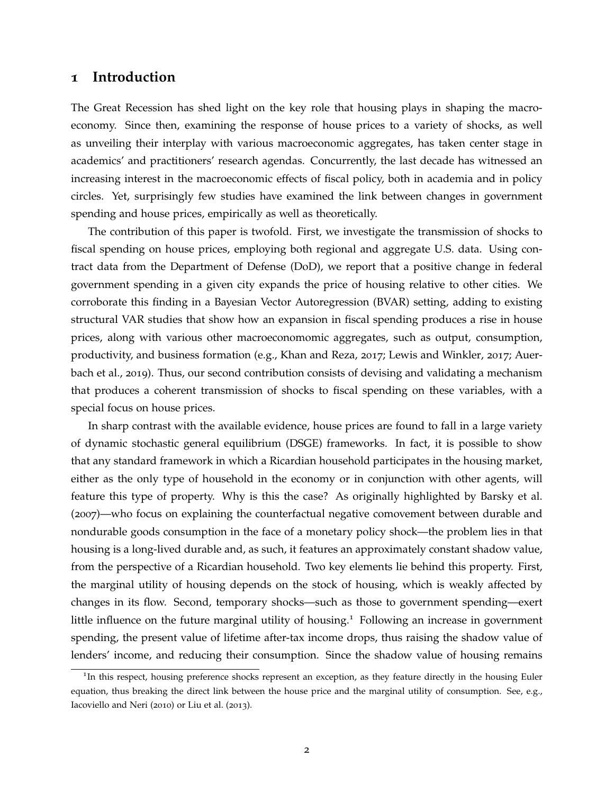# **1 Introduction**

The Great Recession has shed light on the key role that housing plays in shaping the macroeconomy. Since then, examining the response of house prices to a variety of shocks, as well as unveiling their interplay with various macroeconomic aggregates, has taken center stage in academics' and practitioners' research agendas. Concurrently, the last decade has witnessed an increasing interest in the macroeconomic effects of fiscal policy, both in academia and in policy circles. Yet, surprisingly few studies have examined the link between changes in government spending and house prices, empirically as well as theoretically.

The contribution of this paper is twofold. First, we investigate the transmission of shocks to fiscal spending on house prices, employing both regional and aggregate U.S. data. Using contract data from the Department of Defense (DoD), we report that a positive change in federal government spending in a given city expands the price of housing relative to other cities. We corroborate this finding in a Bayesian Vector Autoregression (BVAR) setting, adding to existing structural VAR studies that show how an expansion in fiscal spending produces a rise in house prices, along with various other macroeconomomic aggregates, such as output, consumption, productivity, and business formation (e.g., [Khan and Reza,](#page-37-0) [2017](#page-37-0); [Lewis and Winkler,](#page-37-1) [2017](#page-37-1); [Auer](#page-34-0)[bach et al.,](#page-34-0) [2019](#page-34-0)). Thus, our second contribution consists of devising and validating a mechanism that produces a coherent transmission of shocks to fiscal spending on these variables, with a special focus on house prices.

In sharp contrast with the available evidence, house prices are found to fall in a large variety of dynamic stochastic general equilibrium (DSGE) frameworks. In fact, it is possible to show that any standard framework in which a Ricardian household participates in the housing market, either as the only type of household in the economy or in conjunction with other agents, will feature this type of property. Why is this the case? As originally highlighted by [Barsky et al.](#page-34-1) ([2007](#page-34-1))—who focus on explaining the counterfactual negative comovement between durable and nondurable goods consumption in the face of a monetary policy shock—the problem lies in that housing is a long-lived durable and, as such, it features an approximately constant shadow value, from the perspective of a Ricardian household. Two key elements lie behind this property. First, the marginal utility of housing depends on the stock of housing, which is weakly affected by changes in its flow. Second, temporary shocks—such as those to government spending—exert little influence on the future marginal utility of housing.<sup>[1](#page-1-0)</sup> Following an increase in government spending, the present value of lifetime after-tax income drops, thus raising the shadow value of lenders' income, and reducing their consumption. Since the shadow value of housing remains

<span id="page-1-0"></span><sup>&</sup>lt;sup>1</sup>In this respect, housing preference shocks represent an exception, as they feature directly in the housing Euler equation, thus breaking the direct link between the house price and the marginal utility of consumption. See, e.g., [Iacoviello and Neri](#page-37-2) ([2010](#page-37-2)) or [Liu et al.](#page-37-3) ([2013](#page-37-3)).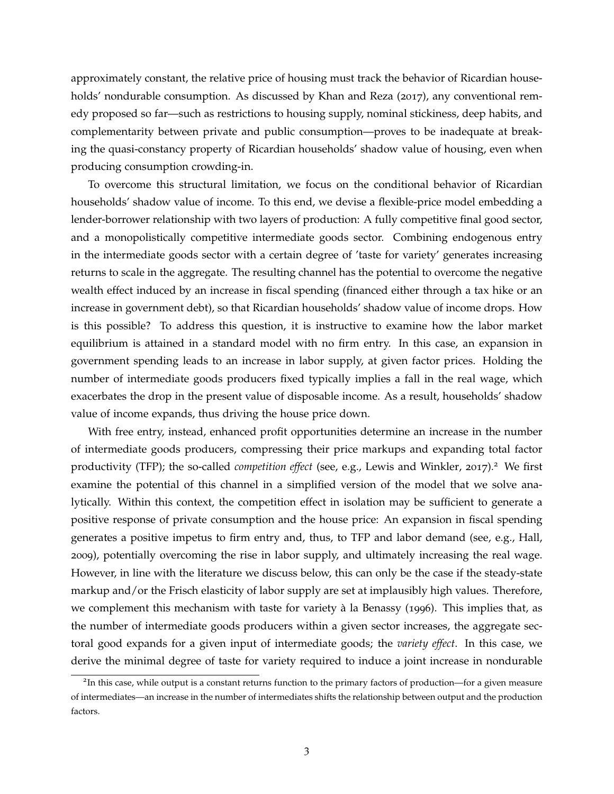approximately constant, the relative price of housing must track the behavior of Ricardian house-holds' nondurable consumption. As discussed by [Khan and Reza](#page-37-0) ([2017](#page-37-0)), any conventional remedy proposed so far—such as restrictions to housing supply, nominal stickiness, deep habits, and complementarity between private and public consumption—proves to be inadequate at breaking the quasi-constancy property of Ricardian households' shadow value of housing, even when producing consumption crowding-in.

To overcome this structural limitation, we focus on the conditional behavior of Ricardian households' shadow value of income. To this end, we devise a flexible-price model embedding a lender-borrower relationship with two layers of production: A fully competitive final good sector, and a monopolistically competitive intermediate goods sector. Combining endogenous entry in the intermediate goods sector with a certain degree of 'taste for variety' generates increasing returns to scale in the aggregate. The resulting channel has the potential to overcome the negative wealth effect induced by an increase in fiscal spending (financed either through a tax hike or an increase in government debt), so that Ricardian households' shadow value of income drops. How is this possible? To address this question, it is instructive to examine how the labor market equilibrium is attained in a standard model with no firm entry. In this case, an expansion in government spending leads to an increase in labor supply, at given factor prices. Holding the number of intermediate goods producers fixed typically implies a fall in the real wage, which exacerbates the drop in the present value of disposable income. As a result, households' shadow value of income expands, thus driving the house price down.

With free entry, instead, enhanced profit opportunities determine an increase in the number of intermediate goods producers, compressing their price markups and expanding total factor productivity (TFP); the so-called *competition effect* (see, e.g., [Lewis and Winkler,](#page-37-1) [2017](#page-37-1)).<sup>[2](#page-2-0)</sup> We first examine the potential of this channel in a simplified version of the model that we solve analytically. Within this context, the competition effect in isolation may be sufficient to generate a positive response of private consumption and the house price: An expansion in fiscal spending generates a positive impetus to firm entry and, thus, to TFP and labor demand (see, e.g., [Hall,](#page-36-0) [2009](#page-36-0)), potentially overcoming the rise in labor supply, and ultimately increasing the real wage. However, in line with the literature we discuss below, this can only be the case if the steady-state markup and/or the Frisch elasticity of labor supply are set at implausibly high values. Therefore, we complement this mechanism with taste for variety à la [Benassy](#page-34-2) ([1996](#page-34-2)). This implies that, as the number of intermediate goods producers within a given sector increases, the aggregate sectoral good expands for a given input of intermediate goods; the *variety effect*. In this case, we derive the minimal degree of taste for variety required to induce a joint increase in nondurable

<span id="page-2-0"></span><sup>&</sup>lt;sup>2</sup>In this case, while output is a constant returns function to the primary factors of production—for a given measure of intermediates—an increase in the number of intermediates shifts the relationship between output and the production factors.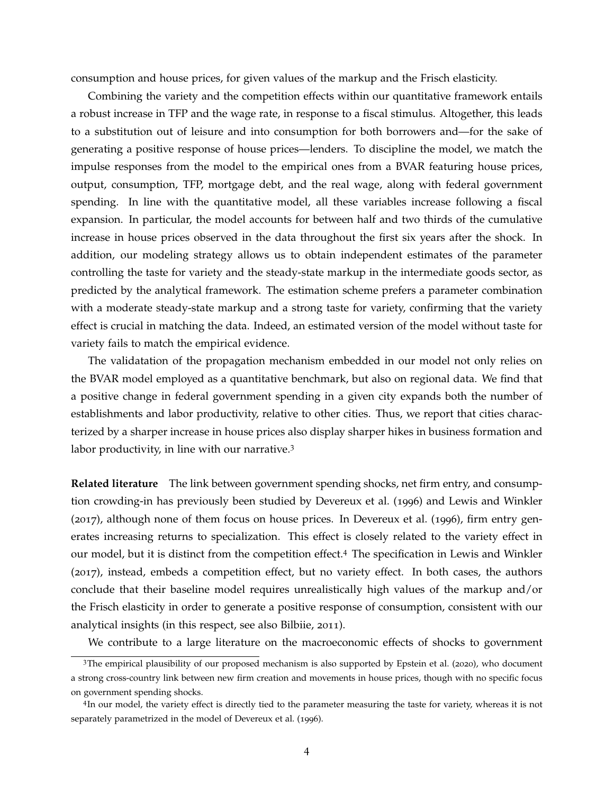consumption and house prices, for given values of the markup and the Frisch elasticity.

Combining the variety and the competition effects within our quantitative framework entails a robust increase in TFP and the wage rate, in response to a fiscal stimulus. Altogether, this leads to a substitution out of leisure and into consumption for both borrowers and—for the sake of generating a positive response of house prices—lenders. To discipline the model, we match the impulse responses from the model to the empirical ones from a BVAR featuring house prices, output, consumption, TFP, mortgage debt, and the real wage, along with federal government spending. In line with the quantitative model, all these variables increase following a fiscal expansion. In particular, the model accounts for between half and two thirds of the cumulative increase in house prices observed in the data throughout the first six years after the shock. In addition, our modeling strategy allows us to obtain independent estimates of the parameter controlling the taste for variety and the steady-state markup in the intermediate goods sector, as predicted by the analytical framework. The estimation scheme prefers a parameter combination with a moderate steady-state markup and a strong taste for variety, confirming that the variety effect is crucial in matching the data. Indeed, an estimated version of the model without taste for variety fails to match the empirical evidence.

The validatation of the propagation mechanism embedded in our model not only relies on the BVAR model employed as a quantitative benchmark, but also on regional data. We find that a positive change in federal government spending in a given city expands both the number of establishments and labor productivity, relative to other cities. Thus, we report that cities characterized by a sharper increase in house prices also display sharper hikes in business formation and labor productivity, in line with our narrative. $3$ 

**Related literature** The link between government spending shocks, net firm entry, and consumption crowding-in has previously been studied by [Devereux et al.](#page-35-0) ([1996](#page-35-0)) and [Lewis and Winkler](#page-37-1) ([2017](#page-37-1)), although none of them focus on house prices. In [Devereux et al.](#page-35-0) ([1996](#page-35-0)), firm entry generates increasing returns to specialization. This effect is closely related to the variety effect in our model, but it is distinct from the competition effect.[4](#page-3-1) The specification in [Lewis and Winkler](#page-37-1) ([2017](#page-37-1)), instead, embeds a competition effect, but no variety effect. In both cases, the authors conclude that their baseline model requires unrealistically high values of the markup and/or the Frisch elasticity in order to generate a positive response of consumption, consistent with our analytical insights (in this respect, see also [Bilbiie,](#page-34-3) [2011](#page-34-3)).

<span id="page-3-0"></span>We contribute to a large literature on the macroeconomic effects of shocks to government

<sup>3</sup>The empirical plausibility of our proposed mechanism is also supported by [Epstein et al.](#page-36-1) ([2020](#page-36-1)), who document a strong cross-country link between new firm creation and movements in house prices, though with no specific focus on government spending shocks.

<span id="page-3-1"></span><sup>&</sup>lt;sup>4</sup>In our model, the variety effect is directly tied to the parameter measuring the taste for variety, whereas it is not separately parametrized in the model of [Devereux et al.](#page-35-0) ([1996](#page-35-0)).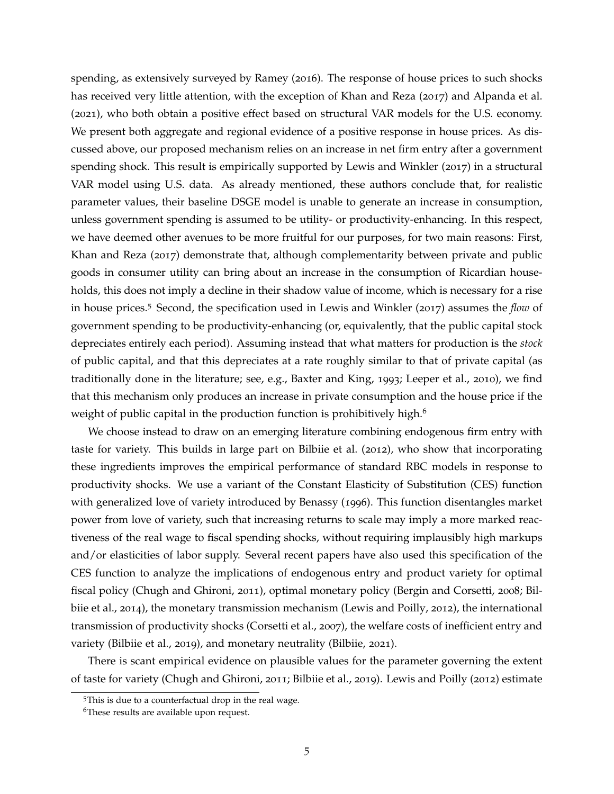spending, as extensively surveyed by [Ramey](#page-38-0) ([2016](#page-38-0)). The response of house prices to such shocks has received very little attention, with the exception of [Khan and Reza](#page-37-0) ([2017](#page-37-0)) and [Alpanda et al.](#page-34-4) ([2021](#page-34-4)), who both obtain a positive effect based on structural VAR models for the U.S. economy. We present both aggregate and regional evidence of a positive response in house prices. As discussed above, our proposed mechanism relies on an increase in net firm entry after a government spending shock. This result is empirically supported by [Lewis and Winkler](#page-37-1) ([2017](#page-37-1)) in a structural VAR model using U.S. data. As already mentioned, these authors conclude that, for realistic parameter values, their baseline DSGE model is unable to generate an increase in consumption, unless government spending is assumed to be utility- or productivity-enhancing. In this respect, we have deemed other avenues to be more fruitful for our purposes, for two main reasons: First, [Khan and Reza](#page-37-0) ([2017](#page-37-0)) demonstrate that, although complementarity between private and public goods in consumer utility can bring about an increase in the consumption of Ricardian households, this does not imply a decline in their shadow value of income, which is necessary for a rise in house prices.[5](#page-4-0) Second, the specification used in [Lewis and Winkler](#page-37-1) ([2017](#page-37-1)) assumes the *flow* of government spending to be productivity-enhancing (or, equivalently, that the public capital stock depreciates entirely each period). Assuming instead that what matters for production is the *stock* of public capital, and that this depreciates at a rate roughly similar to that of private capital (as traditionally done in the literature; see, e.g., [Baxter and King,](#page-34-5) [1993](#page-34-5); [Leeper et al.,](#page-37-4) [2010](#page-37-4)), we find that this mechanism only produces an increase in private consumption and the house price if the weight of public capital in the production function is prohibitively high.<sup>[6](#page-4-1)</sup>

We choose instead to draw on an emerging literature combining endogenous firm entry with taste for variety. This builds in large part on [Bilbiie et al.](#page-35-1) ([2012](#page-35-1)), who show that incorporating these ingredients improves the empirical performance of standard RBC models in response to productivity shocks. We use a variant of the Constant Elasticity of Substitution (CES) function with generalized love of variety introduced by [Benassy](#page-34-2) ([1996](#page-34-2)). This function disentangles market power from love of variety, such that increasing returns to scale may imply a more marked reactiveness of the real wage to fiscal spending shocks, without requiring implausibly high markups and/or elasticities of labor supply. Several recent papers have also used this specification of the CES function to analyze the implications of endogenous entry and product variety for optimal fiscal policy [\(Chugh and Ghironi,](#page-35-2) [2011](#page-35-2)), optimal monetary policy [\(Bergin and Corsetti,](#page-34-6) [2008](#page-34-6); [Bil](#page-35-3)[biie et al.,](#page-35-3) [2014](#page-35-3)), the monetary transmission mechanism [\(Lewis and Poilly,](#page-37-5) [2012](#page-37-5)), the international transmission of productivity shocks [\(Corsetti et al.,](#page-35-4) [2007](#page-35-4)), the welfare costs of inefficient entry and variety [\(Bilbiie et al.,](#page-35-5) [2019](#page-35-5)), and monetary neutrality [\(Bilbiie,](#page-34-7) [2021](#page-34-7)).

There is scant empirical evidence on plausible values for the parameter governing the extent of taste for variety [\(Chugh and Ghironi,](#page-35-2) [2011](#page-35-2); [Bilbiie et al.,](#page-35-5) [2019](#page-35-5)). [Lewis and Poilly](#page-37-5) ([2012](#page-37-5)) estimate

<span id="page-4-1"></span><span id="page-4-0"></span><sup>5</sup>This is due to a counterfactual drop in the real wage.

<sup>&</sup>lt;sup>6</sup>These results are available upon request.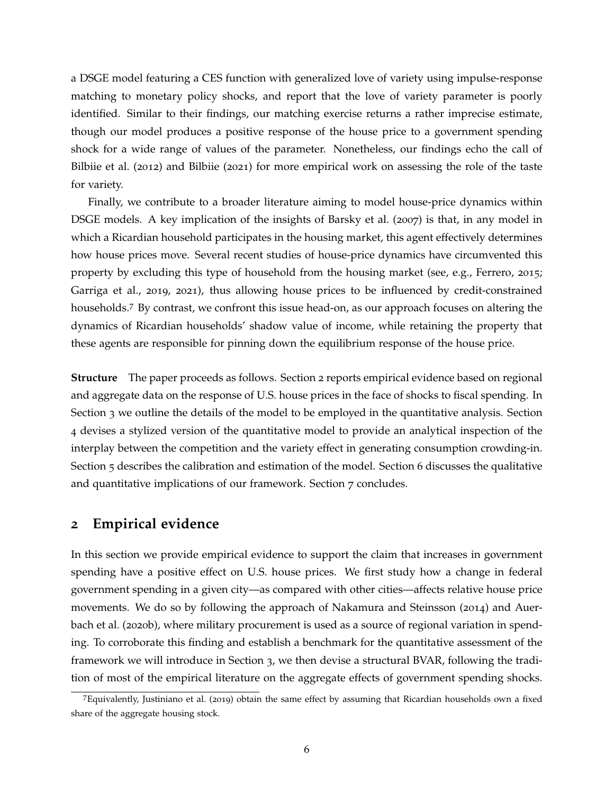a DSGE model featuring a CES function with generalized love of variety using impulse-response matching to monetary policy shocks, and report that the love of variety parameter is poorly identified. Similar to their findings, our matching exercise returns a rather imprecise estimate, though our model produces a positive response of the house price to a government spending shock for a wide range of values of the parameter. Nonetheless, our findings echo the call of [Bilbiie et al.](#page-35-1) ([2012](#page-35-1)) and [Bilbiie](#page-34-7) ([2021](#page-34-7)) for more empirical work on assessing the role of the taste for variety.

Finally, we contribute to a broader literature aiming to model house-price dynamics within DSGE models. A key implication of the insights of [Barsky et al.](#page-34-1) ([2007](#page-34-1)) is that, in any model in which a Ricardian household participates in the housing market, this agent effectively determines how house prices move. Several recent studies of house-price dynamics have circumvented this property by excluding this type of household from the housing market (see, e.g., [Ferrero,](#page-36-2) [2015](#page-36-2); [Garriga et al.,](#page-36-3) [2019](#page-36-3), [2021](#page-36-4)), thus allowing house prices to be influenced by credit-constrained households.[7](#page-5-0) By contrast, we confront this issue head-on, as our approach focuses on altering the dynamics of Ricardian households' shadow value of income, while retaining the property that these agents are responsible for pinning down the equilibrium response of the house price.

**Structure** The paper proceeds as follows. Section [2](#page-5-1) reports empirical evidence based on regional and aggregate data on the response of U.S. house prices in the face of shocks to fiscal spending. In Section [3](#page-15-0) we outline the details of the model to be employed in the quantitative analysis. Section [4](#page-21-0) devises a stylized version of the quantitative model to provide an analytical inspection of the interplay between the competition and the variety effect in generating consumption crowding-in. Section [5](#page-23-0) describes the calibration and estimation of the model. Section [6](#page-27-0) discusses the qualitative and quantitative implications of our framework. Section [7](#page-32-0) concludes.

# <span id="page-5-1"></span>**2 Empirical evidence**

In this section we provide empirical evidence to support the claim that increases in government spending have a positive effect on U.S. house prices. We first study how a change in federal government spending in a given city—as compared with other cities—affects relative house price movements. We do so by following the approach of [Nakamura and Steinsson](#page-37-6) ([2014](#page-37-6)) and [Auer](#page-34-8)[bach et al.](#page-34-8) ([2020](#page-34-8)b), where military procurement is used as a source of regional variation in spending. To corroborate this finding and establish a benchmark for the quantitative assessment of the framework we will introduce in Section [3](#page-15-0), we then devise a structural BVAR, following the tradition of most of the empirical literature on the aggregate effects of government spending shocks.

<span id="page-5-0"></span><sup>7</sup>Equivalently, [Justiniano et al.](#page-37-7) ([2019](#page-37-7)) obtain the same effect by assuming that Ricardian households own a fixed share of the aggregate housing stock.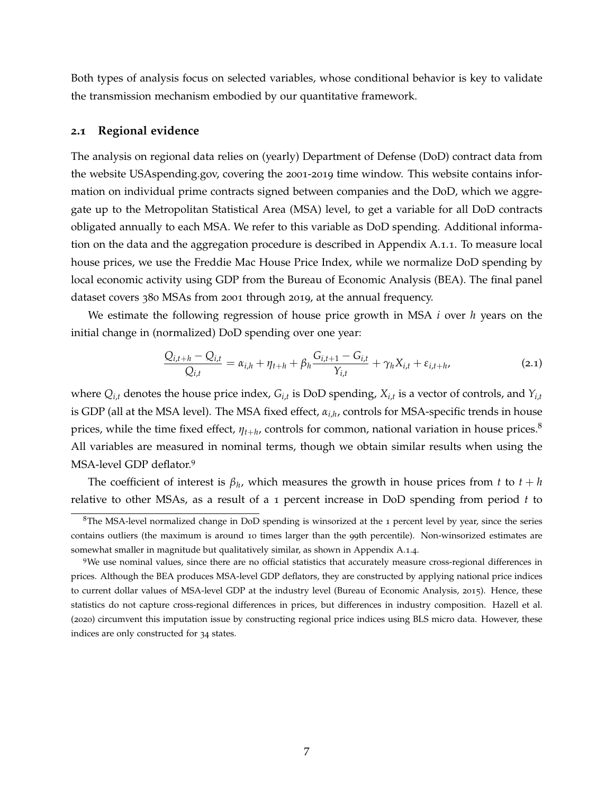Both types of analysis focus on selected variables, whose conditional behavior is key to validate the transmission mechanism embodied by our quantitative framework.

### <span id="page-6-3"></span>**2.1 Regional evidence**

The analysis on regional data relies on (yearly) Department of Defense (DoD) contract data from the website USAspending.gov, covering the 2001-2019 time window. This website contains information on individual prime contracts signed between companies and the DoD, which we aggregate up to the Metropolitan Statistical Area (MSA) level, to get a variable for all DoD contracts obligated annually to each MSA. We refer to this variable as DoD spending. Additional information on the data and the aggregation procedure is described in Appendix [A.](#page-39-0)1.1. To measure local house prices, we use the Freddie Mac House Price Index, while we normalize DoD spending by local economic activity using GDP from the Bureau of Economic Analysis (BEA). The final panel dataset covers 380 MSAs from 2001 through 2019, at the annual frequency.

We estimate the following regression of house price growth in MSA *i* over *h* years on the initial change in (normalized) DoD spending over one year:

<span id="page-6-2"></span>
$$
\frac{Q_{i,t+h} - Q_{i,t}}{Q_{i,t}} = \alpha_{i,h} + \eta_{t+h} + \beta_h \frac{G_{i,t+1} - G_{i,t}}{Y_{i,t}} + \gamma_h X_{i,t} + \varepsilon_{i,t+h},
$$
\n(2.1)

where  $Q_{i,t}$  denotes the house price index,  $G_{i,t}$  is DoD spending,  $X_{i,t}$  is a vector of controls, and  $Y_{i,t}$ is GDP (all at the MSA level). The MSA fixed effect, *αi*,*<sup>h</sup>* , controls for MSA-specific trends in house prices, while the time fixed effect, *ηt*+*<sup>h</sup>* , controls for common, national variation in house prices.[8](#page-6-0) All variables are measured in nominal terms, though we obtain similar results when using the MSA-level GDP deflator.[9](#page-6-1)

The coefficient of interest is  $\beta_h$ , which measures the growth in house prices from  $t$  to  $t + h$ relative to other MSAs, as a result of a 1 percent increase in DoD spending from period *t* to

<span id="page-6-0"></span> $8$ The MSA-level normalized change in DoD spending is winsorized at the 1 percent level by year, since the series contains outliers (the maximum is around 10 times larger than the 99th percentile). Non-winsorized estimates are somewhat smaller in magnitude but qualitatively similar, as shown in Appendix [A.](#page-40-0)1.4.

<span id="page-6-1"></span><sup>9</sup>We use nominal values, since there are no official statistics that accurately measure cross-regional differences in prices. Although the BEA produces MSA-level GDP deflators, they are constructed by applying national price indices to current dollar values of MSA-level GDP at the industry level [\(Bureau of Economic Analysis,](#page-35-6) [2015](#page-35-6)). Hence, these statistics do not capture cross-regional differences in prices, but differences in industry composition. [Hazell et al.](#page-36-5) ([2020](#page-36-5)) circumvent this imputation issue by constructing regional price indices using BLS micro data. However, these indices are only constructed for 34 states.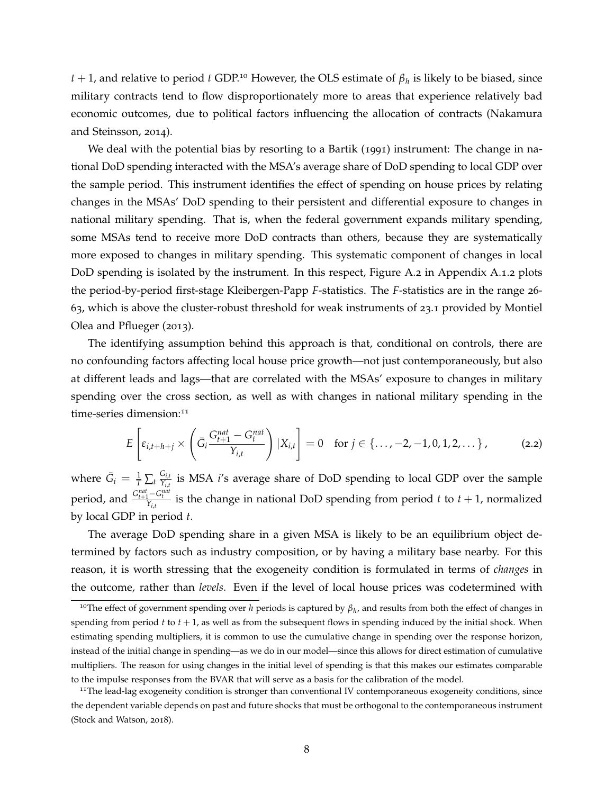*t* + 1, and relative to period *t* GDP.<sup>[10](#page-7-0)</sup> However, the OLS estimate of  $\beta_h$  is likely to be biased, since military contracts tend to flow disproportionately more to areas that experience relatively bad economic outcomes, due to political factors influencing the allocation of contracts [\(Nakamura](#page-37-6) [and Steinsson,](#page-37-6) [2014](#page-37-6)).

We deal with the potential bias by resorting to a [Bartik](#page-34-9) ([1991](#page-34-9)) instrument: The change in national DoD spending interacted with the MSA's average share of DoD spending to local GDP over the sample period. This instrument identifies the effect of spending on house prices by relating changes in the MSAs' DoD spending to their persistent and differential exposure to changes in national military spending. That is, when the federal government expands military spending, some MSAs tend to receive more DoD contracts than others, because they are systematically more exposed to changes in military spending. This systematic component of changes in local DoD spending is isolated by the instrument. In this respect, Figure [A.](#page-41-0)2 in Appendix [A.](#page-39-1)1.2 plots the period-by-period first-stage Kleibergen-Papp *F*-statistics. The *F*-statistics are in the range 26- 63, which is above the cluster-robust threshold for weak instruments of 23.1 provided by [Montiel](#page-37-8) [Olea and Pflueger](#page-37-8) ([2013](#page-37-8)).

The identifying assumption behind this approach is that, conditional on controls, there are no confounding factors affecting local house price growth—not just contemporaneously, but also at different leads and lags—that are correlated with the MSAs' exposure to changes in military spending over the cross section, as well as with changes in national military spending in the time-series dimension:<sup>[11](#page-7-1)</sup>

<span id="page-7-2"></span>
$$
E\left[\varepsilon_{i,t+h+j} \times \left(\bar{G}_i \frac{G_{t+1}^{nat} - G_t^{nat}}{Y_{i,t}}\right) | X_{i,t}\right] = 0 \text{ for } j \in \{ \dots, -2, -1, 0, 1, 2, \dots \},\tag{2.2}
$$

where  $\bar{G}_i = \frac{1}{T}\sum_t \frac{G_{i,t}}{Y_{i,t}}$ *Yi*,*<sup>t</sup>* is MSA *i*'s average share of DoD spending to local GDP over the sample period, and  $\frac{G_{t+1}^{nat}-G_t^{nat}}{Y_{i,t}}$  is the change in national DoD spending from period *t* to *t* + 1, normalized by local GDP in period *t*.

The average DoD spending share in a given MSA is likely to be an equilibrium object determined by factors such as industry composition, or by having a military base nearby. For this reason, it is worth stressing that the exogeneity condition is formulated in terms of *changes* in the outcome, rather than *levels*. Even if the level of local house prices was codetermined with

<span id="page-7-0"></span><sup>10</sup>The effect of government spending over *<sup>h</sup>* periods is captured by *<sup>β</sup><sup>h</sup>* , and results from both the effect of changes in spending from period *t* to *t* + 1, as well as from the subsequent flows in spending induced by the initial shock. When estimating spending multipliers, it is common to use the cumulative change in spending over the response horizon, instead of the initial change in spending—as we do in our model—since this allows for direct estimation of cumulative multipliers. The reason for using changes in the initial level of spending is that this makes our estimates comparable to the impulse responses from the BVAR that will serve as a basis for the calibration of the model.

<span id="page-7-1"></span> $11$ The lead-lag exogeneity condition is stronger than conventional IV contemporaneous exogeneity conditions, since the dependent variable depends on past and future shocks that must be orthogonal to the contemporaneous instrument [\(Stock and Watson,](#page-38-1) [2018](#page-38-1)).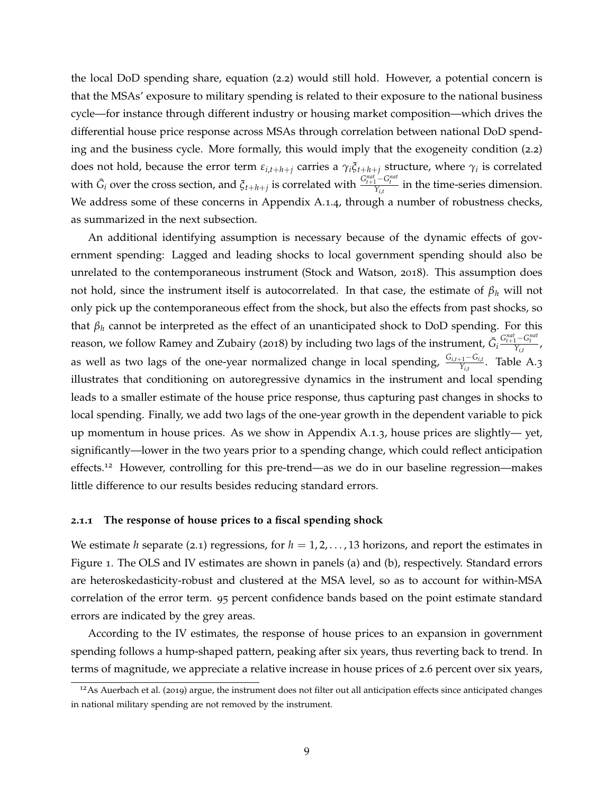the local DoD spending share, equation ([2](#page-7-2).2) would still hold. However, a potential concern is that the MSAs' exposure to military spending is related to their exposure to the national business cycle—for instance through different industry or housing market composition—which drives the differential house price response across MSAs through correlation between national DoD spending and the business cycle. More formally, this would imply that the exogeneity condition ([2](#page-7-2).2) does not hold, because the error term  $\varepsilon_{i,t+h+j}$  carries a  $\gamma_i \xi_{t+h+j}$  structure, where  $\gamma_i$  is correlated with  $\bar{G}_i$  over the cross section, and  $\xi_{t+h+j}$  is correlated with  $\frac{G_{t+1}^{nat}-G_t^{nat}}{Y_{i,t}}$  in the time-series dimension. We address some of these concerns in Appendix [A.](#page-40-0)1.4, through a number of robustness checks, as summarized in the next subsection.

An additional identifying assumption is necessary because of the dynamic effects of government spending: Lagged and leading shocks to local government spending should also be unrelated to the contemporaneous instrument [\(Stock and Watson,](#page-38-1) [2018](#page-38-1)). This assumption does not hold, since the instrument itself is autocorrelated. In that case, the estimate of *β<sup>h</sup>* will not only pick up the contemporaneous effect from the shock, but also the effects from past shocks, so that *β<sup>h</sup>* cannot be interpreted as the effect of an unanticipated shock to DoD spending. For this reason, we follow [Ramey and Zubairy](#page-38-2) ([2018](#page-38-2)) by including two lags of the instrument,  $\bar{G}_i$  $\frac{G_{t+1}^{nat} - G_t^{nat}}{Y_{i,t}}$ as well as two lags of the one-year normalized change in local spending, *<sup>G</sup>i*,*t*+1−*Gi*,*<sup>t</sup> Yi*,*<sup>t</sup>* . Table [A.](#page-44-0)3 illustrates that conditioning on autoregressive dynamics in the instrument and local spending leads to a smaller estimate of the house price response, thus capturing past changes in shocks to local spending. Finally, we add two lags of the one-year growth in the dependent variable to pick up momentum in house prices. As we show in Appendix [A.](#page-40-1)1.3, house prices are slightly— yet, significantly—lower in the two years prior to a spending change, which could reflect anticipation effects.<sup>[12](#page-8-0)</sup> However, controlling for this pre-trend—as we do in our baseline regression—makes little difference to our results besides reducing standard errors.

#### **2.1.1 The response of house prices to a fiscal spending shock**

We estimate *h* separate ([2](#page-6-2).1) regressions, for  $h = 1, 2, \ldots, 13$  horizons, and report the estimates in Figure [1](#page-9-0). The OLS and IV estimates are shown in panels (a) and (b), respectively. Standard errors are heteroskedasticity-robust and clustered at the MSA level, so as to account for within-MSA correlation of the error term. 95 percent confidence bands based on the point estimate standard errors are indicated by the grey areas.

According to the IV estimates, the response of house prices to an expansion in government spending follows a hump-shaped pattern, peaking after six years, thus reverting back to trend. In terms of magnitude, we appreciate a relative increase in house prices of 2.6 percent over six years,

<span id="page-8-0"></span> $12$ As [Auerbach et al.](#page-34-0) ([2019](#page-34-0)) argue, the instrument does not filter out all anticipation effects since anticipated changes in national military spending are not removed by the instrument.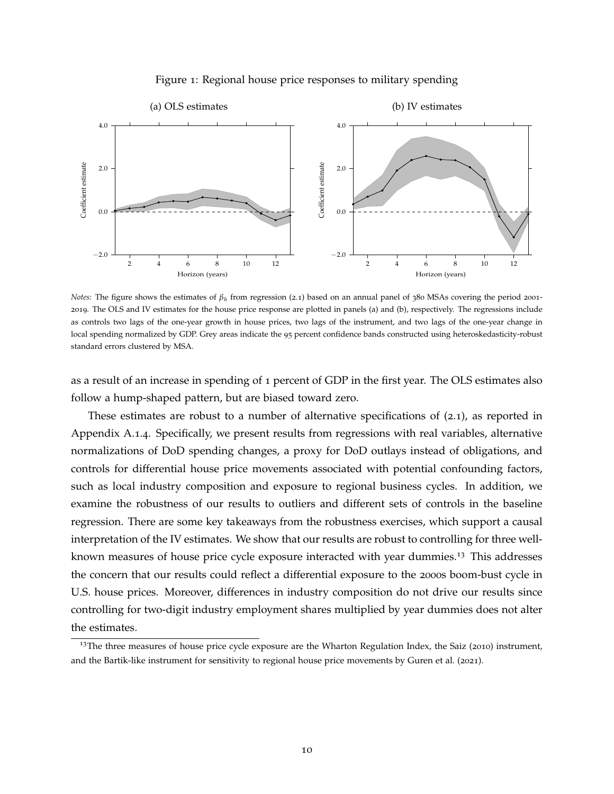<span id="page-9-0"></span>

### Figure 1: Regional house price responses to military spending

*Notes*: The figure shows the estimates of  $β_h$  from regression ([2](#page-6-2).1) based on an annual panel of 380 MSAs covering the period 2001-2019. The OLS and IV estimates for the house price response are plotted in panels (a) and (b), respectively. The regressions include as controls two lags of the one-year growth in house prices, two lags of the instrument, and two lags of the one-year change in local spending normalized by GDP. Grey areas indicate the 95 percent confidence bands constructed using heteroskedasticity-robust standard errors clustered by MSA.

as a result of an increase in spending of 1 percent of GDP in the first year. The OLS estimates also follow a hump-shaped pattern, but are biased toward zero.

These estimates are robust to a number of alternative specifications of ([2](#page-6-2).1), as reported in Appendix [A.](#page-40-0)1.4. Specifically, we present results from regressions with real variables, alternative normalizations of DoD spending changes, a proxy for DoD outlays instead of obligations, and controls for differential house price movements associated with potential confounding factors, such as local industry composition and exposure to regional business cycles. In addition, we examine the robustness of our results to outliers and different sets of controls in the baseline regression. There are some key takeaways from the robustness exercises, which support a causal interpretation of the IV estimates. We show that our results are robust to controlling for three well-known measures of house price cycle exposure interacted with year dummies.<sup>[13](#page-9-1)</sup> This addresses the concern that our results could reflect a differential exposure to the 2000s boom-bust cycle in U.S. house prices. Moreover, differences in industry composition do not drive our results since controlling for two-digit industry employment shares multiplied by year dummies does not alter the estimates.

<span id="page-9-1"></span><sup>&</sup>lt;sup>13</sup>The three measures of house price cycle exposure are the Wharton Regulation Index, the [Saiz](#page-38-3) ([2010](#page-38-3)) instrument, and the Bartik-like instrument for sensitivity to regional house price movements by [Guren et al.](#page-36-6) ([2021](#page-36-6)).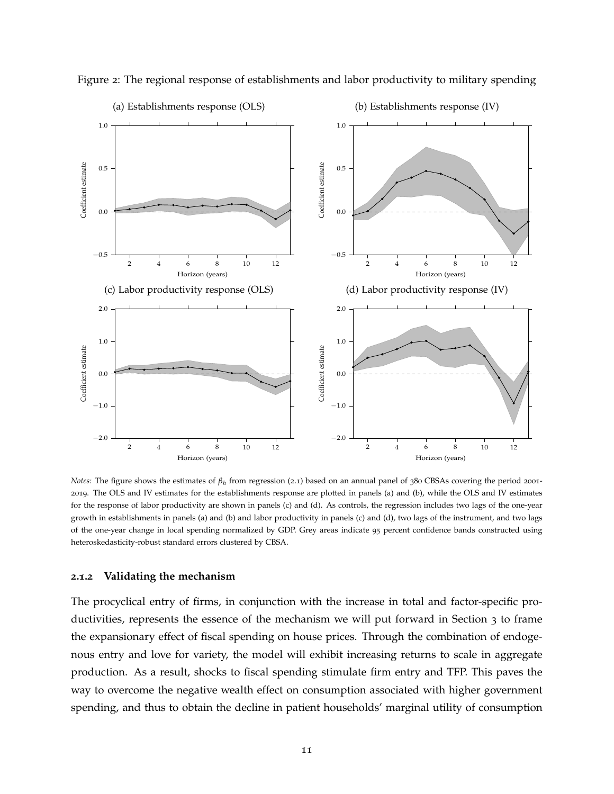

<span id="page-10-0"></span>Figure 2: The regional response of establishments and labor productivity to military spending

*Notes*: The figure shows the estimates of  $β_h$  from regression ([2](#page-6-2).1) based on an annual panel of 380 CBSAs covering the period 2001-2019. The OLS and IV estimates for the establishments response are plotted in panels (a) and (b), while the OLS and IV estimates for the response of labor productivity are shown in panels (c) and (d). As controls, the regression includes two lags of the one-year growth in establishments in panels (a) and (b) and labor productivity in panels (c) and (d), two lags of the instrument, and two lags of the one-year change in local spending normalized by GDP. Grey areas indicate 95 percent confidence bands constructed using heteroskedasticity-robust standard errors clustered by CBSA.

#### **2.1.2 Validating the mechanism**

The procyclical entry of firms, in conjunction with the increase in total and factor-specific productivities, represents the essence of the mechanism we will put forward in Section [3](#page-15-0) to frame the expansionary effect of fiscal spending on house prices. Through the combination of endogenous entry and love for variety, the model will exhibit increasing returns to scale in aggregate production. As a result, shocks to fiscal spending stimulate firm entry and TFP. This paves the way to overcome the negative wealth effect on consumption associated with higher government spending, and thus to obtain the decline in patient households' marginal utility of consumption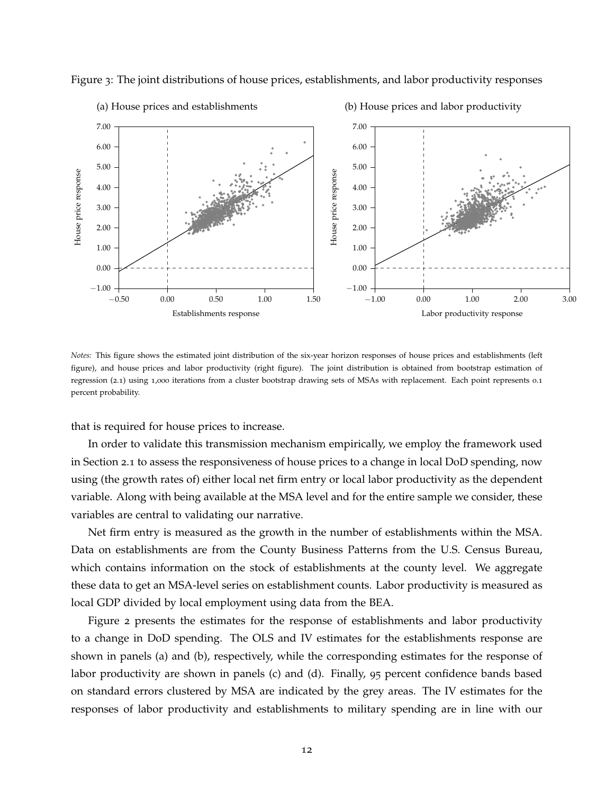

<span id="page-11-0"></span>Figure 3: The joint distributions of house prices, establishments, and labor productivity responses

# (a) House prices and establishments

(b) House prices and labor productivity

*Notes:* This figure shows the estimated joint distribution of the six-year horizon responses of house prices and establishments (left figure), and house prices and labor productivity (right figure). The joint distribution is obtained from bootstrap estimation of regression (2.[1](#page-6-2)) using 1,000 iterations from a cluster bootstrap drawing sets of MSAs with replacement. Each point represents 0.1 percent probability.

that is required for house prices to increase.

In order to validate this transmission mechanism empirically, we employ the framework used in Section [2](#page-6-3).1 to assess the responsiveness of house prices to a change in local DoD spending, now using (the growth rates of) either local net firm entry or local labor productivity as the dependent variable. Along with being available at the MSA level and for the entire sample we consider, these variables are central to validating our narrative.

Net firm entry is measured as the growth in the number of establishments within the MSA. Data on establishments are from the County Business Patterns from the U.S. Census Bureau, which contains information on the stock of establishments at the county level. We aggregate these data to get an MSA-level series on establishment counts. Labor productivity is measured as local GDP divided by local employment using data from the BEA.

Figure [2](#page-10-0) presents the estimates for the response of establishments and labor productivity to a change in DoD spending. The OLS and IV estimates for the establishments response are shown in panels (a) and (b), respectively, while the corresponding estimates for the response of labor productivity are shown in panels (c) and (d). Finally, 95 percent confidence bands based on standard errors clustered by MSA are indicated by the grey areas. The IV estimates for the responses of labor productivity and establishments to military spending are in line with our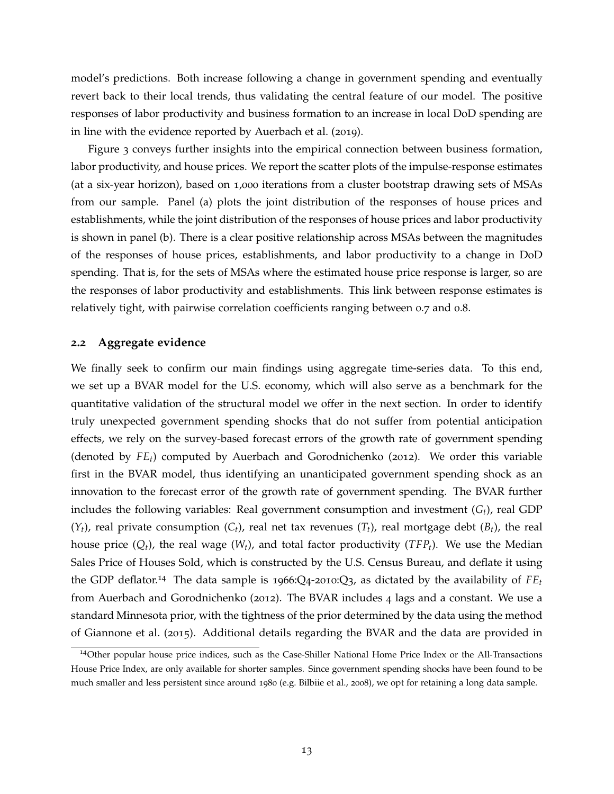model's predictions. Both increase following a change in government spending and eventually revert back to their local trends, thus validating the central feature of our model. The positive responses of labor productivity and business formation to an increase in local DoD spending are in line with the evidence reported by [Auerbach et al.](#page-34-0) ([2019](#page-34-0)).

Figure [3](#page-11-0) conveys further insights into the empirical connection between business formation, labor productivity, and house prices. We report the scatter plots of the impulse-response estimates (at a six-year horizon), based on 1,000 iterations from a cluster bootstrap drawing sets of MSAs from our sample. Panel (a) plots the joint distribution of the responses of house prices and establishments, while the joint distribution of the responses of house prices and labor productivity is shown in panel (b). There is a clear positive relationship across MSAs between the magnitudes of the responses of house prices, establishments, and labor productivity to a change in DoD spending. That is, for the sets of MSAs where the estimated house price response is larger, so are the responses of labor productivity and establishments. This link between response estimates is relatively tight, with pairwise correlation coefficients ranging between 0.7 and 0.8.

### <span id="page-12-1"></span>**2.2 Aggregate evidence**

We finally seek to confirm our main findings using aggregate time-series data. To this end, we set up a BVAR model for the U.S. economy, which will also serve as a benchmark for the quantitative validation of the structural model we offer in the next section. In order to identify truly unexpected government spending shocks that do not suffer from potential anticipation effects, we rely on the survey-based forecast errors of the growth rate of government spending (denoted by *FEt*) computed by [Auerbach and Gorodnichenko](#page-34-10) ([2012](#page-34-10)). We order this variable first in the BVAR model, thus identifying an unanticipated government spending shock as an innovation to the forecast error of the growth rate of government spending. The BVAR further includes the following variables: Real government consumption and investment (*Gt*), real GDP  $(Y_t)$ , real private consumption  $(C_t)$ , real net tax revenues  $(T_t)$ , real mortgage debt  $(B_t)$ , the real house price (*Qt*), the real wage (*Wt*), and total factor productivity (*TFPt*). We use the Median Sales Price of Houses Sold, which is constructed by the U.S. Census Bureau, and deflate it using the GDP deflator.<sup>[14](#page-12-0)</sup> The data sample is 1966:Q4-2010:Q3, as dictated by the availability of  $FE_t$ from [Auerbach and Gorodnichenko](#page-34-10) ([2012](#page-34-10)). The BVAR includes 4 lags and a constant. We use a standard Minnesota prior, with the tightness of the prior determined by the data using the method of [Giannone et al.](#page-36-7) ([2015](#page-36-7)). Additional details regarding the BVAR and the data are provided in

<span id="page-12-0"></span><sup>14</sup>Other popular house price indices, such as the Case-Shiller National Home Price Index or the All-Transactions House Price Index, are only available for shorter samples. Since government spending shocks have been found to be much smaller and less persistent since around 1980 (e.g. [Bilbiie et al.,](#page-35-7) [2008](#page-35-7)), we opt for retaining a long data sample.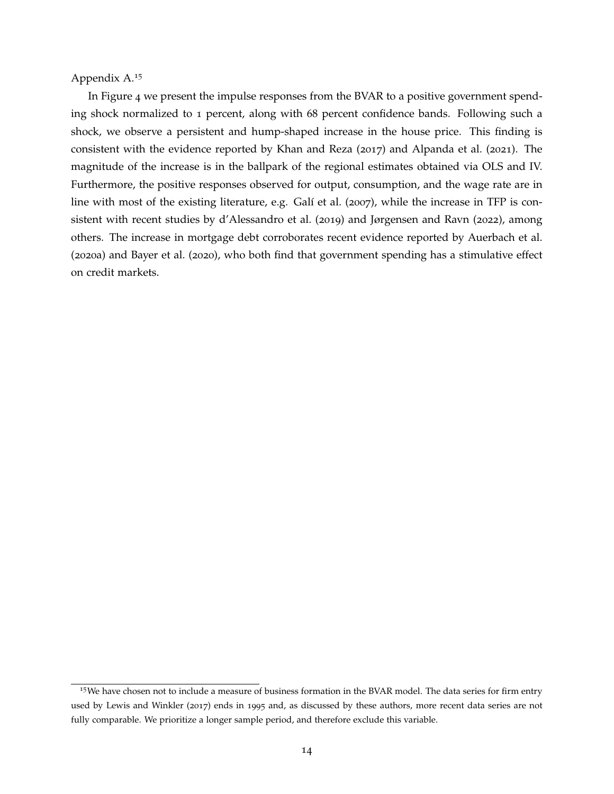Appendix A.[15](#page-13-0)

In Figure [4](#page-14-0) we present the impulse responses from the BVAR to a positive government spending shock normalized to 1 percent, along with 68 percent confidence bands. Following such a shock, we observe a persistent and hump-shaped increase in the house price. This finding is consistent with the evidence reported by [Khan and Reza](#page-37-0) ([2017](#page-37-0)) and [Alpanda et al.](#page-34-4) ([2021](#page-34-4)). The magnitude of the increase is in the ballpark of the regional estimates obtained via OLS and IV. Furthermore, the positive responses observed for output, consumption, and the wage rate are in line with most of the existing literature, e.g. [Galí et al.](#page-36-8) ([2007](#page-36-8)), while the increase in TFP is consistent with recent studies by [d'Alessandro et al.](#page-35-8) ([2019](#page-35-8)) and [Jørgensen and Ravn](#page-37-9) ([2022](#page-37-9)), among others. The increase in mortgage debt corroborates recent evidence reported by [Auerbach et al.](#page-34-11) ([2020](#page-34-11)a) and [Bayer et al.](#page-34-12) ([2020](#page-34-12)), who both find that government spending has a stimulative effect on credit markets.

<span id="page-13-0"></span><sup>&</sup>lt;sup>15</sup>We have chosen not to include a measure of business formation in the BVAR model. The data series for firm entry used by [Lewis and Winkler](#page-37-1) ([2017](#page-37-1)) ends in 1995 and, as discussed by these authors, more recent data series are not fully comparable. We prioritize a longer sample period, and therefore exclude this variable.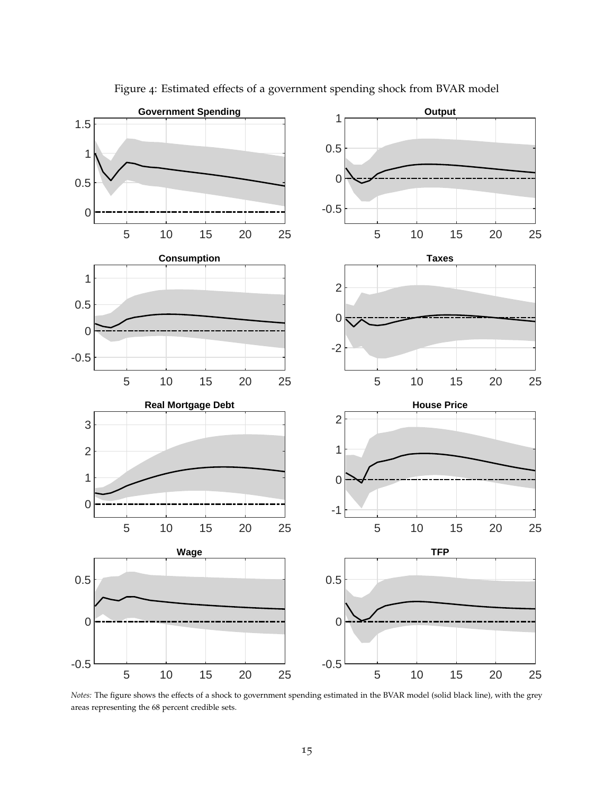<span id="page-14-0"></span>

Figure 4: Estimated effects of a government spending shock from BVAR model

*Notes:* The figure shows the effects of a shock to government spending estimated in the BVAR model (solid black line), with the grey areas representing the 68 percent credible sets.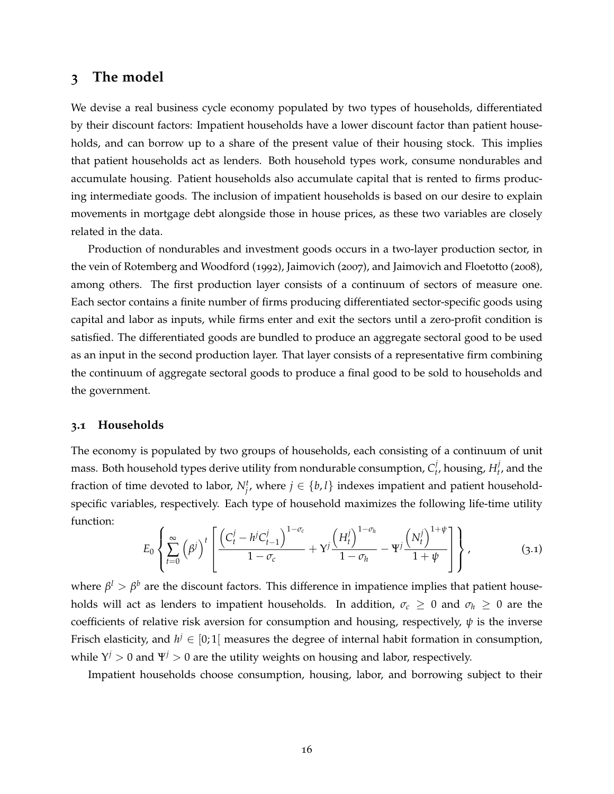# <span id="page-15-0"></span>**3 The model**

We devise a real business cycle economy populated by two types of households, differentiated by their discount factors: Impatient households have a lower discount factor than patient households, and can borrow up to a share of the present value of their housing stock. This implies that patient households act as lenders. Both household types work, consume nondurables and accumulate housing. Patient households also accumulate capital that is rented to firms producing intermediate goods. The inclusion of impatient households is based on our desire to explain movements in mortgage debt alongside those in house prices, as these two variables are closely related in the data.

Production of nondurables and investment goods occurs in a two-layer production sector, in the vein of [Rotemberg and Woodford](#page-38-4) ([1992](#page-38-4)), [Jaimovich](#page-37-10) ([2007](#page-37-10)), and [Jaimovich and Floetotto](#page-37-11) ([2008](#page-37-11)), among others. The first production layer consists of a continuum of sectors of measure one. Each sector contains a finite number of firms producing differentiated sector-specific goods using capital and labor as inputs, while firms enter and exit the sectors until a zero-profit condition is satisfied. The differentiated goods are bundled to produce an aggregate sectoral good to be used as an input in the second production layer. That layer consists of a representative firm combining the continuum of aggregate sectoral goods to produce a final good to be sold to households and the government.

#### **3.1 Households**

The economy is populated by two groups of households, each consisting of a continuum of unit mass. Both household types derive utility from nondurable consumption,  $C_t^j$  $t_t^j$ , housing,  $H_t^j$  $t$ <sup>,</sup> and the fraction of time devoted to labor,  $N_f^t$ , where  $j \in \{b, l\}$  indexes impatient and patient householdspecific variables, respectively. Each type of household maximizes the following life-time utility function:

$$
E_0\left\{\sum_{t=0}^{\infty}\left(\beta^j\right)^t\left[\frac{\left(C_t^j-h^jC_{t-1}^j\right)^{1-\sigma_c}}{1-\sigma_c}+Y^j\frac{\left(H_t^j\right)^{1-\sigma_h}}{1-\sigma_h}-\Psi^j\frac{\left(N_t^j\right)^{1+\psi}}{1+\psi}\right]\right\},\tag{3.1}
$$

where  $\beta^l > \beta^b$  are the discount factors. This difference in impatience implies that patient households will act as lenders to impatient households. In addition,  $\sigma_c \geq 0$  and  $\sigma_h \geq 0$  are the coefficients of relative risk aversion for consumption and housing, respectively,  $\psi$  is the inverse Frisch elasticity, and  $h^j \in [0;1[$  measures the degree of internal habit formation in consumption, while  $Y^j > 0$  and  $\Psi^j > 0$  are the utility weights on housing and labor, respectively.

Impatient households choose consumption, housing, labor, and borrowing subject to their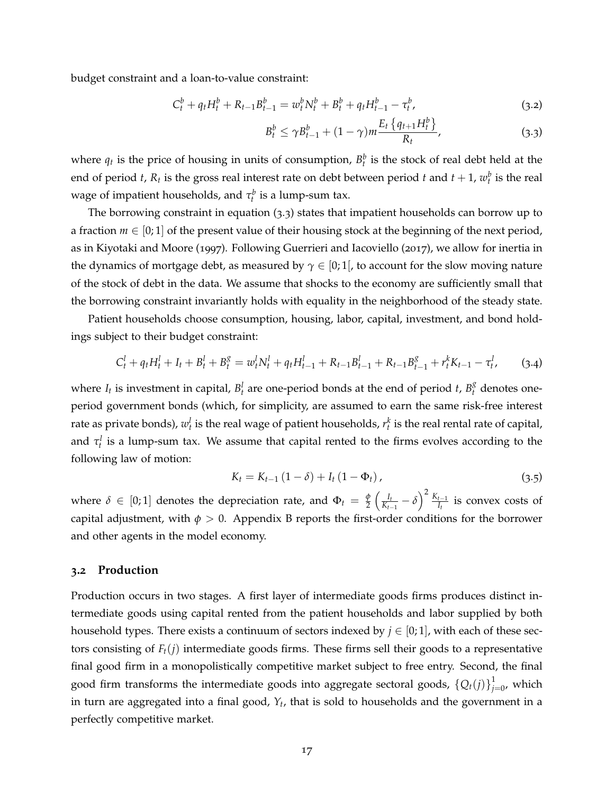budget constraint and a loan-to-value constraint:

$$
C_t^b + q_t H_t^b + R_{t-1} B_{t-1}^b = w_t^b N_t^b + B_t^b + q_t H_{t-1}^b - \tau_t^b, \tag{3.2}
$$

<span id="page-16-2"></span><span id="page-16-0"></span>
$$
B_t^b \le \gamma B_{t-1}^b + (1 - \gamma)m \frac{E_t \left\{ q_{t+1} H_t^b \right\}}{R_t},
$$
\n(3.3)

where  $q_t$  is the price of housing in units of consumption,  $B_t^b$  is the stock of real debt held at the end of period *t*,  $R_t$  is the gross real interest rate on debt between period *t* and  $t + 1$ ,  $w_t^b$  is the real wage of impatient households, and  $\tau_t^b$  is a lump-sum tax.

The borrowing constraint in equation ([3](#page-16-0).3) states that impatient households can borrow up to a fraction  $m \in [0, 1]$  of the present value of their housing stock at the beginning of the next period, as in [Kiyotaki and Moore](#page-37-12) ([1997](#page-37-12)). Following [Guerrieri and Iacoviello](#page-36-9) ([2017](#page-36-9)), we allow for inertia in the dynamics of mortgage debt, as measured by  $\gamma \in [0;1]$ , to account for the slow moving nature of the stock of debt in the data. We assume that shocks to the economy are sufficiently small that the borrowing constraint invariantly holds with equality in the neighborhood of the steady state.

Patient households choose consumption, housing, labor, capital, investment, and bond holdings subject to their budget constraint:

<span id="page-16-3"></span>
$$
C_t^l + q_t H_t^l + I_t + B_t^l + B_t^g = w_t^l N_t^l + q_t H_{t-1}^l + R_{t-1} B_{t-1}^l + R_{t-1} B_{t-1}^g + r_t^k K_{t-1} - \tau_t^l, \qquad (3.4)
$$

where  $I_t$  is investment in capital,  $B_t^l$  are one-period bonds at the end of period *t*,  $B_t^g$  denotes oneperiod government bonds (which, for simplicity, are assumed to earn the same risk-free interest rate as private bonds),  $w_t^l$  is the real wage of patient households,  $r_t^k$  is the real rental rate of capital, and  $\tau_t^l$  is a lump-sum tax. We assume that capital rented to the firms evolves according to the following law of motion:

<span id="page-16-1"></span>
$$
K_{t} = K_{t-1} (1 - \delta) + I_{t} (1 - \Phi_{t}), \qquad (3.5)
$$

where  $\delta \in [0;1]$  denotes the depreciation rate, and  $\Phi_t = \frac{\phi}{2}$  $rac{\phi}{2}$   $\left(\frac{I_t}{K_{t-1}}\right)$  $\frac{I_t}{K_{t-1}} - \delta \Big)^2 \, \frac{K_{t-1}}{I_t}$  $\frac{t-1}{I_t}$  is convex costs of capital adjustment, with  $\phi > 0$ . Appendix [B](#page-49-0) reports the first-order conditions for the borrower and other agents in the model economy.

### **3.2 Production**

Production occurs in two stages. A first layer of intermediate goods firms produces distinct intermediate goods using capital rented from the patient households and labor supplied by both household types. There exists a continuum of sectors indexed by  $j \in [0,1]$ , with each of these sectors consisting of  $F_t(j)$  intermediate goods firms. These firms sell their goods to a representative final good firm in a monopolistically competitive market subject to free entry. Second, the final good firm transforms the intermediate goods into aggregate sectoral goods,  $\{Q_t(j)\}_{j=1}^1$  $\int_{j=0}^{1}$ , which in turn are aggregated into a final good, *Y<sup>t</sup>* , that is sold to households and the government in a perfectly competitive market.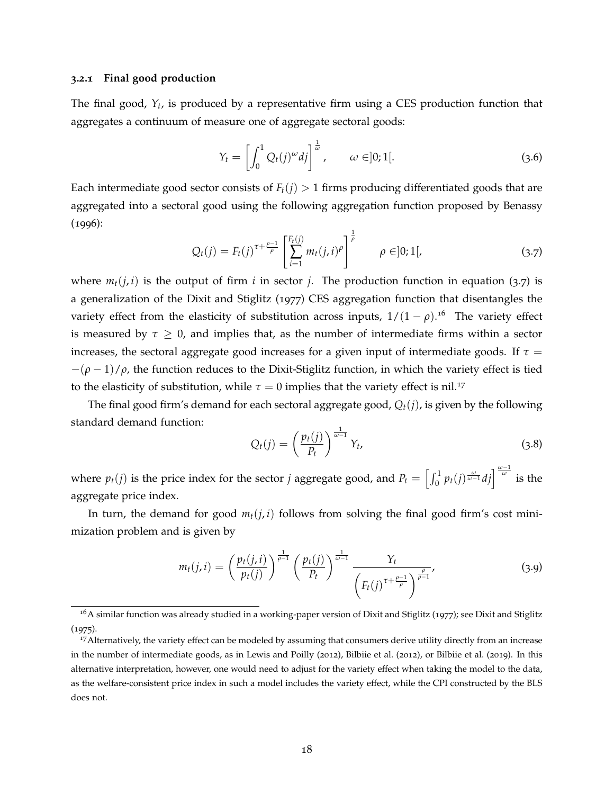### **3.2.1 Final good production**

The final good, *Y<sup>t</sup>* , is produced by a representative firm using a CES production function that aggregates a continuum of measure one of aggregate sectoral goods:

$$
Y_t = \left[ \int_0^1 Q_t(j)^\omega dj \right]^{\frac{1}{\omega}}, \qquad \omega \in ]0;1[.
$$
 (3.6)

Each intermediate good sector consists of  $F_t(i) > 1$  firms producing differentiated goods that are aggregated into a sectoral good using the following aggregation function proposed by [Benassy](#page-34-2)  $(1996):$  $(1996):$  $(1996):$ 

<span id="page-17-0"></span>
$$
Q_t(j) = F_t(j)^{\tau + \frac{\rho - 1}{\rho}} \left[ \sum_{i=1}^{F_t(j)} m_t(j, i)^{\rho} \right]^{\frac{1}{\rho}} \qquad \rho \in ]0; 1[, \qquad (3.7)
$$

where  $m_t(j, i)$  is the output of firm *i* in sector *j*. The production function in equation ([3](#page-17-0).7) is a generalization of the [Dixit and Stiglitz](#page-36-10) ([1977](#page-36-10)) CES aggregation function that disentangles the variety effect from the elasticity of substitution across inputs,  $1/(1-\rho)$ .<sup>[16](#page-17-1)</sup> The variety effect is measured by  $\tau \geq 0$ , and implies that, as the number of intermediate firms within a sector increases, the sectoral aggregate good increases for a given input of intermediate goods. If  $\tau =$  $-(\rho-1)/\rho$ , the function reduces to the Dixit-Stiglitz function, in which the variety effect is tied to the elasticity of substitution, while  $\tau = 0$  implies that the variety effect is nil.<sup>[17](#page-17-2)</sup>

The final good firm's demand for each sectoral aggregate good,  $Q_t(i)$ , is given by the following standard demand function:

$$
Q_t(j) = \left(\frac{p_t(j)}{P_t}\right)^{\frac{1}{\omega - 1}} Y_t, \tag{3.8}
$$

where  $p_t(j)$  is the price index for the sector *j* aggregate good, and  $P_t = \left[\int_0^1 p_t(j) \frac{\omega}{\omega - 1} dj \right]_0^{\omega}$  is the aggregate price index.

In turn, the demand for good  $m_t(j, i)$  follows from solving the final good firm's cost minimization problem and is given by

<span id="page-17-3"></span>
$$
m_t(j, i) = \left(\frac{p_t(j, i)}{p_t(j)}\right)^{\frac{1}{\rho - 1}} \left(\frac{p_t(j)}{P_t}\right)^{\frac{1}{\omega - 1}} \frac{Y_t}{\left(F_t(j)^{\tau + \frac{\rho - 1}{\rho}}\right)^{\frac{\rho}{\rho - 1}}},
$$
\n(3.9)

<span id="page-17-1"></span><sup>&</sup>lt;sup>16</sup>A similar function was already studied in a working-paper version of [Dixit and Stiglitz](#page-36-11) ([1977](#page-36-10)); see Dixit and Stiglitz ([1975](#page-36-11)).

<span id="page-17-2"></span><sup>&</sup>lt;sup>17</sup>Alternatively, the variety effect can be modeled by assuming that consumers derive utility directly from an increase in the number of intermediate goods, as in [Lewis and Poilly](#page-37-5) ([2012](#page-37-5)), [Bilbiie et al.](#page-35-1) ([2012](#page-35-1)), or [Bilbiie et al.](#page-35-5) ([2019](#page-35-5)). In this alternative interpretation, however, one would need to adjust for the variety effect when taking the model to the data, as the welfare-consistent price index in such a model includes the variety effect, while the CPI constructed by the BLS does not.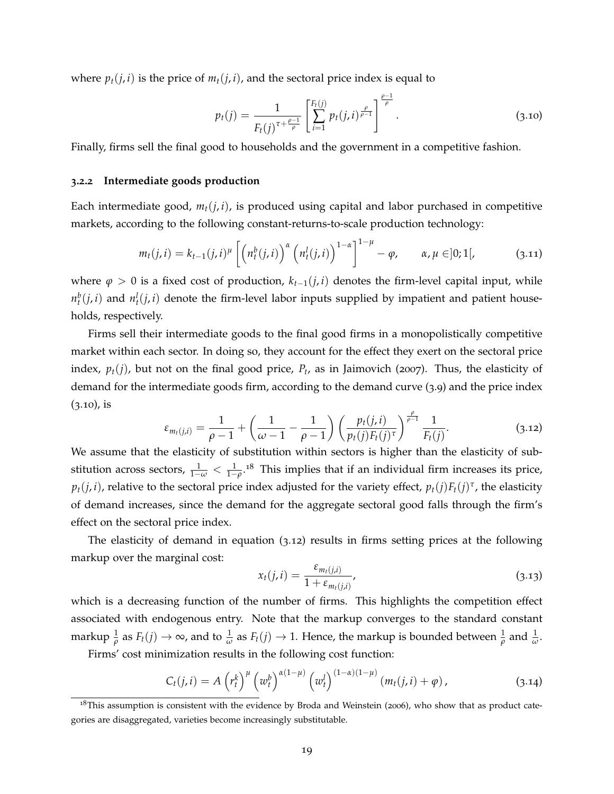where  $p_t(j, i)$  is the price of  $m_t(j, i)$ , and the sectoral price index is equal to

<span id="page-18-0"></span>
$$
p_t(j) = \frac{1}{F_t(j)^{\tau + \frac{\rho - 1}{\rho}}} \left[ \sum_{i=1}^{F_t(j)} p_t(j, i)^{\frac{\rho}{\rho - 1}} \right]^{\frac{\rho - 1}{\rho}}.
$$
\n(3.10)

Finally, firms sell the final good to households and the government in a competitive fashion.

### **3.2.2 Intermediate goods production**

Each intermediate good,  $m_t(j, i)$ , is produced using capital and labor purchased in competitive markets, according to the following constant-returns-to-scale production technology:

<span id="page-18-5"></span>
$$
m_t(j,i) = k_{t-1}(j,i)^{\mu} \left[ \left( n_t^b(j,i) \right)^{\alpha} \left( n_t^l(j,i) \right)^{1-\alpha} \right]^{1-\mu} - \varphi, \qquad \alpha, \mu \in ]0;1[, \tag{3.11}
$$

where  $\varphi > 0$  is a fixed cost of production,  $k_{t-1}(j, i)$  denotes the firm-level capital input, while  $n_t^b(j, i)$  and  $n_t^l(j, i)$  denote the firm-level labor inputs supplied by impatient and patient households, respectively.

Firms sell their intermediate goods to the final good firms in a monopolistically competitive market within each sector. In doing so, they account for the effect they exert on the sectoral price index,  $p_t(j)$ , but not on the final good price,  $P_t$ , as in [Jaimovich](#page-37-10) ([2007](#page-37-10)). Thus, the elasticity of demand for the intermediate goods firm, according to the demand curve ([3](#page-17-3).9) and the price index  $(3.10)$  $(3.10)$  $(3.10)$ , is

<span id="page-18-2"></span>
$$
\varepsilon_{m_t(j,i)} = \frac{1}{\rho - 1} + \left(\frac{1}{\omega - 1} - \frac{1}{\rho - 1}\right) \left(\frac{p_t(j,i)}{p_t(j)F_t(j)^{\tau}}\right)^{\frac{\rho}{\rho - 1}} \frac{1}{F_t(j)}.
$$
 (3.12)

We assume that the elasticity of substitution within sectors is higher than the elasticity of substitution across sectors,  $\frac{1}{1-\omega} < \frac{1}{1-\rho}$ .<sup>[18](#page-18-1)</sup> This implies that if an individual firm increases its price,  $p_t(j,i)$ , relative to the sectoral price index adjusted for the variety effect,  $p_t(j) F_t(j)^\tau$ , the elasticity of demand increases, since the demand for the aggregate sectoral good falls through the firm's effect on the sectoral price index.

The elasticity of demand in equation (3.[12](#page-18-2)) results in firms setting prices at the following markup over the marginal cost:

<span id="page-18-4"></span>
$$
x_t(j,i) = \frac{\varepsilon_{m_t(j,i)}}{1 + \varepsilon_{m_t(j,i)}},
$$
\n(3.13)

which is a decreasing function of the number of firms. This highlights the competition effect associated with endogenous entry. Note that the markup converges to the standard constant markup  $\frac{1}{\rho}$  as  $F_t(j) \to \infty$ , and to  $\frac{1}{\omega}$  as  $F_t(j) \to 1$ . Hence, the markup is bounded between  $\frac{1}{\rho}$  and  $\frac{1}{\omega}$ .

Firms' cost minimization results in the following cost function:

<span id="page-18-3"></span>
$$
C_t(j,i) = A\left(r_t^k\right)^{\mu} \left(w_t^b\right)^{\alpha(1-\mu)} \left(w_t^l\right)^{(1-\alpha)(1-\mu)} \left(m_t(j,i) + \varphi\right), \tag{3.14}
$$

<span id="page-18-1"></span> $18$ This assumption is consistent with the evidence by [Broda and Weinstein](#page-35-9) ([2006](#page-35-9)), who show that as product categories are disaggregated, varieties become increasingly substitutable.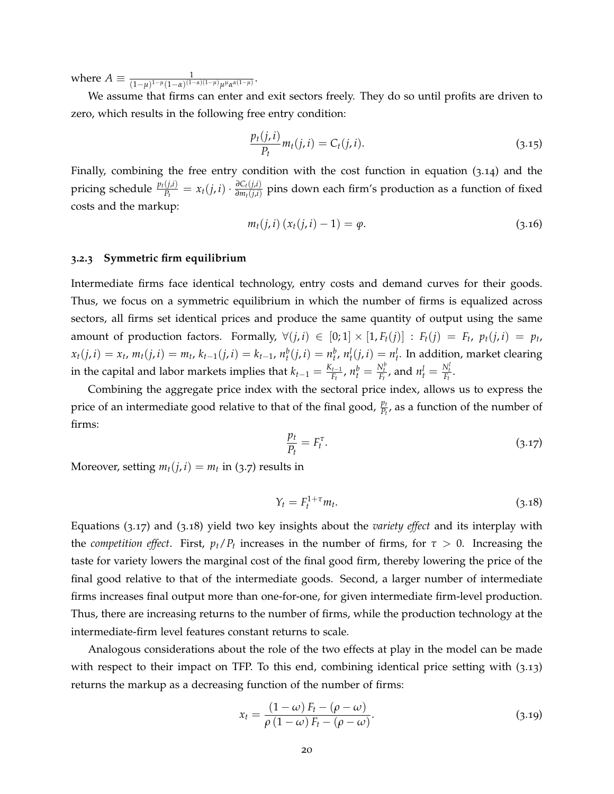where  $A \equiv \frac{1}{(1-\mu)^{1-\mu}(1-\alpha)^{(1-\alpha)(1-\mu)}\mu^{\mu}\alpha^{\alpha(1-\mu)}}$ .

We assume that firms can enter and exit sectors freely. They do so until profits are driven to zero, which results in the following free entry condition:

$$
\frac{p_t(j,i)}{P_t}m_t(j,i) = C_t(j,i).
$$
\n(3.15)

Finally, combining the free entry condition with the cost function in equation (3.[14](#page-18-3)) and the pricing schedule  $\frac{p_t(j,i)}{P_t} = x_t(j,i) \cdot \frac{\partial C_t(j,i)}{\partial m_t(j,i)}$ *∂* $\frac{\partial C_t(j,i)}{\partial m_t(j,i)}$  pins down each firm's production as a function of fixed costs and the markup:

<span id="page-19-2"></span>
$$
m_t(j, i) (x_t(j, i) - 1) = \varphi.
$$
 (3.16)

#### <span id="page-19-3"></span>**3.2.3 Symmetric firm equilibrium**

Intermediate firms face identical technology, entry costs and demand curves for their goods. Thus, we focus on a symmetric equilibrium in which the number of firms is equalized across sectors, all firms set identical prices and produce the same quantity of output using the same amount of production factors. Formally,  $\forall (j,i) \in [0;1] \times [1, F_t(j)] : F_t(j) = F_t$ ,  $p_t(j,i) = p_t$ ,  $x_t(j, i) = x_t$ ,  $m_t(j, i) = m_t$ ,  $k_{t-1}(j, i) = k_{t-1}$ ,  $n_t^b(j, i) = n_t^b$ ,  $n_t^l(j, i) = n_t^l$ . In addition, market clearing in the capital and labor markets implies that  $k_{t-1} = \frac{K_{t-1}}{F_t}$  $\frac{N_t^{t}}{F_t}$ ,  $n_t^b = \frac{N_t^b}{F_t}$ , and  $n_t^l = \frac{N_t^l}{F_t}$ .

Combining the aggregate price index with the sectoral price index, allows us to express the price of an intermediate good relative to that of the final good,  $\frac{p_t}{P_t}$ , as a function of the number of firms:

<span id="page-19-0"></span>
$$
\frac{p_t}{P_t} = F_t^{\tau}.\tag{3.17}
$$

Moreover, setting  $m_t(j, i) = m_t$  in ([3](#page-17-0).7) results in

<span id="page-19-1"></span>
$$
Y_t = F_t^{1+\tau} m_t. \tag{3.18}
$$

Equations (3.[17](#page-19-0)) and (3.[18](#page-19-1)) yield two key insights about the *variety effect* and its interplay with the *competition effect*. First,  $p_t/P_t$  increases in the number of firms, for  $\tau > 0$ . Increasing the taste for variety lowers the marginal cost of the final good firm, thereby lowering the price of the final good relative to that of the intermediate goods. Second, a larger number of intermediate firms increases final output more than one-for-one, for given intermediate firm-level production. Thus, there are increasing returns to the number of firms, while the production technology at the intermediate-firm level features constant returns to scale.

Analogous considerations about the role of the two effects at play in the model can be made with respect to their impact on TFP. To this end, combining identical price setting with (3.[13](#page-18-4)) returns the markup as a decreasing function of the number of firms:

<span id="page-19-4"></span>
$$
x_t = \frac{(1 - \omega) F_t - (\rho - \omega)}{\rho (1 - \omega) F_t - (\rho - \omega)}.
$$
\n(3.19)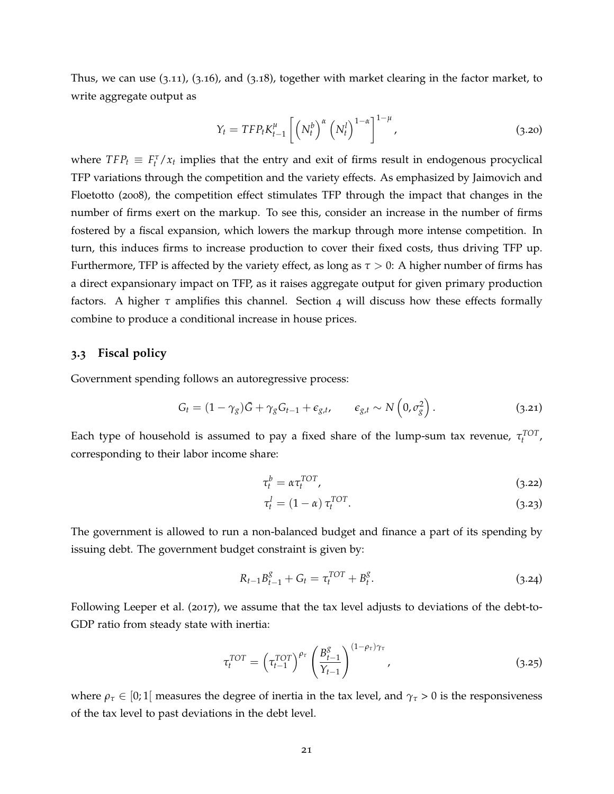Thus, we can use (3.[11](#page-18-5)), (3.[16](#page-19-2)), and (3.[18](#page-19-1)), together with market clearing in the factor market, to write aggregate output as

<span id="page-20-0"></span>
$$
Y_t = TFP_t K_{t-1}^{\mu} \left[ \left( N_t^b \right)^{\alpha} \left( N_t^l \right)^{1-\alpha} \right]^{1-\mu}, \tag{3.20}
$$

where  $TFP_t \equiv F_t^T / x_t$  implies that the entry and exit of firms result in endogenous procyclical TFP variations through the competition and the variety effects. As emphasized by [Jaimovich and](#page-37-11) [Floetotto](#page-37-11) ([2008](#page-37-11)), the competition effect stimulates TFP through the impact that changes in the number of firms exert on the markup. To see this, consider an increase in the number of firms fostered by a fiscal expansion, which lowers the markup through more intense competition. In turn, this induces firms to increase production to cover their fixed costs, thus driving TFP up. Furthermore, TFP is affected by the variety effect, as long as  $\tau > 0$ : A higher number of firms has a direct expansionary impact on TFP, as it raises aggregate output for given primary production factors. A higher  $\tau$  amplifies this channel. Section [4](#page-21-0) will discuss how these effects formally combine to produce a conditional increase in house prices.

### **3.3 Fiscal policy**

Government spending follows an autoregressive process:

<span id="page-20-3"></span>
$$
G_t = (1 - \gamma_g)\bar{G} + \gamma_g G_{t-1} + \epsilon_{g,t}, \qquad \epsilon_{g,t} \sim N\left(0, \sigma_g^2\right). \tag{3.21}
$$

Each type of household is assumed to pay a fixed share of the lump-sum tax revenue,  $\tau_t^{TOT}$ , corresponding to their labor income share:

<span id="page-20-2"></span>
$$
\tau_t^b = \alpha \tau_t^{TOT},\tag{3.22}
$$

<span id="page-20-1"></span>
$$
\tau_t^l = (1 - \alpha) \tau_t^{TOT}.
$$
\n(3.23)

The government is allowed to run a non-balanced budget and finance a part of its spending by issuing debt. The government budget constraint is given by:

$$
R_{t-1}B_{t-1}^g + G_t = \tau_t^{TOT} + B_t^g. \tag{3.24}
$$

Following [Leeper et al.](#page-37-13) ([2017](#page-37-13)), we assume that the tax level adjusts to deviations of the debt-to-GDP ratio from steady state with inertia:

$$
\tau_t^{TOT} = \left(\tau_{t-1}^{TOT}\right)^{\rho_{\tau}} \left(\frac{B_{t-1}^g}{Y_{t-1}}\right)^{(1-\rho_{\tau})\gamma_{\tau}},\tag{3.25}
$$

where  $\rho_{\tau} \in [0;1]$  measures the degree of inertia in the tax level, and  $\gamma_{\tau} > 0$  is the responsiveness of the tax level to past deviations in the debt level.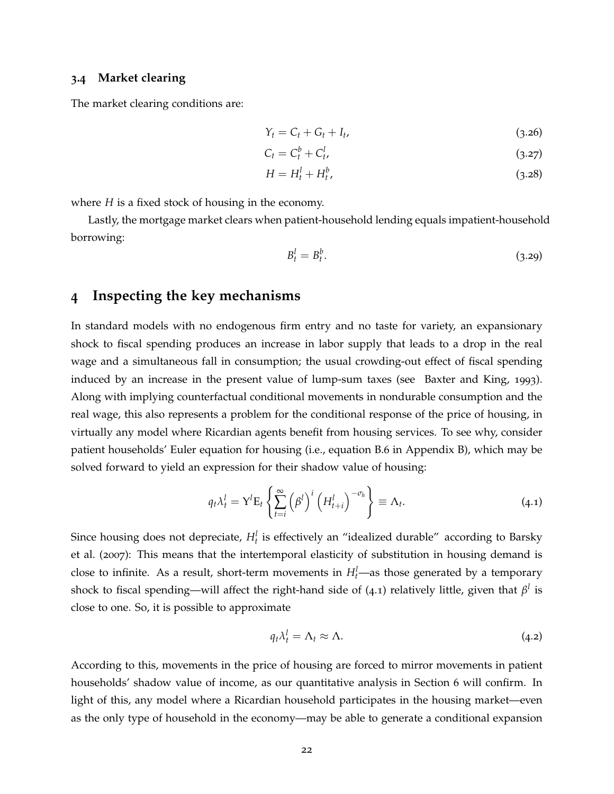### **3.4 Market clearing**

The market clearing conditions are:

$$
Y_t = C_t + G_t + I_t, \tag{3.26}
$$

<span id="page-21-3"></span><span id="page-21-2"></span>
$$
C_t = C_t^b + C_t^l, \tag{3.27}
$$

$$
H = H_t^l + H_t^b,\tag{3.28}
$$

where *H* is a fixed stock of housing in the economy.

Lastly, the mortgage market clears when patient-household lending equals impatient-household borrowing:

<span id="page-21-4"></span>
$$
B_t^l = B_t^b. \tag{3.29}
$$

# <span id="page-21-0"></span>**4 Inspecting the key mechanisms**

In standard models with no endogenous firm entry and no taste for variety, an expansionary shock to fiscal spending produces an increase in labor supply that leads to a drop in the real wage and a simultaneous fall in consumption; the usual crowding-out effect of fiscal spending induced by an increase in the present value of lump-sum taxes (see [Baxter and King,](#page-34-5) [1993](#page-34-5)). Along with implying counterfactual conditional movements in nondurable consumption and the real wage, this also represents a problem for the conditional response of the price of housing, in virtually any model where Ricardian agents benefit from housing services. To see why, consider patient households' Euler equation for housing (i.e., equation [B.](#page-49-1)6 in Appendix [B\)](#page-49-0), which may be solved forward to yield an expression for their shadow value of housing:

<span id="page-21-1"></span>
$$
q_t \lambda_t^l = \mathbf{Y}^l \mathbf{E}_t \left\{ \sum_{t=i}^{\infty} \left( \beta^l \right)^i \left( H_{t+i}^l \right)^{-\sigma_h} \right\} \equiv \Lambda_t. \tag{4.1}
$$

Since housing does not depreciate,  $H_t^l$  is effectively an "idealized durable" according to [Barsky](#page-34-1) [et al.](#page-34-1) ([2007](#page-34-1)): This means that the intertemporal elasticity of substitution in housing demand is close to infinite. As a result, short-term movements in  $H_t^l$ —as those generated by a temporary shock to fiscal spending—will affect the right-hand side of  $(4.1)$  $(4.1)$  $(4.1)$  relatively little, given that  $\beta^l$  is close to one. So, it is possible to approximate

$$
q_t \lambda_t^l = \Lambda_t \approx \Lambda. \tag{4.2}
$$

According to this, movements in the price of housing are forced to mirror movements in patient households' shadow value of income, as our quantitative analysis in Section [6](#page-27-0) will confirm. In light of this, any model where a Ricardian household participates in the housing market—even as the only type of household in the economy—may be able to generate a conditional expansion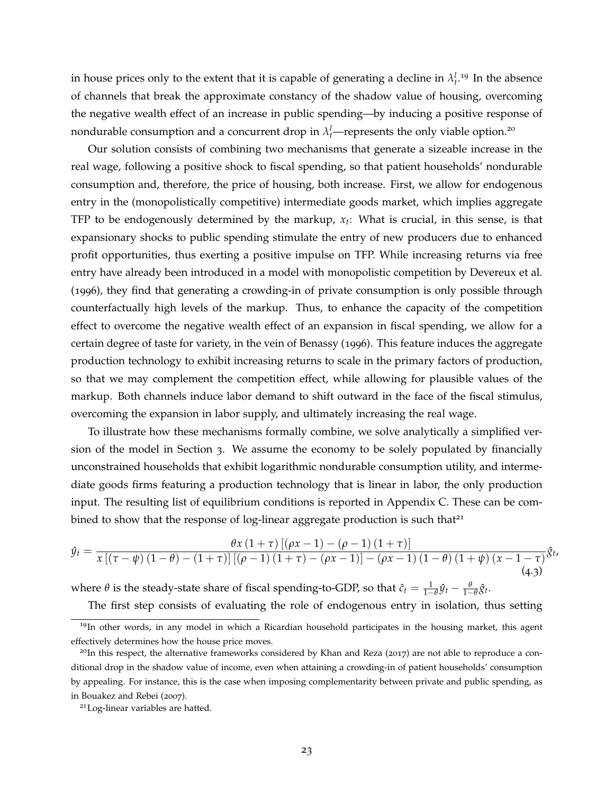in house prices only to the extent that it is capable of generating a decline in  $\lambda_t^{l}$ .<sup>[19](#page-22-0)</sup> In the absence of channels that break the approximate constancy of the shadow value of housing, overcoming the negative wealth effect of an increase in public spending—by inducing a positive response of nondurable consumption and a concurrent drop in  $\lambda_t^l$ —represents the only viable option.<sup>[20](#page-22-1)</sup>

Our solution consists of combining two mechanisms that generate a sizeable increase in the real wage, following a positive shock to fiscal spending, so that patient households' nondurable consumption and, therefore, the price of housing, both increase. First, we allow for endogenous entry in the (monopolistically competitive) intermediate goods market, which implies aggregate TFP to be endogenously determined by the markup, *x<sup>t</sup>* : What is crucial, in this sense, is that expansionary shocks to public spending stimulate the entry of new producers due to enhanced profit opportunities, thus exerting a positive impulse on TFP. While increasing returns via free entry have already been introduced in a model with monopolistic competition by [Devereux et al.](#page-35-0) ([1996](#page-35-0)), they find that generating a crowding-in of private consumption is only possible through counterfactually high levels of the markup. Thus, to enhance the capacity of the competition effect to overcome the negative wealth effect of an expansion in fiscal spending, we allow for a certain degree of taste for variety, in the vein of [Benassy](#page-34-2) ([1996](#page-34-2)). This feature induces the aggregate production technology to exhibit increasing returns to scale in the primary factors of production, so that we may complement the competition effect, while allowing for plausible values of the markup. Both channels induce labor demand to shift outward in the face of the fiscal stimulus, overcoming the expansion in labor supply, and ultimately increasing the real wage.

To illustrate how these mechanisms formally combine, we solve analytically a simplified version of the model in Section [3](#page-15-0). We assume the economy to be solely populated by financially unconstrained households that exhibit logarithmic nondurable consumption utility, and intermediate goods firms featuring a production technology that is linear in labor, the only production input. The resulting list of equilibrium conditions is reported in Appendix [C.](#page-57-0) These can be combined to show that the response of log-linear aggregate production is such that $2<sup>1</sup>$ 

<span id="page-22-3"></span>
$$
\hat{y}_t = \frac{\theta x (1+\tau) [(\rho x - 1) - (\rho - 1) (1+\tau)]}{x [(\tau - \psi) (1-\theta) - (1+\tau)] [(\rho - 1) (1+\tau) - (\rho x - 1)] - (\rho x - 1) (1-\theta) (1+\psi) (x-1-\tau)} \hat{S}_{t}.
$$
\n(4.3)

where  $\theta$  is the steady-state share of fiscal spending-to-GDP, so that  $\hat{c}_t = \frac{1}{1-\theta}\hat{y}_t - \frac{\theta}{1-\theta}\hat{g}_t$ .

<span id="page-22-0"></span>The first step consists of evaluating the role of endogenous entry in isolation, thus setting

<sup>&</sup>lt;sup>19</sup>In other words, in any model in which a Ricardian household participates in the housing market, this agent effectively determines how the house price moves.

<span id="page-22-1"></span> $^{20}$ In this respect, the alternative frameworks considered by [Khan and Reza](#page-37-0) ([2017](#page-37-0)) are not able to reproduce a conditional drop in the shadow value of income, even when attaining a crowding-in of patient households' consumption by appealing. For instance, this is the case when imposing complementarity between private and public spending, as in [Bouakez and Rebei](#page-35-10) ([2007](#page-35-10)).

<span id="page-22-2"></span><sup>21</sup>Log-linear variables are hatted.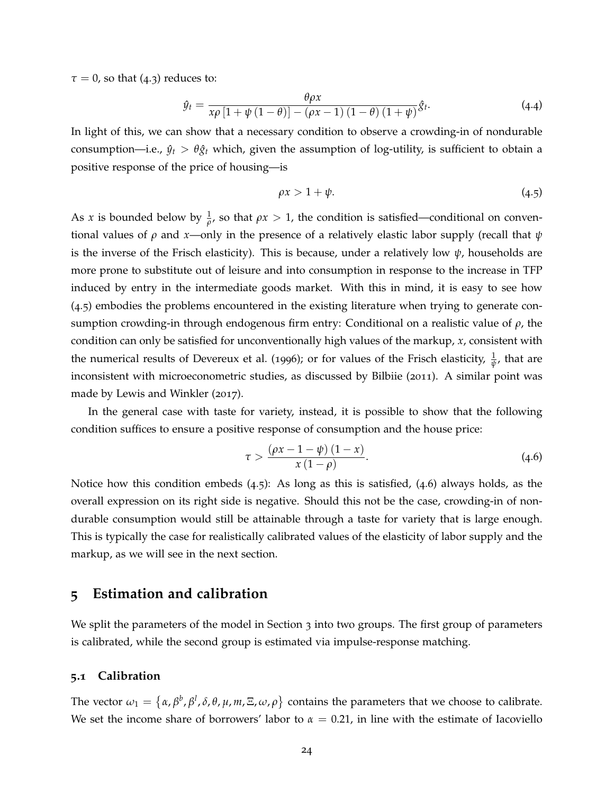$\tau = 0$ , so that ([4](#page-22-3).3) reduces to:

$$
\hat{y}_t = \frac{\theta \rho x}{x \rho \left[1 + \psi \left(1 - \theta\right)\right] - \left(\rho x - 1\right) \left(1 - \theta\right) \left(1 + \psi\right)} \hat{S}_t. \tag{4.4}
$$

In light of this, we can show that a necessary condition to observe a crowding-in of nondurable consumption—i.e.,  $\hat{y}_t > \theta \hat{g}_t$  which, given the assumption of log-utility, is sufficient to obtain a positive response of the price of housing—is

<span id="page-23-1"></span>
$$
\rho x > 1 + \psi. \tag{4.5}
$$

As *x* is bounded below by  $\frac{1}{\rho}$ , so that  $\rho x > 1$ , the condition is satisfied—conditional on conventional values of *ρ* and *x*—only in the presence of a relatively elastic labor supply (recall that *ψ* is the inverse of the Frisch elasticity). This is because, under a relatively low  $\psi$ , households are more prone to substitute out of leisure and into consumption in response to the increase in TFP induced by entry in the intermediate goods market. With this in mind, it is easy to see how ([4](#page-23-1).5) embodies the problems encountered in the existing literature when trying to generate consumption crowding-in through endogenous firm entry: Conditional on a realistic value of *ρ*, the condition can only be satisfied for unconventionally high values of the markup, *x*, consistent with the numerical results of [Devereux et al.](#page-35-0) ([1996](#page-35-0)); or for values of the Frisch elasticity,  $\frac{1}{\psi}$ , that are inconsistent with microeconometric studies, as discussed by Bilbiie (2011). A similar point was made by Lewis and Winkler (2017).

In the general case with taste for variety, instead, it is possible to show that the following condition suffices to ensure a positive response of consumption and the house price:

<span id="page-23-2"></span>
$$
\tau > \frac{(\rho x - 1 - \psi) (1 - x)}{x (1 - \rho)}.
$$
\n(4.6)

Notice how this condition embeds  $(4.5)$  $(4.5)$  $(4.5)$ : As long as this is satisfied,  $(4.6)$  $(4.6)$  $(4.6)$  always holds, as the overall expression on its right side is negative. Should this not be the case, crowding-in of nondurable consumption would still be attainable through a taste for variety that is large enough. This is typically the case for realistically calibrated values of the elasticity of labor supply and the markup, as we will see in the next section.

# <span id="page-23-0"></span>**5 Estimation and calibration**

We split the parameters of the model in Section [3](#page-15-0) into two groups. The first group of parameters is calibrated, while the second group is estimated via impulse-response matching.

### **5.1 Calibration**

The vector  $\omega_1 = \{\alpha, \beta^b, \beta^l, \delta, \theta, \mu, m, \Xi, \omega, \rho\}$  contains the parameters that we choose to calibrate. We set the income share of borrowers' labor to  $\alpha = 0.21$ , in line with the estimate of [Iacoviello](#page-37-2)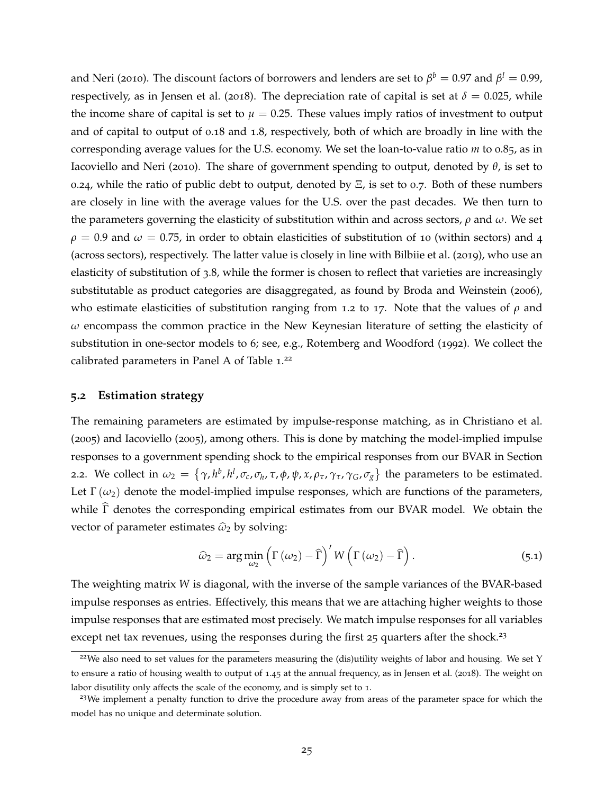[and Neri](#page-37-2) ([2010](#page-37-2)). The discount factors of borrowers and lenders are set to  $\beta^b=0.97$  and  $\beta^l=0.99$ , respectively, as in [Jensen et al.](#page-37-14) ([2018](#page-37-14)). The depreciation rate of capital is set at  $\delta = 0.025$ , while the income share of capital is set to  $\mu = 0.25$ . These values imply ratios of investment to output and of capital to output of 0.18 and 1.8, respectively, both of which are broadly in line with the corresponding average values for the U.S. economy. We set the loan-to-value ratio *m* to 0.85, as in [Iacoviello and Neri](#page-37-2) ([2010](#page-37-2)). The share of government spending to output, denoted by *θ*, is set to 0.24, while the ratio of public debt to output, denoted by  $E$ , is set to 0.7. Both of these numbers are closely in line with the average values for the U.S. over the past decades. We then turn to the parameters governing the elasticity of substitution within and across sectors, *ρ* and *ω*. We set  $\rho = 0.9$  and  $\omega = 0.75$ , in order to obtain elasticities of substitution of 10 (within sectors) and 4 (across sectors), respectively. The latter value is closely in line with [Bilbiie et al.](#page-35-5) ([2019](#page-35-5)), who use an elasticity of substitution of 3.8, while the former is chosen to reflect that varieties are increasingly substitutable as product categories are disaggregated, as found by [Broda and Weinstein](#page-35-9) ([2006](#page-35-9)), who estimate elasticities of substitution ranging from 1.2 to 17. Note that the values of *ρ* and *ω* encompass the common practice in the New Keynesian literature of setting the elasticity of substitution in one-sector models to 6; see, e.g., [Rotemberg and Woodford](#page-38-4) ([1992](#page-38-4)). We collect the calibrated parameters in Panel A of Table 1.<sup>[22](#page-24-0)</sup>

### **5.2 Estimation strategy**

The remaining parameters are estimated by impulse-response matching, as in [Christiano et al.](#page-35-11) ([2005](#page-35-11)) and [Iacoviello](#page-36-12) ([2005](#page-36-12)), among others. This is done by matching the model-implied impulse responses to a government spending shock to the empirical responses from our BVAR in Section [2](#page-12-1).2. We collect in  $\omega_2 = \{\gamma, h^b, h^l, \sigma_c, \sigma_h, \tau, \phi, \psi, x, \rho_\tau, \gamma_\tau, \gamma_G, \sigma_g\}$  the parameters to be estimated. Let  $\Gamma(\omega_2)$  denote the model-implied impulse responses, which are functions of the parameters, while  $\Gamma$  denotes the corresponding empirical estimates from our BVAR model. We obtain the vector of parameter estimates  $\hat{\omega}_2$  by solving:

$$
\widehat{\omega}_2 = \arg\min_{\omega_2} \left( \Gamma\left(\omega_2\right) - \widehat{\Gamma} \right)' W \left( \Gamma\left(\omega_2\right) - \widehat{\Gamma} \right). \tag{5.1}
$$

The weighting matrix *W* is diagonal, with the inverse of the sample variances of the BVAR-based impulse responses as entries. Effectively, this means that we are attaching higher weights to those impulse responses that are estimated most precisely. We match impulse responses for all variables except net tax revenues, using the responses during the first  $25$  quarters after the shock.<sup>[23](#page-24-1)</sup>

<span id="page-24-0"></span><sup>&</sup>lt;sup>22</sup>We also need to set values for the parameters measuring the (dis)utility weights of labor and housing. We set Y to ensure a ratio of housing wealth to output of 1.45 at the annual frequency, as in [Jensen et al.](#page-37-14) ([2018](#page-37-14)). The weight on labor disutility only affects the scale of the economy, and is simply set to 1.

<span id="page-24-1"></span><sup>&</sup>lt;sup>23</sup>We implement a penalty function to drive the procedure away from areas of the parameter space for which the model has no unique and determinate solution.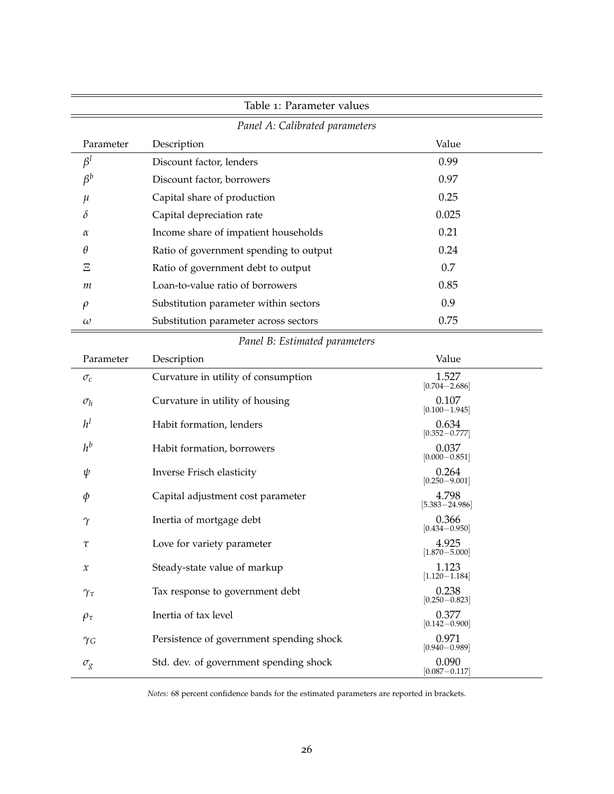| Table 1: Parameter values     |                                          |                             |  |  |  |  |
|-------------------------------|------------------------------------------|-----------------------------|--|--|--|--|
|                               | Panel A: Calibrated parameters           |                             |  |  |  |  |
| Parameter                     | Description                              | Value                       |  |  |  |  |
| $\beta^l$                     | Discount factor, lenders                 | 0.99                        |  |  |  |  |
| $\beta^b$                     | Discount factor, borrowers               | 0.97                        |  |  |  |  |
| μ                             | Capital share of production              | 0.25                        |  |  |  |  |
| δ                             | Capital depreciation rate                | 0.025                       |  |  |  |  |
| α                             | Income share of impatient households     | 0.21                        |  |  |  |  |
| θ                             | Ratio of government spending to output   | 0.24                        |  |  |  |  |
| Ξ                             | Ratio of government debt to output       | 0.7                         |  |  |  |  |
| т                             | Loan-to-value ratio of borrowers         | 0.85                        |  |  |  |  |
| $\rho$                        | Substitution parameter within sectors    | 0.9                         |  |  |  |  |
| $\omega$                      | Substitution parameter across sectors    | 0.75                        |  |  |  |  |
| Panel B: Estimated parameters |                                          |                             |  |  |  |  |
| Parameter                     | Description                              | Value                       |  |  |  |  |
| $\sigma_c$                    | Curvature in utility of consumption      | 1.527<br>$[0.704 - 2.686]$  |  |  |  |  |
| $\sigma_h$                    | Curvature in utility of housing          | 0.107<br>$[0.100 - 1.945]$  |  |  |  |  |
| $h^l$                         | Habit formation, lenders                 | 0.634<br>$[0.352 - 0.777]$  |  |  |  |  |
| $h^b$                         | Habit formation, borrowers               | 0.037<br>$[0.000 - 0.851]$  |  |  |  |  |
| ψ                             | Inverse Frisch elasticity                | 0.264<br>$[0.250 - 9.001]$  |  |  |  |  |
| Φ                             | Capital adjustment cost parameter        | 4.798<br>$[5.383 - 24.986]$ |  |  |  |  |
| $\gamma$                      | Inertia of mortgage debt                 | 0.366<br>$ 0.434 - 0.950 $  |  |  |  |  |
| τ                             | Love for variety parameter               | 4.925<br>$[1.870 - 5.000]$  |  |  |  |  |
| $\boldsymbol{\chi}$           | Steady-state value of markup             | 1.123<br>$[1.120 - 1.184]$  |  |  |  |  |
| $\gamma_\tau$                 | Tax response to government debt          | 0.238<br>$[0.250 - 0.823]$  |  |  |  |  |
| $\rho_{\tau}$                 | Inertia of tax level                     | 0.377<br>$[0.142 - 0.900]$  |  |  |  |  |
| $\gamma_G$                    | Persistence of government spending shock | 0.971<br>$[0.940 - 0.989]$  |  |  |  |  |
| $\sigma_g$                    | Std. dev. of government spending shock   | 0.090<br>$[0.087 - 0.117]$  |  |  |  |  |

*Notes:* 68 percent confidence bands for the estimated parameters are reported in brackets.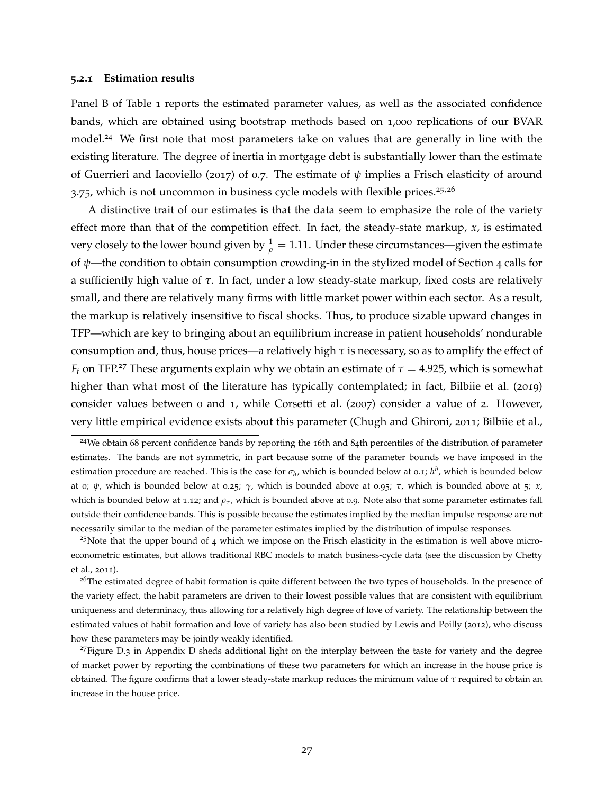#### <span id="page-26-4"></span>**5.2.1 Estimation results**

Panel B of Table 1 reports the estimated parameter values, as well as the associated confidence bands, which are obtained using bootstrap methods based on 1,000 replications of our BVAR model.<sup>[24](#page-26-0)</sup> We first note that most parameters take on values that are generally in line with the existing literature. The degree of inertia in mortgage debt is substantially lower than the estimate of [Guerrieri and Iacoviello](#page-36-9) ([2017](#page-36-9)) of 0.7. The estimate of  $\psi$  implies a Frisch elasticity of around  $3.75$ , which is not uncommon in business cycle models with flexible prices.<sup>[25](#page-26-1),[26](#page-26-2)</sup>

A distinctive trait of our estimates is that the data seem to emphasize the role of the variety effect more than that of the competition effect. In fact, the steady-state markup,  $x$ , is estimated very closely to the lower bound given by  $\frac{1}{\rho} = 1.11$ . Under these circumstances—given the estimate of *ψ*—the condition to obtain consumption crowding-in in the stylized model of Section [4](#page-21-0) calls for a sufficiently high value of *τ*. In fact, under a low steady-state markup, fixed costs are relatively small, and there are relatively many firms with little market power within each sector. As a result, the markup is relatively insensitive to fiscal shocks. Thus, to produce sizable upward changes in TFP—which are key to bringing about an equilibrium increase in patient households' nondurable consumption and, thus, house prices—a relatively high *τ* is necessary, so as to amplify the effect of *F*<sup>*t*</sup> on TFP.<sup>[27](#page-26-3)</sup> These arguments explain why we obtain an estimate of  $\tau = 4.925$ , which is somewhat higher than what most of the literature has typically contemplated; in fact, [Bilbiie et al.](#page-35-5) ([2019](#page-35-5)) consider values between 0 and 1, while [Corsetti et al.](#page-35-4) ([2007](#page-35-4)) consider a value of 2. However, very little empirical evidence exists about this parameter [\(Chugh and Ghironi,](#page-35-2) [2011](#page-35-2); [Bilbiie et al.,](#page-35-5)

<span id="page-26-1"></span> $25$ Note that the upper bound of 4 which we impose on the Frisch elasticity in the estimation is well above microeconometric estimates, but allows traditional RBC models to match business-cycle data (see the discussion by [Chetty](#page-35-12) [et al.,](#page-35-12) [2011](#page-35-12)).

<span id="page-26-0"></span><sup>24</sup>We obtain 68 percent confidence bands by reporting the 16th and 84th percentiles of the distribution of parameter estimates. The bands are not symmetric, in part because some of the parameter bounds we have imposed in the estimation procedure are reached. This is the case for  $\sigma_h$ , which is bounded below at 0.1;  $h^b$ , which is bounded below at 0; *ψ*, which is bounded below at 0.25; *γ*, which is bounded above at 0.95; *τ*, which is bounded above at 5; *x*, which is bounded below at 1.12; and  $\rho_\tau$ , which is bounded above at 0.9. Note also that some parameter estimates fall outside their confidence bands. This is possible because the estimates implied by the median impulse response are not necessarily similar to the median of the parameter estimates implied by the distribution of impulse responses.

<span id="page-26-2"></span><sup>&</sup>lt;sup>26</sup>The estimated degree of habit formation is quite different between the two types of households. In the presence of the variety effect, the habit parameters are driven to their lowest possible values that are consistent with equilibrium uniqueness and determinacy, thus allowing for a relatively high degree of love of variety. The relationship between the estimated values of habit formation and love of variety has also been studied by [Lewis and Poilly](#page-37-5) ([2012](#page-37-5)), who discuss how these parameters may be jointly weakly identified.

<span id="page-26-3"></span> $27$ Figure [D](#page-58-0).3 in Appendix D sheds additional light on the interplay between the taste for variety and the degree of market power by reporting the combinations of these two parameters for which an increase in the house price is obtained. The figure confirms that a lower steady-state markup reduces the minimum value of *τ* required to obtain an increase in the house price.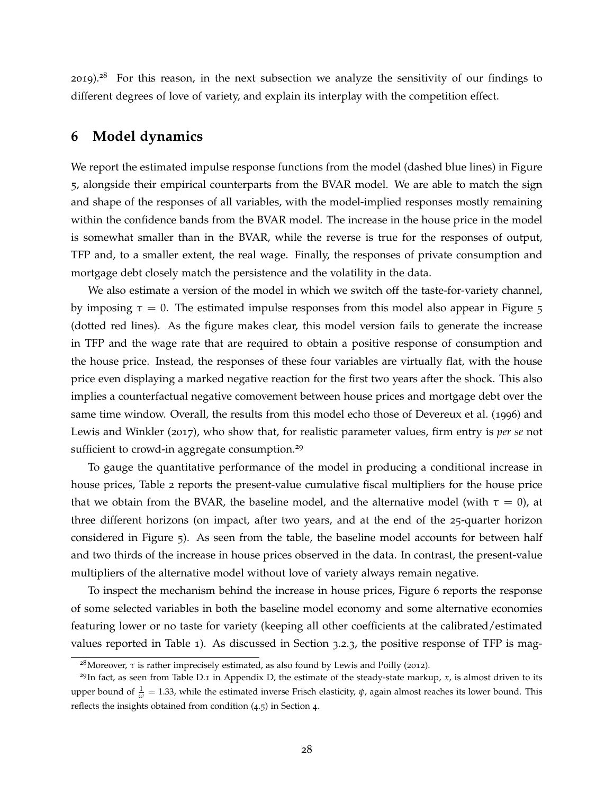[2019](#page-35-5)).<sup>[28](#page-27-1)</sup> For this reason, in the next subsection we analyze the sensitivity of our findings to different degrees of love of variety, and explain its interplay with the competition effect.

# <span id="page-27-0"></span>**6 Model dynamics**

We report the estimated impulse response functions from the model (dashed blue lines) in Figure [5](#page-28-0), alongside their empirical counterparts from the BVAR model. We are able to match the sign and shape of the responses of all variables, with the model-implied responses mostly remaining within the confidence bands from the BVAR model. The increase in the house price in the model is somewhat smaller than in the BVAR, while the reverse is true for the responses of output, TFP and, to a smaller extent, the real wage. Finally, the responses of private consumption and mortgage debt closely match the persistence and the volatility in the data.

We also estimate a version of the model in which we switch off the taste-for-variety channel, by imposing  $\tau = 0$ . The estimated impulse responses from this model also appear in Figure [5](#page-28-0) (dotted red lines). As the figure makes clear, this model version fails to generate the increase in TFP and the wage rate that are required to obtain a positive response of consumption and the house price. Instead, the responses of these four variables are virtually flat, with the house price even displaying a marked negative reaction for the first two years after the shock. This also implies a counterfactual negative comovement between house prices and mortgage debt over the same time window. Overall, the results from this model echo those of [Devereux et al.](#page-35-0) ([1996](#page-35-0)) and [Lewis and Winkler](#page-37-1) ([2017](#page-37-1)), who show that, for realistic parameter values, firm entry is *per se* not sufficient to crowd-in aggregate consumption.<sup>[29](#page-27-2)</sup>

To gauge the quantitative performance of the model in producing a conditional increase in house prices, Table 2 reports the present-value cumulative fiscal multipliers for the house price that we obtain from the BVAR, the baseline model, and the alternative model (with  $\tau = 0$ ), at three different horizons (on impact, after two years, and at the end of the 25-quarter horizon considered in Figure [5](#page-28-0)). As seen from the table, the baseline model accounts for between half and two thirds of the increase in house prices observed in the data. In contrast, the present-value multipliers of the alternative model without love of variety always remain negative.

To inspect the mechanism behind the increase in house prices, Figure [6](#page-30-0) reports the response of some selected variables in both the baseline model economy and some alternative economies featuring lower or no taste for variety (keeping all other coefficients at the calibrated/estimated values reported in Table 1). As discussed in Section [3](#page-19-3).2.3, the positive response of TFP is mag-

<span id="page-27-2"></span><span id="page-27-1"></span><sup>&</sup>lt;sup>28</sup>Moreover, *τ* is rather imprecisely estimated, as also found by [Lewis and Poilly](#page-37-5) ([2012](#page-37-5)).

 $^{29}$ In fact, as seen from Table D.1 in Appendix [D,](#page-58-0) the estimate of the steady-state markup,  $x$ , is almost driven to its upper bound of  $\frac{1}{ω}$  = 1.33, while the estimated inverse Frisch elasticity,  $ψ$ , again almost reaches its lower bound. This reflects the insights obtained from condition ([4](#page-23-1).5) in Section [4](#page-21-0).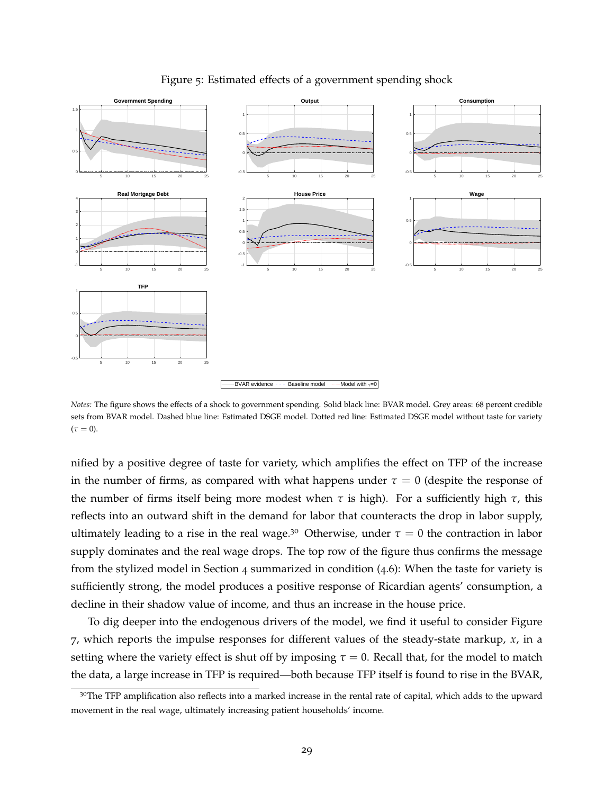<span id="page-28-0"></span>

### Figure 5: Estimated effects of a government spending shock

*Notes:* The figure shows the effects of a shock to government spending. Solid black line: BVAR model. Grey areas: 68 percent credible sets from BVAR model. Dashed blue line: Estimated DSGE model. Dotted red line: Estimated DSGE model without taste for variety  $(\tau = 0)$ .

nified by a positive degree of taste for variety, which amplifies the effect on TFP of the increase in the number of firms, as compared with what happens under  $\tau = 0$  (despite the response of the number of firms itself being more modest when  $τ$  is high). For a sufficiently high  $τ$ , this reflects into an outward shift in the demand for labor that counteracts the drop in labor supply, ultimately leading to a rise in the real wage.<sup>[30](#page-28-1)</sup> Otherwise, under  $\tau = 0$  the contraction in labor supply dominates and the real wage drops. The top row of the figure thus confirms the message from the stylized model in Section [4](#page-21-0) summarized in condition ([4](#page-23-2).6): When the taste for variety is sufficiently strong, the model produces a positive response of Ricardian agents' consumption, a decline in their shadow value of income, and thus an increase in the house price.

To dig deeper into the endogenous drivers of the model, we find it useful to consider Figure [7](#page-31-0), which reports the impulse responses for different values of the steady-state markup, *x*, in a setting where the variety effect is shut off by imposing  $\tau = 0$ . Recall that, for the model to match the data, a large increase in TFP is required—both because TFP itself is found to rise in the BVAR,

<span id="page-28-1"></span><sup>&</sup>lt;sup>30</sup>The TFP amplification also reflects into a marked increase in the rental rate of capital, which adds to the upward movement in the real wage, ultimately increasing patient households' income.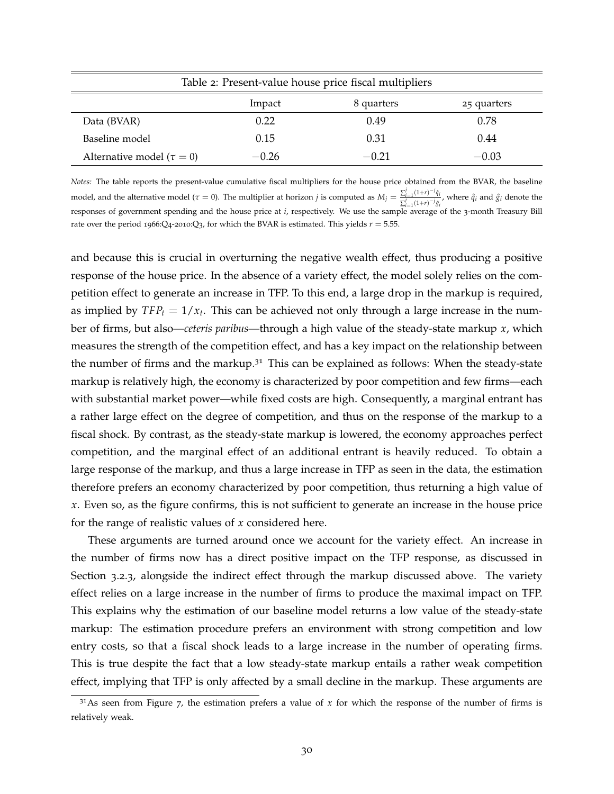| Table 2: Present-value house price fiscal multipliers |         |            |             |  |  |
|-------------------------------------------------------|---------|------------|-------------|--|--|
|                                                       | Impact  | 8 quarters | 25 quarters |  |  |
| Data (BVAR)                                           | 0.22    | 0.49       | 0.78        |  |  |
| Baseline model                                        | 0.15    | 0.31       | 0.44        |  |  |
| Alternative model ( $\tau = 0$ )                      | $-0.26$ | $-0.21$    | $-0.03$     |  |  |

*Notes:* The table reports the present-value cumulative fiscal multipliers for the house price obtained from the BVAR, the baseline model, and the alternative model ( $\tau = 0$ ). The multiplier at horizon *j* is computed as  $M_j = \frac{\sum_{i=1}^{j} (1+r)^{-j} \hat{q}_i}{\sum_{i=1}^{j} (1+r)^{-j} \hat{q}_i}$  $\sum_{i=1}^{i} \frac{(1+i)^{i} + j}{j}$  where  $\hat{q}_i$  and  $\hat{g}_i$  denote the responses of government spending and the house price at *i*, respectively. We use the sample average of the 3-month Treasury Bill rate over the period 1966:Q4-2010:Q<sub>3</sub>, for which the BVAR is estimated. This yields  $r = 5.55$ .

and because this is crucial in overturning the negative wealth effect, thus producing a positive response of the house price. In the absence of a variety effect, the model solely relies on the competition effect to generate an increase in TFP. To this end, a large drop in the markup is required, as implied by  $TFP_t = 1/x_t$ . This can be achieved not only through a large increase in the number of firms, but also—*ceteris paribus*—through a high value of the steady-state markup *x*, which measures the strength of the competition effect, and has a key impact on the relationship between the number of firms and the markup. $3<sup>1</sup>$  This can be explained as follows: When the steady-state markup is relatively high, the economy is characterized by poor competition and few firms—each with substantial market power—while fixed costs are high. Consequently, a marginal entrant has a rather large effect on the degree of competition, and thus on the response of the markup to a fiscal shock. By contrast, as the steady-state markup is lowered, the economy approaches perfect competition, and the marginal effect of an additional entrant is heavily reduced. To obtain a large response of the markup, and thus a large increase in TFP as seen in the data, the estimation therefore prefers an economy characterized by poor competition, thus returning a high value of *x*. Even so, as the figure confirms, this is not sufficient to generate an increase in the house price for the range of realistic values of *x* considered here.

These arguments are turned around once we account for the variety effect. An increase in the number of firms now has a direct positive impact on the TFP response, as discussed in Section [3](#page-19-3).2.3, alongside the indirect effect through the markup discussed above. The variety effect relies on a large increase in the number of firms to produce the maximal impact on TFP. This explains why the estimation of our baseline model returns a low value of the steady-state markup: The estimation procedure prefers an environment with strong competition and low entry costs, so that a fiscal shock leads to a large increase in the number of operating firms. This is true despite the fact that a low steady-state markup entails a rather weak competition effect, implying that TFP is only affected by a small decline in the markup. These arguments are

<span id="page-29-0"></span> $3<sup>1</sup>$ As seen from Figure [7](#page-31-0), the estimation prefers a value of *x* for which the response of the number of firms is relatively weak.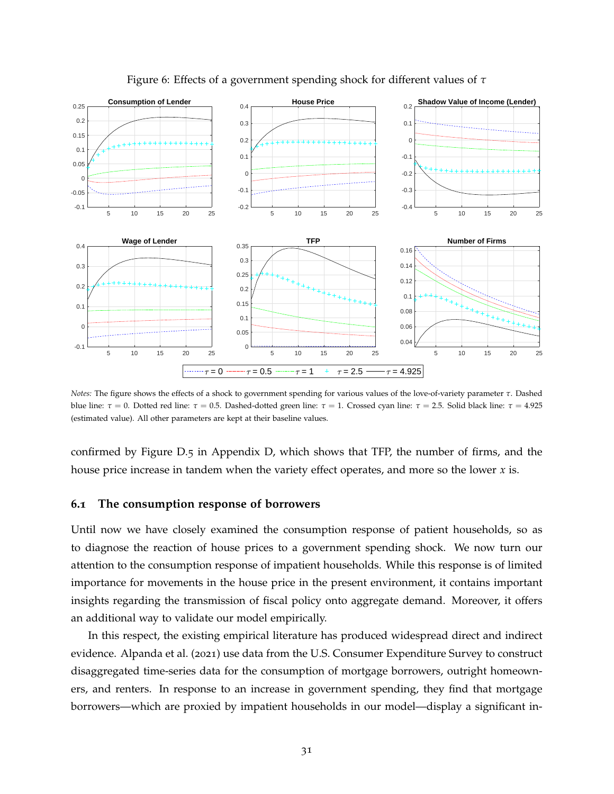<span id="page-30-0"></span>

Figure 6: Effects of a government spending shock for different values of *τ*

*Notes:* The figure shows the effects of a shock to government spending for various values of the love-of-variety parameter *τ*. Dashed blue line: *τ* = 0. Dotted red line: *τ* = 0.5. Dashed-dotted green line: *τ* = 1. Crossed cyan line: *τ* = 2.5. Solid black line: *τ* = 4.925 (estimated value). All other parameters are kept at their baseline values.

confirmed by Figure [D.](#page-60-0)5 in Appendix [D,](#page-58-0) which shows that TFP, the number of firms, and the house price increase in tandem when the variety effect operates, and more so the lower *x* is.

### **6.1 The consumption response of borrowers**

Until now we have closely examined the consumption response of patient households, so as to diagnose the reaction of house prices to a government spending shock. We now turn our attention to the consumption response of impatient households. While this response is of limited importance for movements in the house price in the present environment, it contains important insights regarding the transmission of fiscal policy onto aggregate demand. Moreover, it offers an additional way to validate our model empirically.

In this respect, the existing empirical literature has produced widespread direct and indirect evidence. [Alpanda et al.](#page-34-4) ([2021](#page-34-4)) use data from the U.S. Consumer Expenditure Survey to construct disaggregated time-series data for the consumption of mortgage borrowers, outright homeowners, and renters. In response to an increase in government spending, they find that mortgage borrowers—which are proxied by impatient households in our model—display a significant in-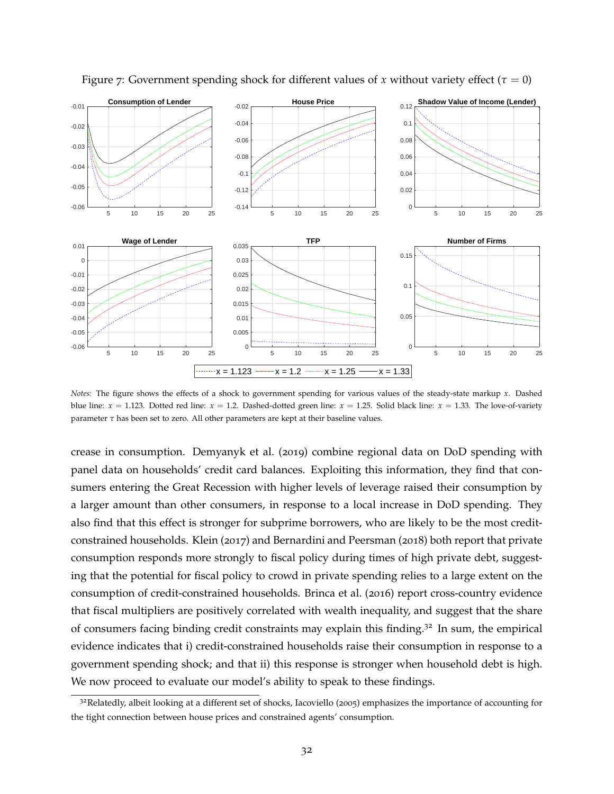

<span id="page-31-0"></span>Figure 7: Government spending shock for different values of *x* without variety effect ( $\tau = 0$ )

*Notes:* The figure shows the effects of a shock to government spending for various values of the steady-state markup *x*. Dashed blue line:  $x = 1.123$ . Dotted red line:  $x = 1.2$ . Dashed-dotted green line:  $x = 1.25$ . Solid black line:  $x = 1.33$ . The love-of-variety parameter *τ* has been set to zero. All other parameters are kept at their baseline values.

crease in consumption. [Demyanyk et al.](#page-35-13) ([2019](#page-35-13)) combine regional data on DoD spending with panel data on households' credit card balances. Exploiting this information, they find that consumers entering the Great Recession with higher levels of leverage raised their consumption by a larger amount than other consumers, in response to a local increase in DoD spending. They also find that this effect is stronger for subprime borrowers, who are likely to be the most creditconstrained households. [Klein](#page-37-15) ([2017](#page-37-15)) and [Bernardini and Peersman](#page-34-13) ([2018](#page-34-13)) both report that private consumption responds more strongly to fiscal policy during times of high private debt, suggesting that the potential for fiscal policy to crowd in private spending relies to a large extent on the consumption of credit-constrained households. [Brinca et al.](#page-35-14) ([2016](#page-35-14)) report cross-country evidence that fiscal multipliers are positively correlated with wealth inequality, and suggest that the share of consumers facing binding credit constraints may explain this finding.<sup>[32](#page-31-1)</sup> In sum, the empirical evidence indicates that i) credit-constrained households raise their consumption in response to a government spending shock; and that ii) this response is stronger when household debt is high. We now proceed to evaluate our model's ability to speak to these findings.

<span id="page-31-1"></span><sup>&</sup>lt;sup>32</sup>Relatedly, albeit looking at a different set of shocks, [Iacoviello](#page-36-12) ([2005](#page-36-12)) emphasizes the importance of accounting for the tight connection between house prices and constrained agents' consumption.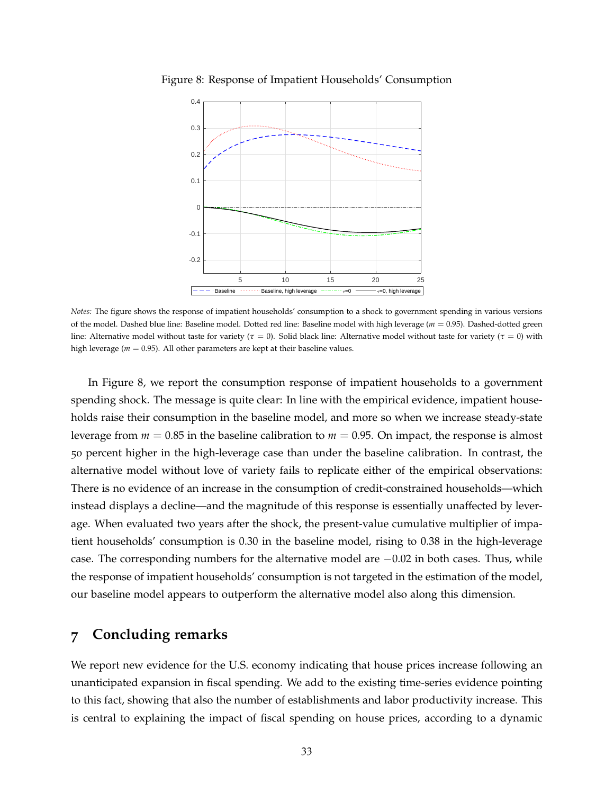

<span id="page-32-1"></span>Figure 8: Response of Impatient Households' Consumption

*Notes:* The figure shows the response of impatient households' consumption to a shock to government spending in various versions of the model. Dashed blue line: Baseline model. Dotted red line: Baseline model with high leverage (*m* = 0.95). Dashed-dotted green line: Alternative model without taste for variety ( $\tau = 0$ ). Solid black line: Alternative model without taste for variety ( $\tau = 0$ ) with high leverage ( $m = 0.95$ ). All other parameters are kept at their baseline values.

In Figure [8](#page-32-1), we report the consumption response of impatient households to a government spending shock. The message is quite clear: In line with the empirical evidence, impatient households raise their consumption in the baseline model, and more so when we increase steady-state leverage from *m* = 0.85 in the baseline calibration to *m* = 0.95. On impact, the response is almost 50 percent higher in the high-leverage case than under the baseline calibration. In contrast, the alternative model without love of variety fails to replicate either of the empirical observations: There is no evidence of an increase in the consumption of credit-constrained households—which instead displays a decline—and the magnitude of this response is essentially unaffected by leverage. When evaluated two years after the shock, the present-value cumulative multiplier of impatient households' consumption is 0.30 in the baseline model, rising to 0.38 in the high-leverage case. The corresponding numbers for the alternative model are  $-0.02$  in both cases. Thus, while the response of impatient households' consumption is not targeted in the estimation of the model, our baseline model appears to outperform the alternative model also along this dimension.

# <span id="page-32-0"></span>**7 Concluding remarks**

We report new evidence for the U.S. economy indicating that house prices increase following an unanticipated expansion in fiscal spending. We add to the existing time-series evidence pointing to this fact, showing that also the number of establishments and labor productivity increase. This is central to explaining the impact of fiscal spending on house prices, according to a dynamic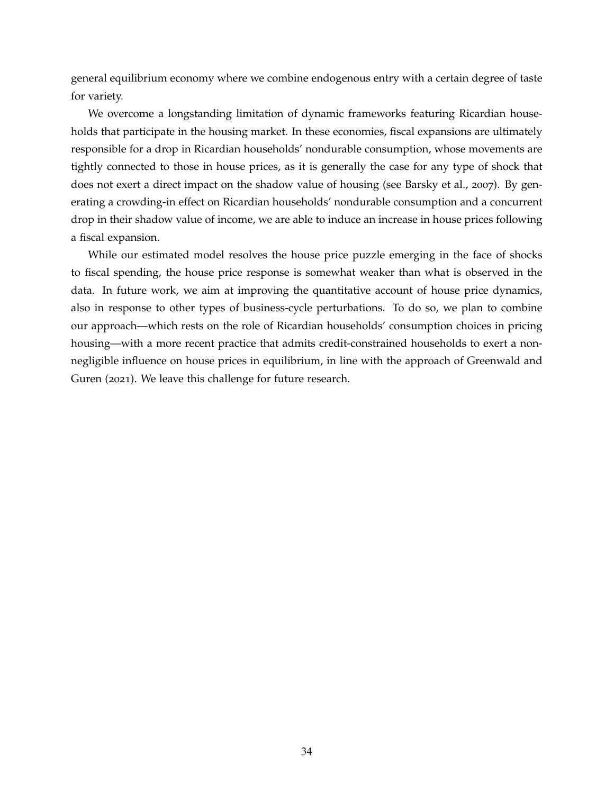general equilibrium economy where we combine endogenous entry with a certain degree of taste for variety.

We overcome a longstanding limitation of dynamic frameworks featuring Ricardian households that participate in the housing market. In these economies, fiscal expansions are ultimately responsible for a drop in Ricardian households' nondurable consumption, whose movements are tightly connected to those in house prices, as it is generally the case for any type of shock that does not exert a direct impact on the shadow value of housing (see [Barsky et al.,](#page-34-1) [2007](#page-34-1)). By generating a crowding-in effect on Ricardian households' nondurable consumption and a concurrent drop in their shadow value of income, we are able to induce an increase in house prices following a fiscal expansion.

While our estimated model resolves the house price puzzle emerging in the face of shocks to fiscal spending, the house price response is somewhat weaker than what is observed in the data. In future work, we aim at improving the quantitative account of house price dynamics, also in response to other types of business-cycle perturbations. To do so, we plan to combine our approach—which rests on the role of Ricardian households' consumption choices in pricing housing—with a more recent practice that admits credit-constrained households to exert a nonnegligible influence on house prices in equilibrium, in line with the approach of [Greenwald and](#page-36-13) [Guren](#page-36-13) ([2021](#page-36-13)). We leave this challenge for future research.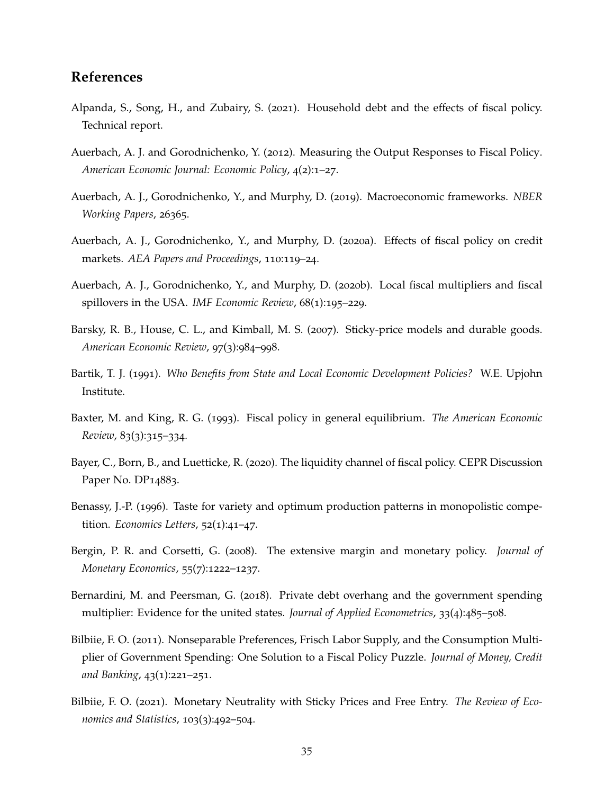# **References**

- <span id="page-34-4"></span>Alpanda, S., Song, H., and Zubairy, S. (2021). Household debt and the effects of fiscal policy. Technical report.
- <span id="page-34-10"></span>Auerbach, A. J. and Gorodnichenko, Y. (2012). Measuring the Output Responses to Fiscal Policy. *American Economic Journal: Economic Policy*, 4(2):1–27.
- <span id="page-34-0"></span>Auerbach, A. J., Gorodnichenko, Y., and Murphy, D. (2019). Macroeconomic frameworks. *NBER Working Papers*, 26365.
- <span id="page-34-11"></span>Auerbach, A. J., Gorodnichenko, Y., and Murphy, D. (2020a). Effects of fiscal policy on credit markets. *AEA Papers and Proceedings*, 110:119–24.
- <span id="page-34-8"></span>Auerbach, A. J., Gorodnichenko, Y., and Murphy, D. (2020b). Local fiscal multipliers and fiscal spillovers in the USA. *IMF Economic Review*, 68(1):195–229.
- <span id="page-34-1"></span>Barsky, R. B., House, C. L., and Kimball, M. S. (2007). Sticky-price models and durable goods. *American Economic Review*, 97(3):984–998.
- <span id="page-34-9"></span>Bartik, T. J. (1991). *Who Benefits from State and Local Economic Development Policies?* W.E. Upjohn Institute.
- <span id="page-34-5"></span>Baxter, M. and King, R. G. (1993). Fiscal policy in general equilibrium. *The American Economic Review*, 83(3):315–334.
- <span id="page-34-12"></span>Bayer, C., Born, B., and Luetticke, R. (2020). The liquidity channel of fiscal policy. CEPR Discussion Paper No. DP<sub>14883</sub>.
- <span id="page-34-2"></span>Benassy, J.-P. (1996). Taste for variety and optimum production patterns in monopolistic competition. *Economics Letters*, 52(1):41–47.
- <span id="page-34-6"></span>Bergin, P. R. and Corsetti, G. (2008). The extensive margin and monetary policy. *Journal of Monetary Economics*, 55(7):1222–1237.
- <span id="page-34-13"></span>Bernardini, M. and Peersman, G. (2018). Private debt overhang and the government spending multiplier: Evidence for the united states. *Journal of Applied Econometrics*, 33(4):485–508.
- <span id="page-34-3"></span>Bilbiie, F. O. (2011). Nonseparable Preferences, Frisch Labor Supply, and the Consumption Multiplier of Government Spending: One Solution to a Fiscal Policy Puzzle. *Journal of Money, Credit and Banking*, 43(1):221–251.
- <span id="page-34-7"></span>Bilbiie, F. O. (2021). Monetary Neutrality with Sticky Prices and Free Entry. *The Review of Economics and Statistics*, 103(3):492–504.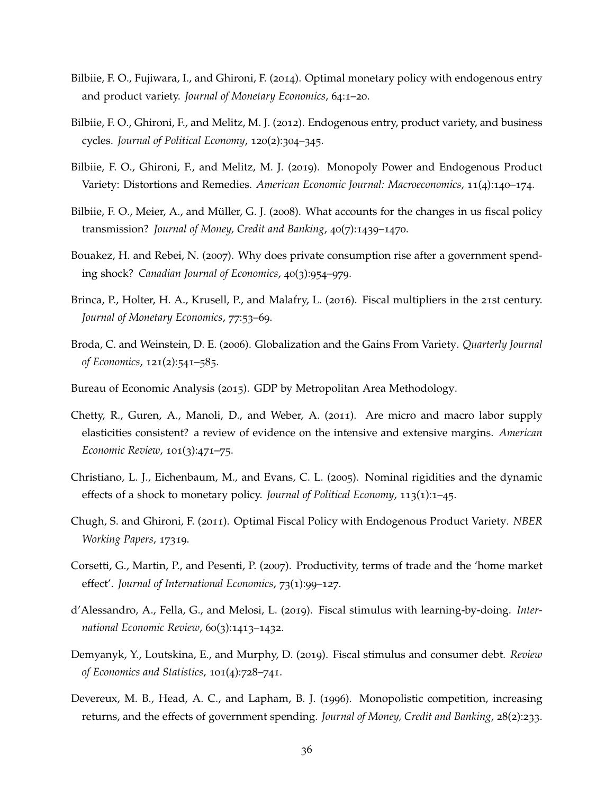- <span id="page-35-3"></span>Bilbiie, F. O., Fujiwara, I., and Ghironi, F. (2014). Optimal monetary policy with endogenous entry and product variety. *Journal of Monetary Economics*, 64:1–20.
- <span id="page-35-1"></span>Bilbiie, F. O., Ghironi, F., and Melitz, M. J. (2012). Endogenous entry, product variety, and business cycles. *Journal of Political Economy*, 120(2):304–345.
- <span id="page-35-5"></span>Bilbiie, F. O., Ghironi, F., and Melitz, M. J. (2019). Monopoly Power and Endogenous Product Variety: Distortions and Remedies. *American Economic Journal: Macroeconomics*, 11(4):140–174.
- <span id="page-35-7"></span>Bilbiie, F. O., Meier, A., and Müller, G. J. (2008). What accounts for the changes in us fiscal policy transmission? *Journal of Money, Credit and Banking*, 40(7):1439–1470.
- <span id="page-35-10"></span>Bouakez, H. and Rebei, N. (2007). Why does private consumption rise after a government spending shock? *Canadian Journal of Economics*, 40(3):954–979.
- <span id="page-35-14"></span>Brinca, P., Holter, H. A., Krusell, P., and Malafry, L. (2016). Fiscal multipliers in the 21st century. *Journal of Monetary Economics*, 77:53–69.
- <span id="page-35-9"></span>Broda, C. and Weinstein, D. E. (2006). Globalization and the Gains From Variety. *Quarterly Journal of Economics*, 121(2):541–585.
- <span id="page-35-6"></span>Bureau of Economic Analysis (2015). GDP by Metropolitan Area Methodology.
- <span id="page-35-12"></span>Chetty, R., Guren, A., Manoli, D., and Weber, A. (2011). Are micro and macro labor supply elasticities consistent? a review of evidence on the intensive and extensive margins. *American Economic Review*, 101(3):471–75.
- <span id="page-35-11"></span>Christiano, L. J., Eichenbaum, M., and Evans, C. L. (2005). Nominal rigidities and the dynamic effects of a shock to monetary policy. *Journal of Political Economy*, 113(1):1–45.
- <span id="page-35-2"></span>Chugh, S. and Ghironi, F. (2011). Optimal Fiscal Policy with Endogenous Product Variety. *NBER Working Papers*, 17319.
- <span id="page-35-4"></span>Corsetti, G., Martin, P., and Pesenti, P. (2007). Productivity, terms of trade and the 'home market effect'. *Journal of International Economics*, 73(1):99–127.
- <span id="page-35-8"></span>d'Alessandro, A., Fella, G., and Melosi, L. (2019). Fiscal stimulus with learning-by-doing. *International Economic Review*, 60(3):1413–1432.
- <span id="page-35-13"></span>Demyanyk, Y., Loutskina, E., and Murphy, D. (2019). Fiscal stimulus and consumer debt. *Review of Economics and Statistics*, 101(4):728–741.
- <span id="page-35-0"></span>Devereux, M. B., Head, A. C., and Lapham, B. J. (1996). Monopolistic competition, increasing returns, and the effects of government spending. *Journal of Money, Credit and Banking*, 28(2):233.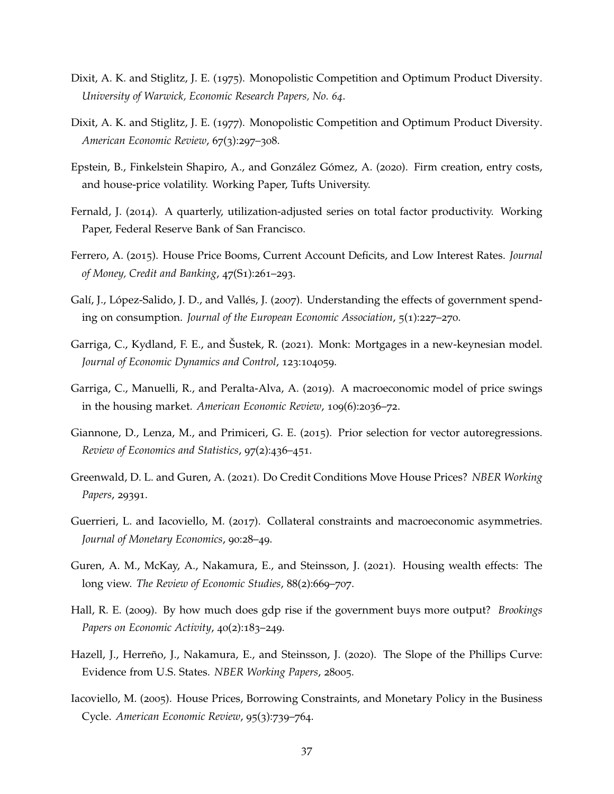- <span id="page-36-11"></span>Dixit, A. K. and Stiglitz, J. E. (1975). Monopolistic Competition and Optimum Product Diversity. *University of Warwick, Economic Research Papers, No. 64*.
- <span id="page-36-10"></span>Dixit, A. K. and Stiglitz, J. E. (1977). Monopolistic Competition and Optimum Product Diversity. *American Economic Review*, 67(3):297–308.
- <span id="page-36-1"></span>Epstein, B., Finkelstein Shapiro, A., and González Gómez, A. (2020). Firm creation, entry costs, and house-price volatility. Working Paper, Tufts University.
- <span id="page-36-14"></span>Fernald, J. (2014). A quarterly, utilization-adjusted series on total factor productivity. Working Paper, Federal Reserve Bank of San Francisco.
- <span id="page-36-2"></span>Ferrero, A. (2015). House Price Booms, Current Account Deficits, and Low Interest Rates. *Journal of Money, Credit and Banking*, 47(S1):261–293.
- <span id="page-36-8"></span>Galí, J., López-Salido, J. D., and Vallés, J. (2007). Understanding the effects of government spending on consumption. *Journal of the European Economic Association*, 5(1):227–270.
- <span id="page-36-4"></span>Garriga, C., Kydland, F. E., and Šustek, R. (2021). Monk: Mortgages in a new-keynesian model. *Journal of Economic Dynamics and Control*, 123:104059.
- <span id="page-36-3"></span>Garriga, C., Manuelli, R., and Peralta-Alva, A. (2019). A macroeconomic model of price swings in the housing market. *American Economic Review*, 109(6):2036–72.
- <span id="page-36-7"></span>Giannone, D., Lenza, M., and Primiceri, G. E. (2015). Prior selection for vector autoregressions. *Review of Economics and Statistics*, 97(2):436–451.
- <span id="page-36-13"></span>Greenwald, D. L. and Guren, A. (2021). Do Credit Conditions Move House Prices? *NBER Working Papers*, 29391.
- <span id="page-36-9"></span>Guerrieri, L. and Iacoviello, M. (2017). Collateral constraints and macroeconomic asymmetries. *Journal of Monetary Economics*, 90:28–49.
- <span id="page-36-6"></span>Guren, A. M., McKay, A., Nakamura, E., and Steinsson, J. (2021). Housing wealth effects: The long view. *The Review of Economic Studies*, 88(2):669–707.
- <span id="page-36-0"></span>Hall, R. E. (2009). By how much does gdp rise if the government buys more output? *Brookings Papers on Economic Activity*, 40(2):183–249.
- <span id="page-36-5"></span>Hazell, J., Herreño, J., Nakamura, E., and Steinsson, J. (2020). The Slope of the Phillips Curve: Evidence from U.S. States. *NBER Working Papers*, 28005.
- <span id="page-36-12"></span>Iacoviello, M. (2005). House Prices, Borrowing Constraints, and Monetary Policy in the Business Cycle. *American Economic Review*, 95(3):739–764.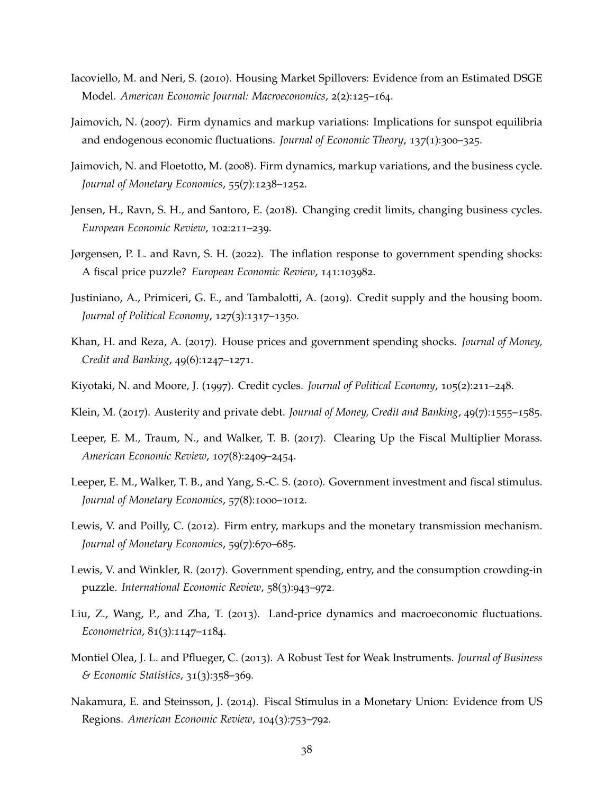- <span id="page-37-2"></span>Iacoviello, M. and Neri, S. (2010). Housing Market Spillovers: Evidence from an Estimated DSGE Model. *American Economic Journal: Macroeconomics*, 2(2):125–164.
- <span id="page-37-10"></span>Jaimovich, N. (2007). Firm dynamics and markup variations: Implications for sunspot equilibria and endogenous economic fluctuations. *Journal of Economic Theory*, 137(1):300–325.
- <span id="page-37-11"></span>Jaimovich, N. and Floetotto, M. (2008). Firm dynamics, markup variations, and the business cycle. *Journal of Monetary Economics*, 55(7):1238–1252.
- <span id="page-37-14"></span>Jensen, H., Ravn, S. H., and Santoro, E. (2018). Changing credit limits, changing business cycles. *European Economic Review*, 102:211–239.
- <span id="page-37-9"></span>Jørgensen, P. L. and Ravn, S. H. (2022). The inflation response to government spending shocks: A fiscal price puzzle? *European Economic Review*, 141:103982.
- <span id="page-37-7"></span>Justiniano, A., Primiceri, G. E., and Tambalotti, A. (2019). Credit supply and the housing boom. *Journal of Political Economy*, 127(3):1317–1350.
- <span id="page-37-0"></span>Khan, H. and Reza, A. (2017). House prices and government spending shocks. *Journal of Money, Credit and Banking*, 49(6):1247–1271.
- <span id="page-37-12"></span>Kiyotaki, N. and Moore, J. (1997). Credit cycles. *Journal of Political Economy*, 105(2):211–248.
- <span id="page-37-15"></span>Klein, M. (2017). Austerity and private debt. *Journal of Money, Credit and Banking*, 49(7):1555–1585.
- <span id="page-37-13"></span>Leeper, E. M., Traum, N., and Walker, T. B. (2017). Clearing Up the Fiscal Multiplier Morass. *American Economic Review*, 107(8):2409–2454.
- <span id="page-37-4"></span>Leeper, E. M., Walker, T. B., and Yang, S.-C. S. (2010). Government investment and fiscal stimulus. *Journal of Monetary Economics*, 57(8):1000–1012.
- <span id="page-37-5"></span>Lewis, V. and Poilly, C. (2012). Firm entry, markups and the monetary transmission mechanism. *Journal of Monetary Economics*, 59(7):670–685.
- <span id="page-37-1"></span>Lewis, V. and Winkler, R. (2017). Government spending, entry, and the consumption crowding-in puzzle. *International Economic Review*, 58(3):943–972.
- <span id="page-37-3"></span>Liu, Z., Wang, P., and Zha, T. (2013). Land-price dynamics and macroeconomic fluctuations. *Econometrica*, 81(3):1147–1184.
- <span id="page-37-8"></span>Montiel Olea, J. L. and Pflueger, C. (2013). A Robust Test for Weak Instruments. *Journal of Business & Economic Statistics*, 31(3):358–369.
- <span id="page-37-6"></span>Nakamura, E. and Steinsson, J. (2014). Fiscal Stimulus in a Monetary Union: Evidence from US Regions. *American Economic Review*, 104(3):753–792.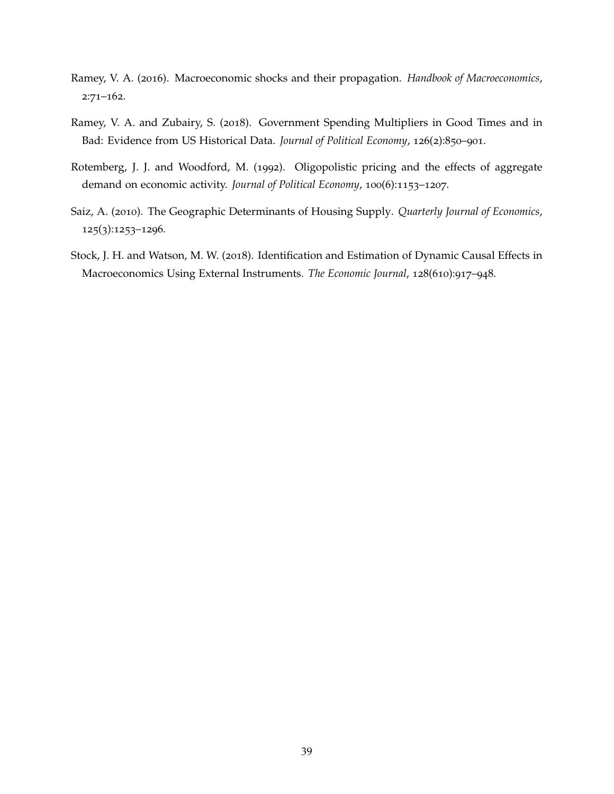- <span id="page-38-0"></span>Ramey, V. A. (2016). Macroeconomic shocks and their propagation. *Handbook of Macroeconomics*, 2:71–162.
- <span id="page-38-2"></span>Ramey, V. A. and Zubairy, S. (2018). Government Spending Multipliers in Good Times and in Bad: Evidence from US Historical Data. *Journal of Political Economy*, 126(2):850–901.
- <span id="page-38-4"></span>Rotemberg, J. J. and Woodford, M. (1992). Oligopolistic pricing and the effects of aggregate demand on economic activity. *Journal of Political Economy*, 100(6):1153–1207.
- <span id="page-38-3"></span>Saiz, A. (2010). The Geographic Determinants of Housing Supply. *Quarterly Journal of Economics*, 125(3):1253–1296.
- <span id="page-38-1"></span>Stock, J. H. and Watson, M. W. (2018). Identification and Estimation of Dynamic Causal Effects in Macroeconomics Using External Instruments. *The Economic Journal*, 128(610):917–948.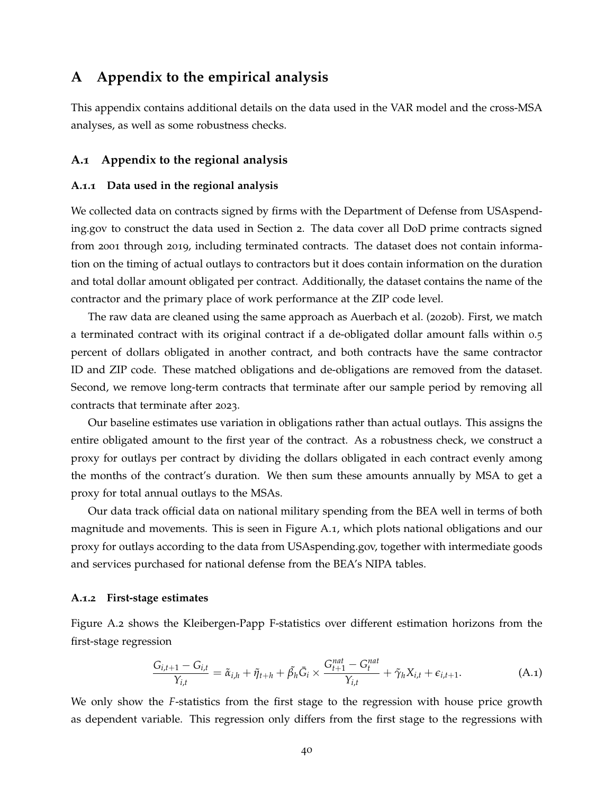# **A Appendix to the empirical analysis**

This appendix contains additional details on the data used in the VAR model and the cross-MSA analyses, as well as some robustness checks.

### **A.1 Appendix to the regional analysis**

#### <span id="page-39-0"></span>**A.1.1 Data used in the regional analysis**

We collected data on contracts signed by firms with the Department of Defense from USAspending.gov to construct the data used in Section [2](#page-5-1). The data cover all DoD prime contracts signed from 2001 through 2019, including terminated contracts. The dataset does not contain information on the timing of actual outlays to contractors but it does contain information on the duration and total dollar amount obligated per contract. Additionally, the dataset contains the name of the contractor and the primary place of work performance at the ZIP code level.

The raw data are cleaned using the same approach as [Auerbach et al.](#page-34-8) ([2020](#page-34-8)b). First, we match a terminated contract with its original contract if a de-obligated dollar amount falls within 0.5 percent of dollars obligated in another contract, and both contracts have the same contractor ID and ZIP code. These matched obligations and de-obligations are removed from the dataset. Second, we remove long-term contracts that terminate after our sample period by removing all contracts that terminate after 2023.

Our baseline estimates use variation in obligations rather than actual outlays. This assigns the entire obligated amount to the first year of the contract. As a robustness check, we construct a proxy for outlays per contract by dividing the dollars obligated in each contract evenly among the months of the contract's duration. We then sum these amounts annually by MSA to get a proxy for total annual outlays to the MSAs.

Our data track official data on national military spending from the BEA well in terms of both magnitude and movements. This is seen in Figure [A.](#page-40-2)1, which plots national obligations and our proxy for outlays according to the data from USAspending.gov, together with intermediate goods and services purchased for national defense from the BEA's NIPA tables.

#### <span id="page-39-1"></span>**A.1.2 First-stage estimates**

Figure [A.](#page-41-0)2 shows the Kleibergen-Papp F-statistics over different estimation horizons from the first-stage regression

<span id="page-39-2"></span>
$$
\frac{G_{i,t+1} - G_{i,t}}{Y_{i,t}} = \tilde{\alpha}_{i,h} + \tilde{\eta}_{t+h} + \tilde{\beta}_h \bar{G}_i \times \frac{G_{t+1}^{nat} - G_t^{nat}}{Y_{i,t}} + \tilde{\gamma}_h X_{i,t} + \epsilon_{i,t+1}.
$$
\n(A.1)

We only show the *F*-statistics from the first stage to the regression with house price growth as dependent variable. This regression only differs from the first stage to the regressions with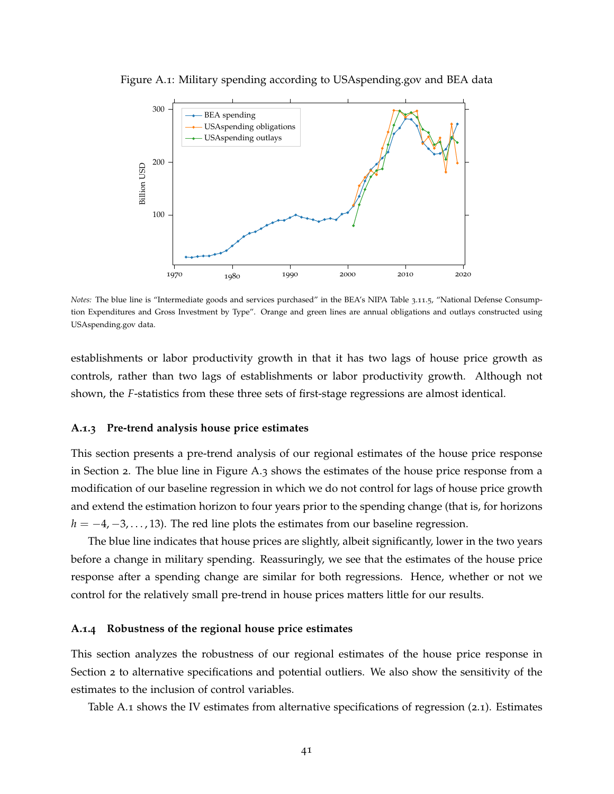

<span id="page-40-2"></span>Figure A.1: Military spending according to USAspending.gov and BEA data

*Notes:* The blue line is "Intermediate goods and services purchased" in the BEA's NIPA Table 3.11.5, "National Defense Consumption Expenditures and Gross Investment by Type". Orange and green lines are annual obligations and outlays constructed using USAspending.gov data.

establishments or labor productivity growth in that it has two lags of house price growth as controls, rather than two lags of establishments or labor productivity growth. Although not shown, the *F*-statistics from these three sets of first-stage regressions are almost identical.

#### <span id="page-40-1"></span>**A.1.3 Pre-trend analysis house price estimates**

This section presents a pre-trend analysis of our regional estimates of the house price response in Section [2](#page-5-1). The blue line in Figure [A.](#page-42-0)3 shows the estimates of the house price response from a modification of our baseline regression in which we do not control for lags of house price growth and extend the estimation horizon to four years prior to the spending change (that is, for horizons  $h = -4, -3, \ldots, 13$ . The red line plots the estimates from our baseline regression.

The blue line indicates that house prices are slightly, albeit significantly, lower in the two years before a change in military spending. Reassuringly, we see that the estimates of the house price response after a spending change are similar for both regressions. Hence, whether or not we control for the relatively small pre-trend in house prices matters little for our results.

### <span id="page-40-0"></span>**A.1.4 Robustness of the regional house price estimates**

This section analyzes the robustness of our regional estimates of the house price response in Section [2](#page-5-1) to alternative specifications and potential outliers. We also show the sensitivity of the estimates to the inclusion of control variables.

Table [A.](#page-43-0)1 shows the IV estimates from alternative specifications of regression ([2](#page-6-2).1). Estimates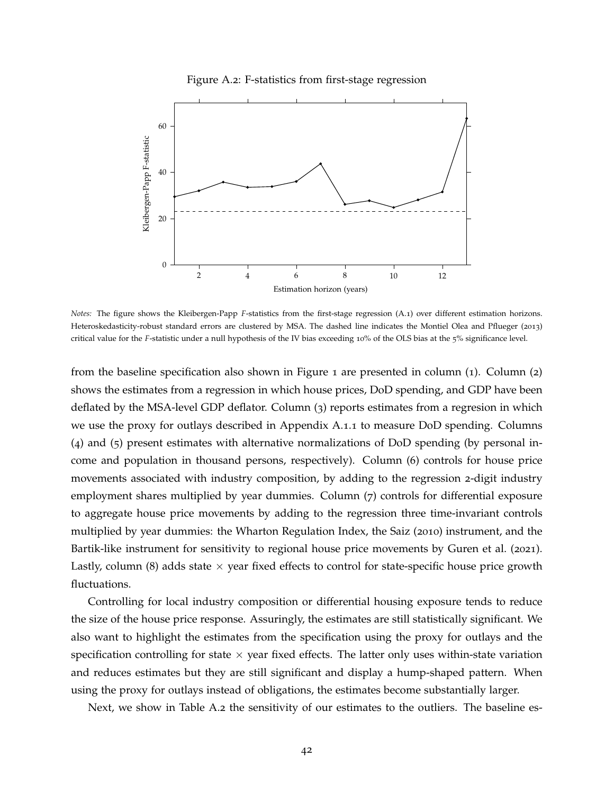

<span id="page-41-0"></span>

*Notes:* The figure shows the Kleibergen-Papp *F*-statistics from the first-stage regression [\(A.](#page-39-2)1) over different estimation horizons. Heteroskedasticity-robust standard errors are clustered by MSA. The dashed line indicates the [Montiel Olea and Pflueger](#page-37-8) ([2013](#page-37-8)) critical value for the *F*-statistic under a null hypothesis of the IV bias exceeding 10% of the OLS bias at the 5% significance level.

from the baseline specification also shown in Figure [1](#page-9-0) are presented in column  $(1)$ . Column  $(2)$ shows the estimates from a regression in which house prices, DoD spending, and GDP have been deflated by the MSA-level GDP deflator. Column (3) reports estimates from a regresion in which we use the proxy for outlays described in Appendix [A.](#page-39-0)1.1 to measure DoD spending. Columns (4) and (5) present estimates with alternative normalizations of DoD spending (by personal income and population in thousand persons, respectively). Column (6) controls for house price movements associated with industry composition, by adding to the regression 2-digit industry employment shares multiplied by year dummies. Column (7) controls for differential exposure to aggregate house price movements by adding to the regression three time-invariant controls multiplied by year dummies: the Wharton Regulation Index, the [Saiz](#page-38-3) ([2010](#page-38-3)) instrument, and the Bartik-like instrument for sensitivity to regional house price movements by [Guren et al.](#page-36-6) ([2021](#page-36-6)). Lastly, column (8) adds state  $\times$  year fixed effects to control for state-specific house price growth fluctuations.

Controlling for local industry composition or differential housing exposure tends to reduce the size of the house price response. Assuringly, the estimates are still statistically significant. We also want to highlight the estimates from the specification using the proxy for outlays and the specification controlling for state  $\times$  year fixed effects. The latter only uses within-state variation and reduces estimates but they are still significant and display a hump-shaped pattern. When using the proxy for outlays instead of obligations, the estimates become substantially larger.

Next, we show in Table [A.](#page-44-1)2 the sensitivity of our estimates to the outliers. The baseline es-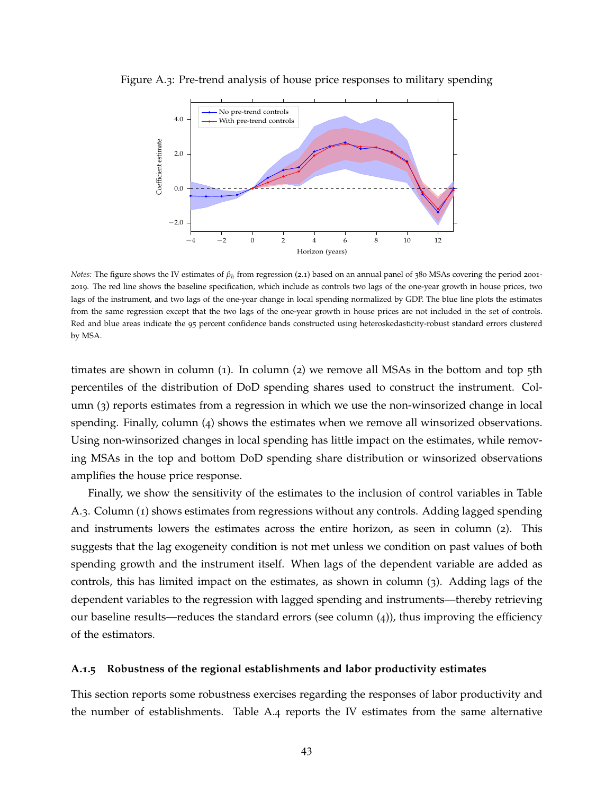

<span id="page-42-0"></span>Figure A.3: Pre-trend analysis of house price responses to military spending

*Notes*: The figure shows the IV estimates of  $β_h$  from regression ([2](#page-6-2).1) based on an annual panel of 380 MSAs covering the period 2001-2019. The red line shows the baseline specification, which include as controls two lags of the one-year growth in house prices, two lags of the instrument, and two lags of the one-year change in local spending normalized by GDP. The blue line plots the estimates from the same regression except that the two lags of the one-year growth in house prices are not included in the set of controls. Red and blue areas indicate the 95 percent confidence bands constructed using heteroskedasticity-robust standard errors clustered by MSA.

timates are shown in column  $(1)$ . In column  $(2)$  we remove all MSAs in the bottom and top 5th percentiles of the distribution of DoD spending shares used to construct the instrument. Column (3) reports estimates from a regression in which we use the non-winsorized change in local spending. Finally, column (4) shows the estimates when we remove all winsorized observations. Using non-winsorized changes in local spending has little impact on the estimates, while removing MSAs in the top and bottom DoD spending share distribution or winsorized observations amplifies the house price response.

Finally, we show the sensitivity of the estimates to the inclusion of control variables in Table [A.](#page-44-0)3. Column (1) shows estimates from regressions without any controls. Adding lagged spending and instruments lowers the estimates across the entire horizon, as seen in column (2). This suggests that the lag exogeneity condition is not met unless we condition on past values of both spending growth and the instrument itself. When lags of the dependent variable are added as controls, this has limited impact on the estimates, as shown in column (3). Adding lags of the dependent variables to the regression with lagged spending and instruments—thereby retrieving our baseline results—reduces the standard errors (see column (4)), thus improving the efficiency of the estimators.

#### **A.1.5 Robustness of the regional establishments and labor productivity estimates**

This section reports some robustness exercises regarding the responses of labor productivity and the number of establishments. Table [A.](#page-45-0)4 reports the IV estimates from the same alternative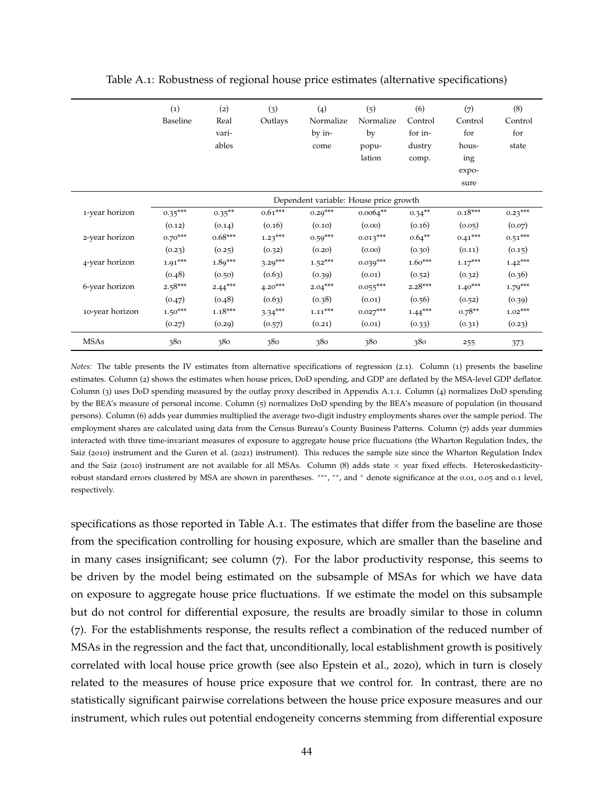<span id="page-43-0"></span>

|                 | $\left( 1\right)$<br>Baseline | (2)<br>Real<br>vari- | (3)<br>Outlays | (4)<br>Normalize<br>by in-             | (5)<br>Normalize<br>by | (6)<br>Control<br>for in- | (7)<br>Control<br>for | (8)<br>Control<br>for |
|-----------------|-------------------------------|----------------------|----------------|----------------------------------------|------------------------|---------------------------|-----------------------|-----------------------|
|                 |                               | ables                |                | come                                   | popu-<br>lation        | dustry<br>comp.           | hous-<br>ing          | state                 |
|                 |                               |                      |                |                                        |                        |                           | expo-<br>sure         |                       |
|                 |                               |                      |                | Dependent variable: House price growth |                        |                           |                       |                       |
| 1-year horizon  | $0.35***$                     | $0.35***$            | $0.61***$      | $0.29***$                              | $0.0064**$             | $0.34***$                 | $0.18***$             | $0.23***$             |
|                 | (0.12)                        | (0.14)               | (0.16)         | (0.10)                                 | (0.00)                 | (0.16)                    | (0.05)                | (0.07)                |
| 2-year horizon  | $0.70***$                     | $0.68***$            | $1.23***$      | $0.59***$                              | $0.013***$             | $0.64***$                 | $0.41***$             | $0.51***$             |
|                 | (0.23)                        | (0.25)               | (0.32)         | (0.20)                                 | (0.00)                 | (0.30)                    | (0.11)                | (0.15)                |
| 4-year horizon  | $1.91***$                     | $1.89***$            | $3.29***$      | $1.52***$                              | $0.039***$             | $1.60***$                 | $1.17***$             | $1.42***$             |
|                 | (0.48)                        | (0.50)               | (0.63)         | (0.39)                                 | (0.01)                 | (0.52)                    | (0.32)                | (0.36)                |
| 6-year horizon  | $2.58***$                     | $2.44***$            | $4.20***$      | $2.04***$                              | $0.055***$             | $2.28***$                 | $1.40***$             | $1.79***$             |
|                 | (0.47)                        | (0.48)               | (0.63)         | (0.38)                                 | (0.01)                 | (0.56)                    | (0.52)                | (0.39)                |
| 10-year horizon | $1.50***$                     | $1.18***$            | $3.34***$      | $1.11***$                              | $0.027***$             | $1.44***$                 | $0.78**$              | $1.02***$             |
|                 | (0.27)                        | (0.29)               | (0.57)         | (0.21)                                 | (0.01)                 | (0.33)                    | (0.31)                | (0.23)                |
| <b>MSAs</b>     | 380                           | 380                  | 380            | 380                                    | 380                    | 380                       | 255                   | 373                   |

Table A.1: Robustness of regional house price estimates (alternative specifications)

*Notes:* The table presents the IV estimates from alternative specifications of regression ([2](#page-6-2).1). Column (1) presents the baseline estimates. Column (2) shows the estimates when house prices, DoD spending, and GDP are deflated by the MSA-level GDP deflator. Column (3) uses DoD spending measured by the outlay proxy described in Appendix [A.](#page-39-0)1.1. Column (4) normalizes DoD spending by the BEA's measure of personal income. Column (5) normalizes DoD spending by the BEA's measure of population (in thousand persons). Column (6) adds year dummies multiplied the average two-digit industry employments shares over the sample period. The employment shares are calculated using data from the Census Bureau's County Business Patterns. Column (7) adds year dummies interacted with three time-invariant measures of exposure to aggregate house price flucuations (the Wharton Regulation Index, the [Saiz](#page-38-3) ([2010](#page-38-3)) instrument and the [Guren et al.](#page-36-6) ([2021](#page-36-6)) instrument). This reduces the sample size since the Wharton Regulation Index and the [Saiz](#page-38-3) ([2010](#page-38-3)) instrument are not available for all MSAs. Column (8) adds state  $\times$  year fixed effects. Heteroskedasticityrobust standard errors clustered by MSA are shown in parentheses. \*\*\*, \*\*, and \* denote significance at the 0.01, 0.05 and 0.1 level, respectively.

specifications as those reported in Table [A.](#page-43-0)1. The estimates that differ from the baseline are those from the specification controlling for housing exposure, which are smaller than the baseline and in many cases insignificant; see column  $(7)$ . For the labor productivity response, this seems to be driven by the model being estimated on the subsample of MSAs for which we have data on exposure to aggregate house price fluctuations. If we estimate the model on this subsample but do not control for differential exposure, the results are broadly similar to those in column (7). For the establishments response, the results reflect a combination of the reduced number of MSAs in the regression and the fact that, unconditionally, local establishment growth is positively correlated with local house price growth (see also [Epstein et al.,](#page-36-1) [2020](#page-36-1)), which in turn is closely related to the measures of house price exposure that we control for. In contrast, there are no statistically significant pairwise correlations between the house price exposure measures and our instrument, which rules out potential endogeneity concerns stemming from differential exposure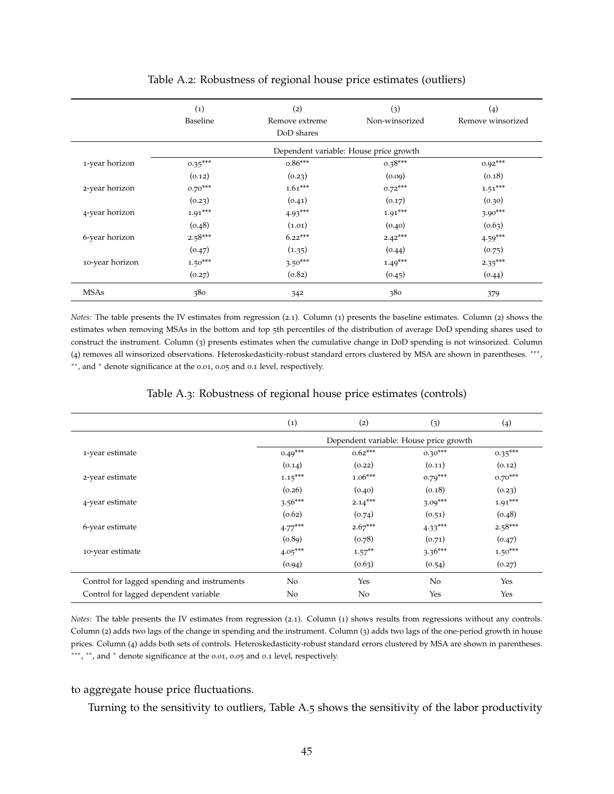<span id="page-44-1"></span>

|                 | $\left( 1\right)$<br>Baseline | (2)<br>Remove extreme<br>DoD shares | (3)<br>Non-winsorized                  | (4)<br>Remove winsorized |
|-----------------|-------------------------------|-------------------------------------|----------------------------------------|--------------------------|
|                 |                               |                                     | Dependent variable: House price growth |                          |
| 1-year horizon  | $0.35***$                     | $0.86***$                           | $0.38***$                              | $0.92***$                |
|                 | (0.12)                        | (0.23)                              | (0.09)                                 | (0.18)                   |
| 2-year horizon  | $0.70***$                     | $1.61***$                           | $0.72***$                              | $1.51***$                |
|                 | (0.23)                        | (0.41)                              | (0.17)                                 | (0.30)                   |
| 4-year horizon  | $1.91***$                     | $4.93***$                           | $1.91***$                              | $3.90***$                |
|                 | (0.48)                        | (1.01)                              | (0.40)                                 | (0.63)                   |
| 6-year horizon  | $2.58***$                     | $6.22***$                           | $2.42***$                              | $4.59***$                |
|                 | (0.47)                        | (1.35)                              | (0.44)                                 | (0.75)                   |
| 10-year horizon | $1.50***$                     | $3.50***$                           | $1.49***$                              | $2.35***$                |
|                 | (0.27)                        | (0.82)                              | (0.45)                                 | (0.44)                   |
| <b>MSAs</b>     | 380                           | 342                                 | 380                                    | 379                      |

#### Table A.2: Robustness of regional house price estimates (outliers)

*Notes:* The table presents the IV estimates from regression ([2](#page-6-2).1). Column (1) presents the baseline estimates. Column (2) shows the estimates when removing MSAs in the bottom and top 5th percentiles of the distribution of average DoD spending shares used to construct the instrument. Column (3) presents estimates when the cumulative change in DoD spending is not winsorized. Column (4) removes all winsorized observations. Heteroskedasticity-robust standard errors clustered by MSA are shown in parentheses. ∗∗∗ , ∗∗, and <sup>∗</sup> denote significance at the 0.01, 0.05 and 0.1 level, respectively.

<span id="page-44-0"></span>

|                                             | $\left( 1\right)$ | (2)                                    | (3)       | (4)       |
|---------------------------------------------|-------------------|----------------------------------------|-----------|-----------|
|                                             |                   | Dependent variable: House price growth |           |           |
| 1-year estimate                             | $0.49***$         | $0.62***$                              | $0.30***$ | $0.35***$ |
|                                             | (0.14)            | (0.22)                                 | (0.11)    | (0.12)    |
| 2-year estimate                             | $1.15***$         | $1.06***$                              | $0.79***$ | $0.70***$ |
|                                             | (0.26)            | (0.40)                                 | (0.18)    | (0.23)    |
| 4-year estimate                             | $3.56***$         | $2.14***$                              | $3.09***$ | $1.91***$ |
|                                             | (0.62)            | (0.74)                                 | (0.51)    | (0.48)    |
| 6-year estimate                             | $4.77***$         | $2.67***$                              | $4.33***$ | $2.58***$ |
|                                             | (0.89)            | (0.78)                                 | (0.71)    | (0.47)    |
| 10-year estimate                            | $4.05***$         | $1.57***$                              | $3.36***$ | $1.50***$ |
|                                             | (0.94)            | (0.63)                                 | (0.54)    | (0.27)    |
| Control for lagged spending and instruments | No                | Yes                                    | No        | Yes       |
| Control for lagged dependent variable       | No                | No                                     | Yes       | Yes       |

#### Table A.3: Robustness of regional house price estimates (controls)

*Notes:* The table presents the IV estimates from regression ([2](#page-6-2).1). Column (1) shows results from regressions without any controls. Column (2) adds two lags of the change in spending and the instrument. Column (3) adds two lags of the one-period growth in house prices. Column (4) adds both sets of controls. Heteroskedasticity-robust standard errors clustered by MSA are shown in parentheses. \*\*\*, \*\*, and \* denote significance at the 0.01, 0.05 and 0.1 level, respectively.

#### to aggregate house price fluctuations.

Turning to the sensitivity to outliers, Table [A.](#page-46-0)5 shows the sensitivity of the labor productivity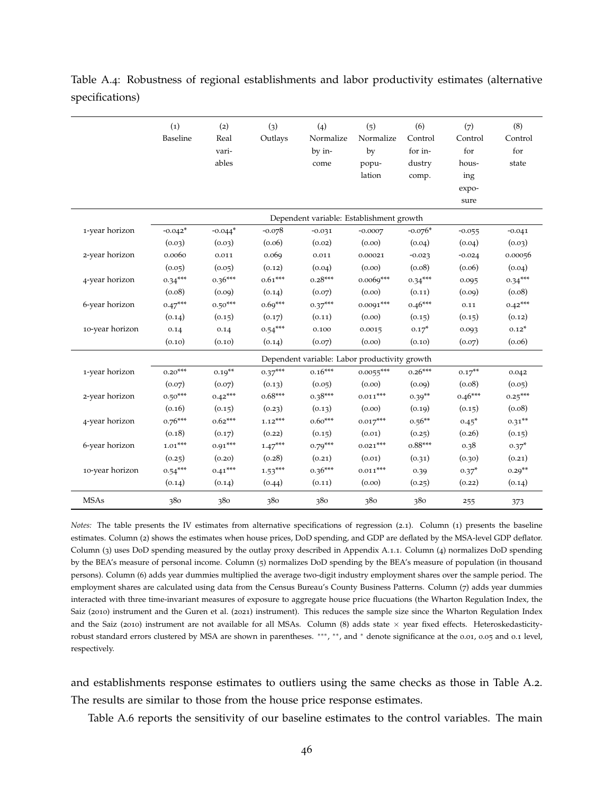<span id="page-45-0"></span>Table A.4: Robustness of regional establishments and labor productivity estimates (alternative specifications)

|                 | (1)       | (2)       | (3)       | (4)                                           | (5)         | (6)       | (7)       | (8)       |
|-----------------|-----------|-----------|-----------|-----------------------------------------------|-------------|-----------|-----------|-----------|
|                 | Baseline  | Real      | Outlays   | Normalize                                     | Normalize   | Control   | Control   | Control   |
|                 |           | vari-     |           | by in-                                        | by          | for in-   | for       | for       |
|                 |           | ables     |           | come                                          | popu-       | dustry    | hous-     | state     |
|                 |           |           |           |                                               | lation      | comp.     | ing       |           |
|                 |           |           |           |                                               |             |           | expo-     |           |
|                 |           |           |           |                                               |             |           | sure      |           |
|                 |           |           |           | Dependent variable: Establishment growth      |             |           |           |           |
| 1-year horizon  | $-0.042*$ | $-0.044*$ | $-0.078$  | $-0.031$                                      | $-0.0007$   | $-0.076*$ | $-0.055$  | $-0.041$  |
|                 | (0.03)    | (0.03)    | (0.06)    | (0.02)                                        | (0.00)      | (0.04)    | (0.04)    | (0.03)    |
| 2-year horizon  | 0.0060    | 0.011     | 0.069     | 0.011                                         | 0.00021     | $-0.023$  | $-0.024$  | 0.00056   |
|                 | (0.05)    | (0.05)    | (0.12)    | (0.04)                                        | (0.00)      | (0.08)    | (0.06)    | (0.04)    |
| 4-year horizon  | $0.34***$ | $0.36***$ | $0.61***$ | $0.28***$                                     | $0.0069***$ | $0.34***$ | 0.095     | $0.34***$ |
|                 | (0.08)    | (0.09)    | (0.14)    | (0.07)                                        | (0.00)      | (0.11)    | (0.09)    | (0.08)    |
| 6-year horizon  | $0.47***$ | $0.50***$ | $0.69***$ | $0.37***$                                     | $0.0091***$ | $0.46***$ | 0.11      | $0.42***$ |
|                 | (0.14)    | (0.15)    | (0.17)    | (0.11)                                        | (0.00)      | (0.15)    | (0.15)    | (0.12)    |
| 10-year horizon | 0.14      | 0.14      | $0.54***$ | 0.100                                         | 0.0015      | $0.17*$   | 0.093     | $0.12*$   |
|                 | (0.10)    | (0.10)    | (0.14)    | (0.07)                                        | (0.00)      | (0.10)    | (0.07)    | (0.06)    |
|                 |           |           |           | Dependent variable: Labor productivity growth |             |           |           |           |
| 1-year horizon  | $0.20***$ | $0.19**$  | $0.37***$ | $0.16***$                                     | $0.0055***$ | $0.26***$ | $0.17***$ | 0.042     |
|                 | (0.07)    | (0.07)    | (0.13)    | (0.05)                                        | (0.00)      | (0.09)    | (0.08)    | (0.05)    |
| 2-year horizon  | $0.50***$ | $0.42***$ | $0.68***$ | $0.38***$                                     | $0.011***$  | $0.39**$  | $0.46***$ | $0.25***$ |
|                 | (0.16)    | (0.15)    | (0.23)    | (0.13)                                        | (0.00)      | (0.19)    | (0.15)    | (0.08)    |
| 4-year horizon  | $0.76***$ | $0.62***$ | $1.12***$ | $0.60***$                                     | $0.017***$  | $0.56**$  | $0.45*$   | $0.31***$ |
|                 | (0.18)    | (0.17)    | (0.22)    | (0.15)                                        | (0.01)      | (0.25)    | (0.26)    | (0.15)    |
| 6-year horizon  | $1.01***$ | $0.91***$ | $1.47***$ | $0.79***$                                     | $0.021***$  | $0.88***$ | 0.38      | $0.37*$   |
|                 | (0.25)    | (0.20)    | (0.28)    | (0.21)                                        | (0.01)      | (0.31)    | (0.30)    | (0.21)    |
| 10-year horizon | $0.54***$ | $0.41***$ | $1.53***$ | $0.36***$                                     | $0.011***$  | 0.39      | $0.37*$   | $0.29**$  |
|                 | (0.14)    | (0.14)    | (0.44)    | (0.11)                                        | (0.00)      | (0.25)    | (0.22)    | (0.14)    |
| <b>MSAs</b>     | 380       | 380       | 380       | 380                                           | 380         | 380       | 255       | 373       |

*Notes:* The table presents the IV estimates from alternative specifications of regression ([2](#page-6-2).1). Column (1) presents the baseline estimates. Column (2) shows the estimates when house prices, DoD spending, and GDP are deflated by the MSA-level GDP deflator. Column (3) uses DoD spending measured by the outlay proxy described in Appendix [A.](#page-39-0)1.1. Column (4) normalizes DoD spending by the BEA's measure of personal income. Column (5) normalizes DoD spending by the BEA's measure of population (in thousand persons). Column (6) adds year dummies multiplied the average two-digit industry employment shares over the sample period. The employment shares are calculated using data from the Census Bureau's County Business Patterns. Column (7) adds year dummies interacted with three time-invariant measures of exposure to aggregate house price flucuations (the Wharton Regulation Index, the [Saiz](#page-38-3) ([2010](#page-38-3)) instrument and the [Guren et al.](#page-36-6) ([2021](#page-36-6)) instrument). This reduces the sample size since the Wharton Regulation Index and the [Saiz](#page-38-3) ([2010](#page-38-3)) instrument are not available for all MSAs. Column (8) adds state  $\times$  year fixed effects. Heteroskedasticityrobust standard errors clustered by MSA are shown in parentheses. \*\*\*, \*\*, and \* denote significance at the 0.01, 0.05 and 0.1 level, respectively.

and establishments response estimates to outliers using the same checks as those in Table [A.](#page-44-1)2. The results are similar to those from the house price response estimates.

Table [A.](#page-47-0)6 reports the sensitivity of our baseline estimates to the control variables. The main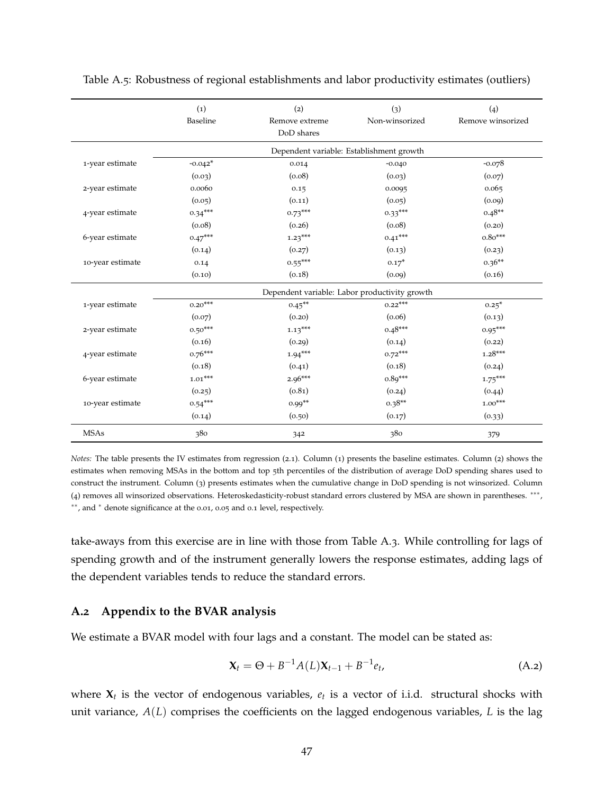|                  | (1)<br>Baseline | (2)<br>Remove extreme | (3)<br>Non-winsorized                         | (4)<br>Remove winsorized |
|------------------|-----------------|-----------------------|-----------------------------------------------|--------------------------|
|                  |                 | DoD shares            |                                               |                          |
|                  |                 |                       | Dependent variable: Establishment growth      |                          |
| 1-year estimate  | $-0.042*$       | 0.014                 | $-0.040$                                      | $-0.078$                 |
|                  | (0.03)          | (0.08)                | (0.03)                                        | (0.07)                   |
| 2-year estimate  | 0.0060          | 0.15                  | 0.0095                                        | 0.065                    |
|                  | (0.05)          | (0.11)                | (0.05)                                        | (0.09)                   |
| 4-year estimate  | $0.34***$       | $0.73***$             | $0.33***$                                     | $0.48**$                 |
|                  | (0.08)          | (0.26)                | (0.08)                                        | (0.20)                   |
| 6-year estimate  | $0.47***$       | $1.23***$             | $0.41***$                                     | $0.80***$                |
|                  | (0.14)          | (0.27)                | (0.13)                                        | (0.23)                   |
| 10-year estimate | 0.14            | $0.55***$             | $0.17*$                                       | $0.36**$                 |
|                  | (0.10)          | (0.18)                | (0.09)                                        | (0.16)                   |
|                  |                 |                       | Dependent variable: Labor productivity growth |                          |
| 1-year estimate  | $0.20***$       | $0.45***$             | $0.22***$                                     | $0.25*$                  |
|                  | (0.07)          | (0.20)                | (0.06)                                        | (0.13)                   |
| 2-year estimate  | $0.50***$       | $1.13***$             | $0.48***$                                     | $0.95***$                |
|                  | (0.16)          | (0.29)                | (0.14)                                        | (0.22)                   |
| 4-year estimate  | $0.76***$       | $1.94***$             | $0.72***$                                     | $1.28***$                |
|                  | (0.18)          | (0.41)                | (0.18)                                        | (0.24)                   |
| 6-year estimate  | $1.01***$       | $2.96***$             | $0.89***$                                     | $1.75***$                |
|                  | (0.25)          | (0.81)                | (0.24)                                        | (0.44)                   |
| 10-year estimate | $0.54***$       | $0.99**$              | $0.38**$                                      | $1.00***$                |
|                  | (0.14)          | (0.50)                | (0.17)                                        | (0.33)                   |
| <b>MSAs</b>      | 380             | 342                   | 380                                           | 379                      |

<span id="page-46-0"></span>Table A.5: Robustness of regional establishments and labor productivity estimates (outliers)

*Notes:* The table presents the IV estimates from regression ([2](#page-6-2).1). Column (1) presents the baseline estimates. Column (2) shows the estimates when removing MSAs in the bottom and top 5th percentiles of the distribution of average DoD spending shares used to construct the instrument. Column (3) presents estimates when the cumulative change in DoD spending is not winsorized. Column (4) removes all winsorized observations. Heteroskedasticity-robust standard errors clustered by MSA are shown in parentheses. ∗∗∗ , ∗∗, and <sup>∗</sup> denote significance at the 0.01, 0.05 and 0.1 level, respectively.

take-aways from this exercise are in line with those from Table [A.](#page-44-0)3. While controlling for lags of spending growth and of the instrument generally lowers the response estimates, adding lags of the dependent variables tends to reduce the standard errors.

### **A.2 Appendix to the BVAR analysis**

We estimate a BVAR model with four lags and a constant. The model can be stated as:

$$
\mathbf{X}_{t} = \Theta + B^{-1}A(L)\mathbf{X}_{t-1} + B^{-1}e_{t},
$$
\n(A.2)

where  $X_t$  is the vector of endogenous variables,  $e_t$  is a vector of i.i.d. structural shocks with unit variance, *A*(*L*) comprises the coefficients on the lagged endogenous variables, *L* is the lag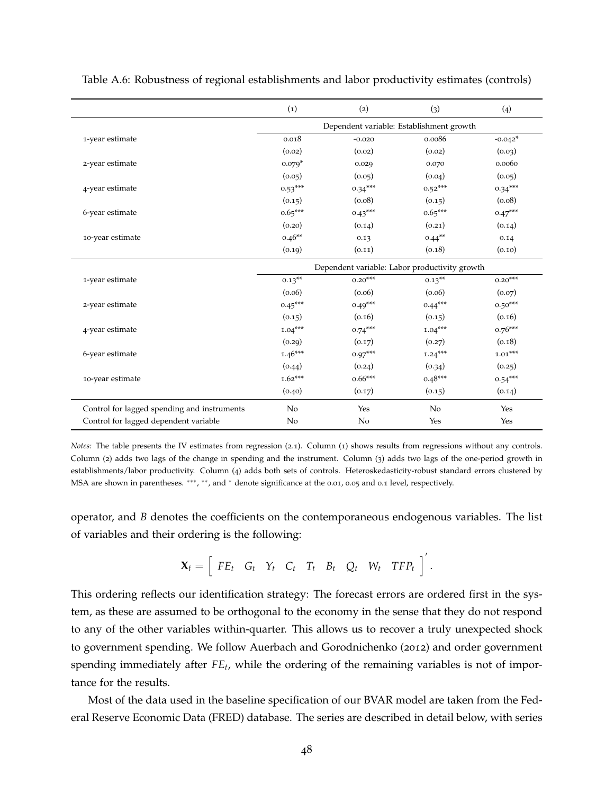|                                             | (1)                                      | (2)                                           | (3)       | (4)       |
|---------------------------------------------|------------------------------------------|-----------------------------------------------|-----------|-----------|
|                                             | Dependent variable: Establishment growth |                                               |           |           |
| 1-year estimate                             | 0.018                                    | $-0.020$                                      | 0.0086    | $-0.042*$ |
|                                             | (0.02)                                   | (0.02)                                        | (0.02)    | (0.03)    |
| 2-year estimate                             | $0.079*$                                 | 0.029                                         | 0.070     | 0.0060    |
|                                             | (0.05)                                   | (0.05)                                        | (0.04)    | (0.05)    |
| 4-year estimate                             | $0.53***$                                | $0.34***$                                     | $0.52***$ | $0.34***$ |
|                                             | (0.15)                                   | (0.08)                                        | (0.15)    | (0.08)    |
| 6-year estimate                             | $0.65***$                                | $0.43***$                                     | $0.65***$ | $0.47***$ |
|                                             | (0.20)                                   | (0.14)                                        | (0.21)    | (0.14)    |
| 10-year estimate                            | $0.46**$                                 | 0.13                                          | $0.44***$ | 0.14      |
|                                             | (0.19)                                   | (0.11)                                        | (0.18)    | (0.10)    |
|                                             |                                          | Dependent variable: Labor productivity growth |           |           |
| 1-year estimate                             | $0.13***$                                | $0.20***$                                     | $0.13***$ | $0.20***$ |
|                                             | (0.06)                                   | (0.06)                                        | (0.06)    | (0.07)    |
| 2-year estimate                             | $0.45***$                                | $0.49***$                                     | $0.44***$ | $0.50***$ |
|                                             | (0.15)                                   | (0.16)                                        | (0.15)    | (0.16)    |
| 4-year estimate                             | $1.04***$                                | $0.74***$                                     | $1.04***$ | $0.76***$ |
|                                             | (0.29)                                   | (0.17)                                        | (0.27)    | (0.18)    |
| 6-year estimate                             | $1.46***$                                | $0.97***$                                     | $1.24***$ | $1.01***$ |
|                                             | (0.44)                                   | (0.24)                                        | (0.34)    | (0.25)    |
| 10-year estimate                            | $1.62***$                                | $0.66***$                                     | $0.48***$ | $0.54***$ |
|                                             | (0.40)                                   | (0.17)                                        | (0.15)    | (0.14)    |
| Control for lagged spending and instruments | N <sub>o</sub>                           | Yes                                           | No        | Yes       |
| Control for lagged dependent variable       | No                                       | No                                            | Yes       | Yes       |

<span id="page-47-0"></span>Table A.6: Robustness of regional establishments and labor productivity estimates (controls)

*Notes:* The table presents the IV estimates from regression ([2](#page-6-2).1). Column (1) shows results from regressions without any controls. Column (2) adds two lags of the change in spending and the instrument. Column (3) adds two lags of the one-period growth in establishments/labor productivity. Column (4) adds both sets of controls. Heteroskedasticity-robust standard errors clustered by MSA are shown in parentheses. \*\*\*, \*\*, and \* denote significance at the 0.01, 0.05 and 0.1 level, respectively.

operator, and *B* denotes the coefficients on the contemporaneous endogenous variables. The list of variables and their ordering is the following:

$$
\mathbf{X}_t = \left[ \begin{array}{cccc} FE_t & G_t & Y_t & C_t & T_t & B_t & Q_t & W_t & TFP_t \end{array} \right]'
$$

This ordering reflects our identification strategy: The forecast errors are ordered first in the system, as these are assumed to be orthogonal to the economy in the sense that they do not respond to any of the other variables within-quarter. This allows us to recover a truly unexpected shock to government spending. We follow [Auerbach and Gorodnichenko](#page-34-10) ([2012](#page-34-10)) and order government spending immediately after *FE<sup>t</sup>* , while the ordering of the remaining variables is not of importance for the results.

Most of the data used in the baseline specification of our BVAR model are taken from the Federal Reserve Economic Data (FRED) database. The series are described in detail below, with series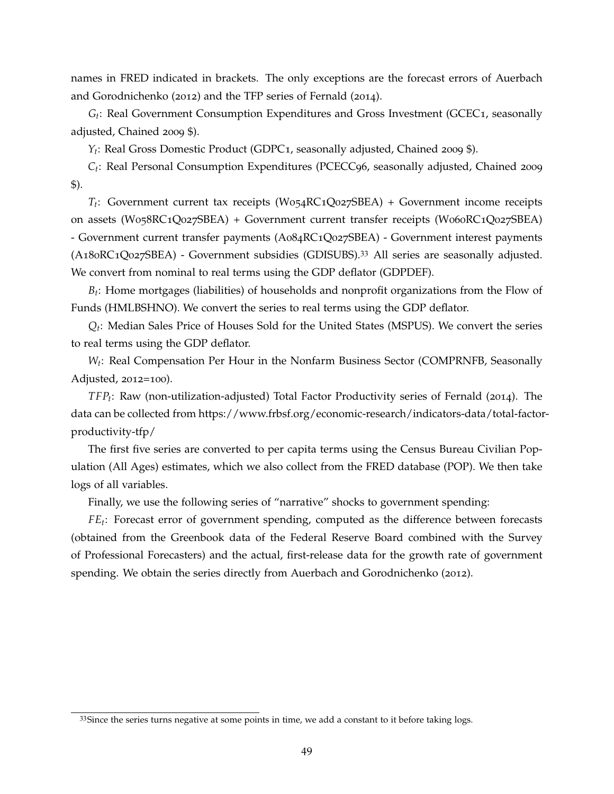names in FRED indicated in brackets. The only exceptions are the forecast errors of [Auerbach](#page-34-10) [and Gorodnichenko](#page-34-10) ([2012](#page-34-10)) and the TFP series of [Fernald](#page-36-14) ([2014](#page-36-14)).

*Gt* : Real Government Consumption Expenditures and Gross Investment (GCEC1, seasonally adjusted, Chained 2009 \$).

*Yt* : Real Gross Domestic Product (GDPC1, seasonally adjusted, Chained 2009 \$).

*Ct* : Real Personal Consumption Expenditures (PCECC96, seasonally adjusted, Chained 2009 \$).

*Tt* : Government current tax receipts (W054RC1Q027SBEA) + Government income receipts on assets (W058RC1Q027SBEA) + Government current transfer receipts (W060RC1Q027SBEA) - Government current transfer payments (A084RC1Q027SBEA) - Government interest payments (A180RC1Q027SBEA) - Government subsidies (GDISUBS).[33](#page-48-0) All series are seasonally adjusted. We convert from nominal to real terms using the GDP deflator (GDPDEF).

*Bt* : Home mortgages (liabilities) of households and nonprofit organizations from the Flow of Funds (HMLBSHNO). We convert the series to real terms using the GDP deflator.

*Qt* : Median Sales Price of Houses Sold for the United States (MSPUS). We convert the series to real terms using the GDP deflator.

*W<sup>t</sup>* : Real Compensation Per Hour in the Nonfarm Business Sector (COMPRNFB, Seasonally Adjusted, 2012=100).

*TFP<sup>t</sup>* : Raw (non-utilization-adjusted) Total Factor Productivity series of [Fernald](#page-36-14) ([2014](#page-36-14)). The data can be collected from https://www.frbsf.org/economic-research/indicators-data/total-factorproductivity-tfp/

The first five series are converted to per capita terms using the Census Bureau Civilian Population (All Ages) estimates, which we also collect from the FRED database (POP). We then take logs of all variables.

Finally, we use the following series of "narrative" shocks to government spending:

*FE<sup>t</sup>* : Forecast error of government spending, computed as the difference between forecasts (obtained from the Greenbook data of the Federal Reserve Board combined with the Survey of Professional Forecasters) and the actual, first-release data for the growth rate of government spending. We obtain the series directly from [Auerbach and Gorodnichenko](#page-34-10) ([2012](#page-34-10)).

<span id="page-48-0"></span> $33$ Since the series turns negative at some points in time, we add a constant to it before taking logs.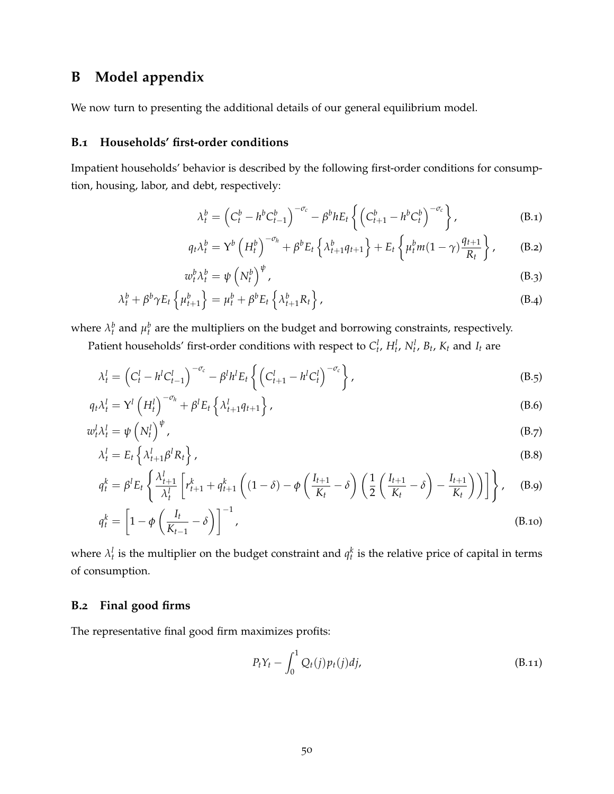# <span id="page-49-0"></span>**B Model appendix**

We now turn to presenting the additional details of our general equilibrium model.

### **B.1 Households' first-order conditions**

Impatient households' behavior is described by the following first-order conditions for consumption, housing, labor, and debt, respectively:

<span id="page-49-9"></span><span id="page-49-7"></span><span id="page-49-6"></span><span id="page-49-5"></span>
$$
\lambda_t^b = \left(C_t^b - h^b C_{t-1}^b\right)^{-\sigma_c} - \beta^b h E_t \left\{ \left(C_{t+1}^b - h^b C_t^b\right)^{-\sigma_c} \right\},\tag{B.1}
$$

$$
q_t \lambda_t^b = \mathbf{Y}^b \left( H_t^b \right)^{-\sigma_h} + \beta^b E_t \left\{ \lambda_{t+1}^b q_{t+1} \right\} + E_t \left\{ \mu_t^b m (1-\gamma) \frac{q_{t+1}}{R_t} \right\},\tag{B.2}
$$

<span id="page-49-8"></span><span id="page-49-1"></span>
$$
w_t^b \lambda_t^b = \psi \left( N_t^b \right)^{\psi}, \tag{B.3}
$$

$$
\lambda_t^b + \beta^b \gamma E_t \left\{ \mu_{t+1}^b \right\} = \mu_t^b + \beta^b E_t \left\{ \lambda_{t+1}^b R_t \right\}, \tag{B.4}
$$

where  $\lambda_t^b$  and  $\mu_t^b$  are the multipliers on the budget and borrowing constraints, respectively.

Patient households' first-order conditions with respect to  $C_t^l$ ,  $H_t^l$ ,  $N_t^l$ ,  $B_t$ ,  $K_t$  and  $I_t$  are

$$
\lambda_t^l = \left( C_t^l - h^l C_{t-1}^l \right)^{-\sigma_c} - \beta^l h^l E_t \left\{ \left( C_{t+1}^l - h^l C_t^l \right)^{-\sigma_c} \right\},\tag{B.5}
$$

$$
q_t \lambda_t^l = \mathbf{Y}^l \left( H_t^l \right)^{-\sigma_h} + \beta^l E_t \left\{ \lambda_{t+1}^l q_{t+1} \right\},\tag{B.6}
$$

$$
w_t^l \lambda_t^l = \psi \left( N_t^l \right)^\psi, \tag{B.7}
$$

$$
\lambda_t^l = E_t \left\{ \lambda_{t+1}^l \beta^l R_t \right\},\tag{B.8}
$$

$$
q_t^k = \beta^l E_t \left\{ \frac{\lambda_{t+1}^l}{\lambda_t^l} \left[ r_{t+1}^k + q_{t+1}^k \left( (1-\delta) - \phi \left( \frac{I_{t+1}}{K_t} - \delta \right) \left( \frac{1}{2} \left( \frac{I_{t+1}}{K_t} - \delta \right) - \frac{I_{t+1}}{K_t} \right) \right) \right] \right\}, \quad (B.9)
$$

$$
q_t^k = \left[1 - \phi \left(\frac{I_t}{K_{t-1}} - \delta\right)\right]^{-1},\tag{B.10}
$$

where  $\lambda_t^l$  is the multiplier on the budget constraint and  $q_t^k$  is the relative price of capital in terms of consumption.

### **B.2 Final good firms**

The representative final good firm maximizes profits:

<span id="page-49-10"></span><span id="page-49-4"></span><span id="page-49-3"></span><span id="page-49-2"></span>
$$
P_t Y_t - \int_0^1 Q_t(j) p_t(j) dj,
$$
\n(B.11)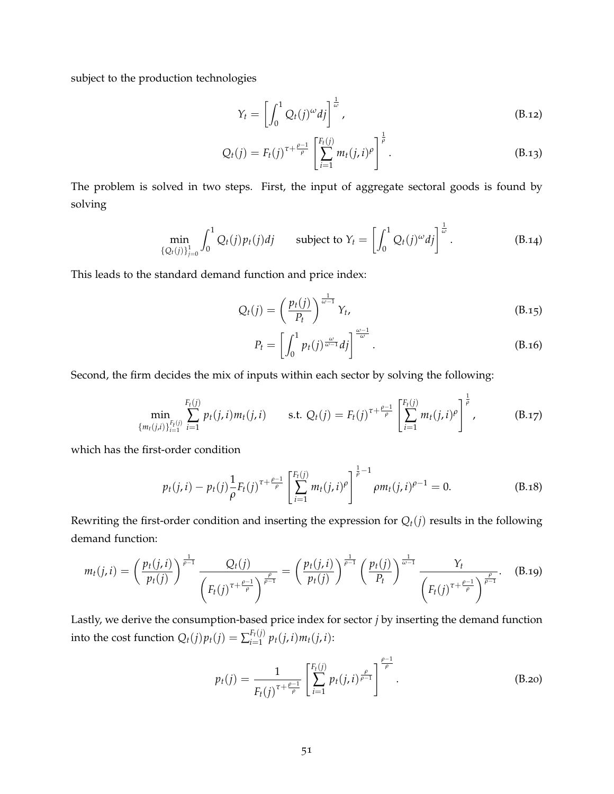subject to the production technologies

$$
Y_t = \left[ \int_0^1 Q_t(j)^\omega dj \right]^\frac{1}{\omega}, \tag{B.12}
$$

$$
Q_t(j) = F_t(j)^{\tau + \frac{\rho - 1}{\rho}} \left[ \sum_{i=1}^{F_t(j)} m_t(j, i)^\rho \right]^{\frac{1}{\rho}}.
$$
 (B.13)

The problem is solved in two steps. First, the input of aggregate sectoral goods is found by solving

$$
\min_{\{Q_t(j)\}_{j=0}^1} \int_0^1 Q_t(j) p_t(j) d j \qquad \text{subject to } Y_t = \left[ \int_0^1 Q_t(j)^\omega d j \right]^{\frac{1}{\omega}}.
$$
 (B.14)

This leads to the standard demand function and price index:

$$
Q_t(j) = \left(\frac{p_t(j)}{P_t}\right)^{\frac{1}{\omega - 1}} Y_t,
$$
\n(B.15)

$$
P_t = \left[ \int_0^1 p_t(j)^{\frac{\omega}{\omega - 1}} dj \right]^{\frac{\omega - 1}{\omega}}.
$$
\n(B.16)

Second, the firm decides the mix of inputs within each sector by solving the following:

$$
\min_{\{m_t(j,i)\}_{i=1}^{F_t(j)}} \sum_{i=1}^{F_t(j)} p_t(j,i) m_t(j,i) \quad \text{s.t. } Q_t(j) = F_t(j)^{\tau + \frac{\rho-1}{\rho}} \left[ \sum_{i=1}^{F_t(j)} m_t(j,i)^\rho \right]^{\frac{1}{\rho}}, \quad (B.17)
$$

which has the first-order condition

$$
p_t(j,i) - p_t(j)\frac{1}{\rho}F_t(j)^{\tau + \frac{\rho-1}{\rho}}\left[\sum_{i=1}^{F_t(j)}m_t(j,i)^{\rho}\right]^{\frac{1}{\rho}-1}\rho m_t(j,i)^{\rho-1} = 0.
$$
 (B.18)

Rewriting the first-order condition and inserting the expression for  $Q_t(j)$  results in the following demand function:

$$
m_t(j,i) = \left(\frac{p_t(j,i)}{p_t(j)}\right)^{\frac{1}{\rho-1}} \frac{Q_t(j)}{\left(F_t(j)^{\tau+\frac{\rho-1}{\rho}}\right)^{\frac{\rho}{\rho-1}}} = \left(\frac{p_t(j,i)}{p_t(j)}\right)^{\frac{1}{\rho-1}} \left(\frac{p_t(j)}{P_t}\right)^{\frac{1}{\omega-1}} \frac{Y_t}{\left(F_t(j)^{\tau+\frac{\rho-1}{\rho}}\right)^{\frac{\rho}{\rho-1}}}.
$$
 (B.19)

Lastly, we derive the consumption-based price index for sector *j* by inserting the demand function into the cost function  $Q_t(j)p_t(j) = \sum_{i=1}^{F_t(j)}$  $p_t(j, i) m_t(j, i)$ :

$$
p_t(j) = \frac{1}{F_t(j)^{\tau + \frac{\rho - 1}{\rho}}} \left[ \sum_{i=1}^{F_t(j)} p_t(j, i)^{\frac{\rho}{\rho - 1}} \right]^{\frac{\rho - 1}{\rho}}.
$$
 (B.20)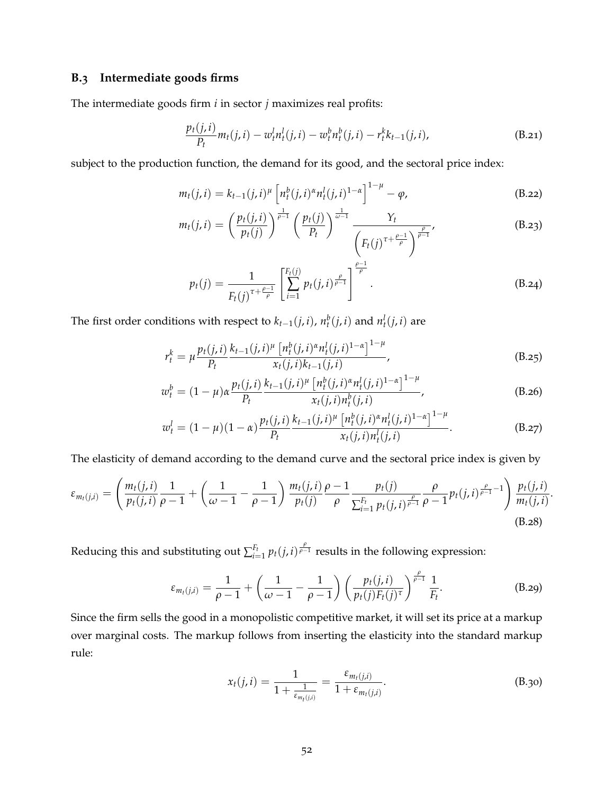# **B.3 Intermediate goods firms**

The intermediate goods firm *i* in sector *j* maximizes real profits:

$$
\frac{p_t(j,i)}{P_t}m_t(j,i) - w_t^l n_t^l(j,i) - w_t^b n_t^b(j,i) - r_t^k k_{t-1}(j,i),
$$
\n(B.21)

subject to the production function, the demand for its good, and the sectoral price index:

$$
m_t(j, i) = k_{t-1}(j, i)^{\mu} \left[ n_t^b(j, i)^{\alpha} n_t^l(j, i)^{1-\alpha} \right]^{1-\mu} - \varphi,
$$
 (B.22)

$$
m_t(j,i) = \left(\frac{p_t(j,i)}{p_t(j)}\right)^{\frac{1}{\rho-1}} \left(\frac{p_t(j)}{P_t}\right)^{\frac{1}{\omega-1}} \frac{Y_t}{\left(F_t(j)^{\tau + \frac{\rho-1}{\rho}}\right)^{\frac{\rho}{\rho-1}}},\tag{B.23}
$$

$$
p_t(j) = \frac{1}{F_t(j)^{\tau + \frac{\rho-1}{\rho}}} \left[ \sum_{i=1}^{F_t(j)} p_t(j,i)^{\frac{\rho}{\rho-1}} \right]^{\frac{\rho-1}{\rho}}.
$$
 (B.24)

The first order conditions with respect to  $k_{t-1}(j, i)$ ,  $n_t^b(j, i)$  and  $n_t^l(j, i)$  are

$$
r_t^k = \mu \frac{p_t(j,i)}{P_t} \frac{k_{t-1}(j,i)^{\mu} \left[ n_t^b(j,i)^{\alpha} n_t^l(j,i)^{1-\alpha} \right]^{1-\mu}}{x_t(j,i)k_{t-1}(j,i)},
$$
(B.25)

$$
w_t^b = (1 - \mu)\alpha \frac{p_t(j, i)}{P_t} \frac{k_{t-1}(j, i)^{\mu} \left[ n_t^b(j, i)^{\alpha} n_t^l(j, i)^{1-\alpha} \right]^{1-\mu}}{x_t(j, i) n_t^b(j, i)},
$$
(B.26)

$$
w_t^l = (1 - \mu)(1 - \alpha) \frac{p_t(j, i)}{P_t} \frac{k_{t-1}(j, i)^{\mu} \left[ n_t^b(j, i)^{\alpha} n_t^l(j, i)^{1 - \alpha} \right]^{1 - \mu}}{x_t(j, i) n_t^l(j, i)}.
$$
 (B.27)

The elasticity of demand according to the demand curve and the sectoral price index is given by

$$
\varepsilon_{m_t(j,i)} = \left(\frac{m_t(j,i)}{p_t(j,i)}\frac{1}{\rho-1} + \left(\frac{1}{\omega-1} - \frac{1}{\rho-1}\right)\frac{m_t(j,i)}{p_t(j)}\frac{\rho-1}{\rho}\frac{p_t(j)}{\sum_{i=1}^{F_t}p_t(j,i)^{\frac{\rho}{\rho-1}}}\frac{\rho}{\rho-1}p_t(j,i)^{\frac{\rho}{\rho-1}-1}\right)\frac{p_t(j,i)}{m_t(j,i)}.
$$
\n(B.28)

Reducing this and substituting out ∑ *Ft*  $\frac{F_t}{f_{t-1}} p_t(j,i)$   $\frac{\rho}{\rho-1}$  results in the following expression:

$$
\varepsilon_{m_t(j,i)} = \frac{1}{\rho - 1} + \left(\frac{1}{\omega - 1} - \frac{1}{\rho - 1}\right) \left(\frac{p_t(j,i)}{p_t(j)F_t(j)^{\tau}}\right)^{\frac{\rho}{\rho - 1}} \frac{1}{F_t}.
$$
 (B.29)

Since the firm sells the good in a monopolistic competitive market, it will set its price at a markup over marginal costs. The markup follows from inserting the elasticity into the standard markup rule:

$$
x_t(j,i) = \frac{1}{1 + \frac{1}{\varepsilon_{m_t(j,i)}}} = \frac{\varepsilon_{m_t(j,i)}}{1 + \varepsilon_{m_t(j,i)}}.
$$
 (B.30)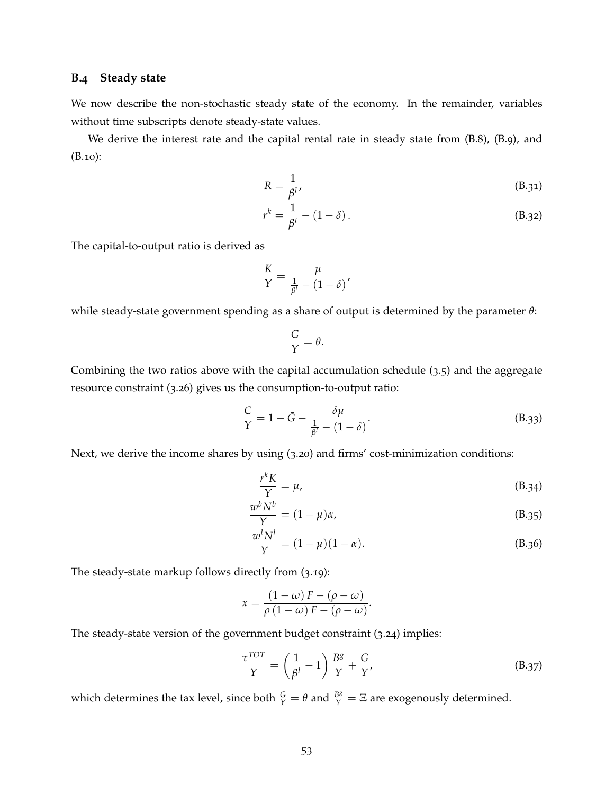### **B.4 Steady state**

We now describe the non-stochastic steady state of the economy. In the remainder, variables without time subscripts denote steady-state values.

We derive the interest rate and the capital rental rate in steady state from [\(B.](#page-49-3)8), (B.9), and [\(B.](#page-49-4)10):

<span id="page-52-0"></span>
$$
R = \frac{1}{\beta^l},\tag{B.31}
$$

$$
r^k = \frac{1}{\beta^l} - (1 - \delta).
$$
 (B.32)

The capital-to-output ratio is derived as

$$
\frac{K}{Y} = \frac{\mu}{\frac{1}{\beta^l} - (1 - \delta)},
$$

while steady-state government spending as a share of output is determined by the parameter *θ*:

$$
\frac{G}{Y} = \theta.
$$

Combining the two ratios above with the capital accumulation schedule ([3](#page-16-1).5) and the aggregate resource constraint (3.[26](#page-21-2)) gives us the consumption-to-output ratio:

<span id="page-52-2"></span>
$$
\frac{C}{Y} = 1 - \bar{G} - \frac{\delta \mu}{\frac{1}{\beta^l} - (1 - \delta)}.
$$
\n(B.33)

Next, we derive the income shares by using (3.[20](#page-20-0)) and firms' cost-minimization conditions:

<span id="page-52-1"></span>
$$
\frac{r^k K}{Y} = \mu,\tag{B.34}
$$

$$
\frac{w^b N^b}{Y} = (1 - \mu)\alpha,\tag{B.35}
$$

$$
\frac{w^l N^l}{Y} = (1 - \mu)(1 - \alpha). \tag{B.36}
$$

The steady-state markup follows directly from (3.[19](#page-19-4)):

$$
x = \frac{(1 - \omega) F - (\rho - \omega)}{\rho (1 - \omega) F - (\rho - \omega)}.
$$

The steady-state version of the government budget constraint (3.[24](#page-20-1)) implies:

$$
\frac{\tau^{TOT}}{\gamma} = \left(\frac{1}{\beta^l} - 1\right) \frac{B^g}{\gamma} + \frac{G}{\gamma'},
$$
 (B.37)

which determines the tax level, since both  $\frac{G}{Y} = \theta$  and  $\frac{Bs}{Y} = \Xi$  are exogenously determined.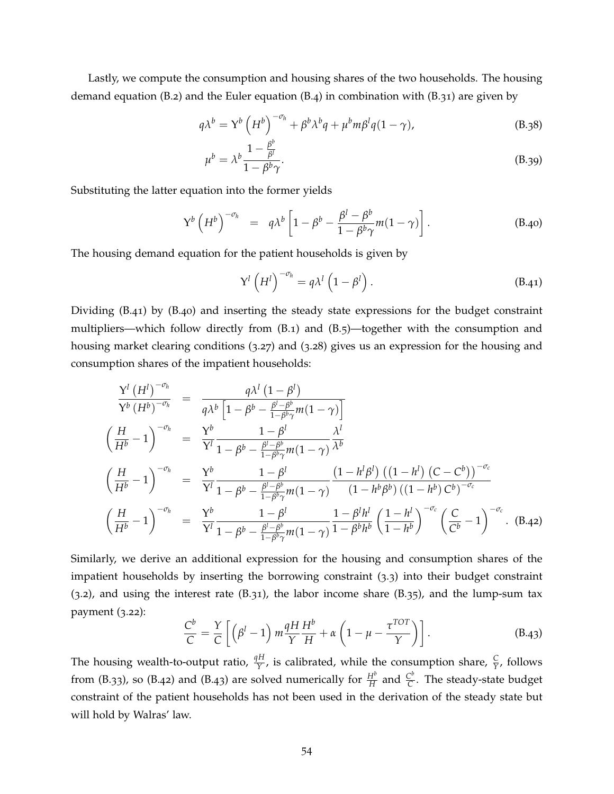Lastly, we compute the consumption and housing shares of the two households. The housing demand equation  $(B.2)$  $(B.2)$  and the Euler equation  $(B.4)$  in combination with  $(B.31)$  are given by

$$
q\lambda^{b} = Y^{b} \left(H^{b}\right)^{-\sigma_{h}} + \beta^{b} \lambda^{b} q + \mu^{b} m \beta^{l} q (1 - \gamma), \qquad (B.38)
$$

$$
\mu^b = \lambda^b \frac{1 - \frac{\beta^v}{\beta^l}}{1 - \beta^b \gamma}.
$$
\n(B.39)

Substituting the latter equation into the former yields

<span id="page-53-1"></span>
$$
Y^{b} \left(H^{b}\right)^{-\sigma_{h}} = q\lambda^{b} \left[1 - \beta^{b} - \frac{\beta^{l} - \beta^{b}}{1 - \beta^{b}\gamma}m(1 - \gamma)\right]. \tag{B.40}
$$

The housing demand equation for the patient households is given by

<span id="page-53-4"></span><span id="page-53-0"></span>
$$
Y^{l} \left(H^{l}\right)^{-\sigma_{h}} = q \lambda^{l} \left(1 - \beta^{l}\right). \tag{B.41}
$$

Dividing [\(B.](#page-53-0)41) by [\(B.](#page-53-1)40) and inserting the steady state expressions for the budget constraint multipliers—which follow directly from  $(B.1)$  $(B.1)$  and  $(B.5)$ —together with the consumption and housing market clearing conditions (3.[27](#page-21-3)) and (3.[28](#page-21-4)) gives us an expression for the housing and consumption shares of the impatient households:

<span id="page-53-2"></span>
$$
\frac{Y^{l} (H^{l})^{-\sigma_{h}}}{Y^{b} (H^{b})^{-\sigma_{h}}} = \frac{q\lambda^{l} (1 - \beta^{l})}{q\lambda^{b} [1 - \beta^{b} - \frac{\beta^{l} - \beta^{b}}{1 - \beta^{b} \gamma} m(1 - \gamma)]}
$$
\n
$$
\left(\frac{H}{H^{b}} - 1\right)^{-\sigma_{h}} = \frac{Y^{b}}{Y^{l}} \frac{1 - \beta^{l}}{1 - \beta^{b} - \frac{\beta^{l} - \beta^{b}}{1 - \beta^{b} \gamma} m(1 - \gamma)}{\lambda^{l}}
$$
\n
$$
\left(\frac{H}{H^{b}} - 1\right)^{-\sigma_{h}} = \frac{Y^{b}}{Y^{l}} \frac{1 - \beta^{l}}{1 - \beta^{b} - \frac{\beta^{l} - \beta^{b}}{1 - \beta^{b} \gamma} m(1 - \gamma)} \frac{(1 - h^{l}\beta^{l}) ((1 - h^{l}) (C - C^{b}))^{-\sigma_{c}}}{(1 - h^{b}\beta^{b}) ((1 - h^{b}) C^{b})^{-\sigma_{c}}}
$$
\n
$$
\left(\frac{H}{H^{b}} - 1\right)^{-\sigma_{h}} = \frac{Y^{b}}{Y^{l}} \frac{1 - \beta^{l}}{1 - \beta^{b} - \frac{\beta^{l} - \beta^{b}}{1 - \beta^{b} \gamma} m(1 - \gamma)} \frac{1 - \beta^{l} h^{l}}{1 - \beta^{l} h^{l}} \left(\frac{1 - h^{l}}{1 - h^{b}}\right)^{-\sigma_{c}} \left(\frac{C}{C^{b}} - 1\right)^{-\sigma_{c}}.
$$
\n(B.42)

Similarly, we derive an additional expression for the housing and consumption shares of the impatient households by inserting the borrowing constraint ([3](#page-16-0).3) into their budget constraint  $(3.2)$  $(3.2)$  $(3.2)$ , and using the interest rate  $(B.31)$  $(B.31)$ , the labor income share  $(B.35)$ , and the lump-sum tax payment (3.[22](#page-20-2)):

<span id="page-53-3"></span>
$$
\frac{C^b}{C} = \frac{Y}{C} \left[ \left( \beta^l - 1 \right) m \frac{qH}{Y} \frac{H^b}{H} + \alpha \left( 1 - \mu - \frac{\tau^{TOT}}{Y} \right) \right]. \tag{B.43}
$$

The housing wealth-to-output ratio,  $\frac{qH}{Y}$ , is calibrated, while the consumption share,  $\frac{C}{Y}$ , follows from [\(B.](#page-53-3)33), so (B.42) and (B.43) are solved numerically for  $\frac{H^b}{H}$  and  $\frac{C^b}{C}$  $\check{\overline{C}}$ . The steady-state budget constraint of the patient households has not been used in the derivation of the steady state but will hold by Walras' law.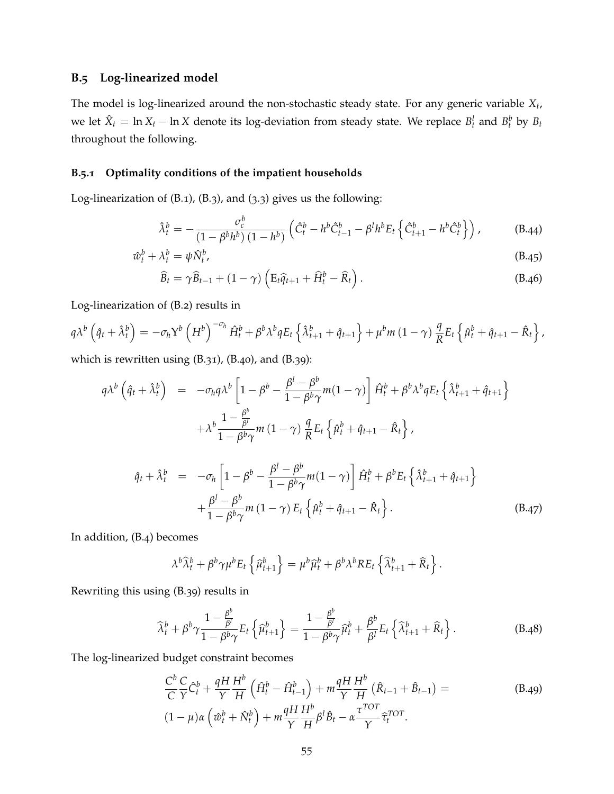# **B.5 Log-linearized model**

The model is log-linearized around the non-stochastic steady state. For any generic variable *X<sup>t</sup>* , we let  $\hat{X}_t = \ln X_t - \ln X$  denote its log-deviation from steady state. We replace  $B_t^l$  and  $B_t^b$  by  $B_t$ throughout the following.

### **B.5.1 Optimality conditions of the impatient households**

Log-linearization of [\(B.](#page-49-7)1), [\(B.](#page-49-9)3), and ([3](#page-16-0).3) gives us the following:

<span id="page-54-0"></span>
$$
\hat{\lambda}_t^b = -\frac{\sigma_c^b}{(1 - \beta^b h^b) (1 - h^b)} \left( \hat{C}_t^b - h^b \hat{C}_{t-1}^b - \beta^l h^b E_t \left\{ \hat{C}_{t+1}^b - h^b \hat{C}_t^b \right\} \right), \tag{B.44}
$$

$$
\hat{w}_t^b + \lambda_t^b = \psi \hat{N}_t^b, \tag{B.45}
$$

$$
\widehat{B}_t = \gamma \widehat{B}_{t-1} + (1 - \gamma) \left( E_t \widehat{q}_{t+1} + \widehat{H}_t^b - \widehat{R}_t \right).
$$
 (B.46)

Log-linearization of [\(B.](#page-49-5)2) results in

$$
q\lambda^{b}\left(\hat{q}_{t}+\hat{\lambda}_{t}^{b}\right)=-\sigma_{h}\Upsilon^{b}\left(H^{b}\right)^{-\sigma_{h}}\hat{H}_{t}^{b}+\beta^{b}\lambda^{b}qE_{t}\left\{\hat{\lambda}_{t+1}^{b}+\hat{q}_{t+1}\right\}+\mu^{b}m\left(1-\gamma\right)\frac{q}{R}E_{t}\left\{\hat{\mu}_{t}^{b}+\hat{q}_{t+1}-\hat{R}_{t}\right\},\,
$$

which is rewritten using [\(B.](#page-52-0)31), [\(B.](#page-53-1)40), and [\(B.](#page-53-4)39):

$$
q\lambda^{b} \left(\hat{q}_{t} + \hat{\lambda}_{t}^{b}\right) = -\sigma_{h}q\lambda^{b} \left[1 - \beta^{b} - \frac{\beta^{l} - \beta^{b}}{1 - \beta^{b}\gamma}m(1 - \gamma)\right]\hat{H}_{t}^{b} + \beta^{b}\lambda^{b}qE_{t}\left\{\hat{\lambda}_{t+1}^{b} + \hat{q}_{t+1}\right\}
$$

$$
+ \lambda^{b} \frac{1 - \frac{\beta^{b}}{\beta^{l}}}{1 - \beta^{b}\gamma}m(1 - \gamma)\frac{q}{R}E_{t}\left\{\hat{\mu}_{t}^{b} + \hat{q}_{t+1} - \hat{R}_{t}\right\},
$$

$$
\hat{q}_{t} + \hat{\lambda}_{t}^{b} = -\sigma_{h}\left[1 - \beta^{b} - \frac{\beta^{l} - \beta^{b}}{1 - \beta^{b}\gamma}m(1 - \gamma)\right]\hat{H}_{t}^{b} + \beta^{b}E_{t}\left\{\hat{\lambda}_{t+1}^{b} + \hat{q}_{t+1}\right\}
$$

$$
+ \frac{\beta^{l} - \beta^{b}}{1 - \beta^{b}\gamma}m(1 - \gamma)E_{t}\left\{\hat{\mu}_{t}^{b} + \hat{q}_{t+1} - \hat{R}_{t}\right\}.
$$
(B.47)

In addition, [\(B.](#page-49-6)4) becomes

$$
\lambda^{b}\widehat{\lambda}_{t}^{b}+\beta^{b}\gamma\mu^{b}E_{t}\left\{\widehat{\mu}_{t+1}^{b}\right\}=\mu^{b}\widehat{\mu}_{t}^{b}+\beta^{b}\lambda^{b}RE_{t}\left\{\widehat{\lambda}_{t+1}^{b}+\widehat{R}_{t}\right\}.
$$

Rewriting this using [\(B.](#page-53-4)39) results in

$$
\widehat{\lambda}_t^b + \beta^b \gamma \frac{1 - \frac{\beta^b}{\beta^l}}{1 - \beta^b \gamma} E_t \left\{ \widehat{\mu}_{t+1}^b \right\} = \frac{1 - \frac{\beta^b}{\beta^l}}{1 - \beta^b \gamma} \widehat{\mu}_t^b + \frac{\beta^b}{\beta^l} E_t \left\{ \widehat{\lambda}_{t+1}^b + \widehat{R}_t \right\}.
$$
 (B.48)

The log-linearized budget constraint becomes

$$
\frac{C^b}{C}\frac{C}{Y}\hat{C}_t^b + \frac{qH}{Y}\frac{H^b}{H}\left(\hat{H}_t^b - \hat{H}_{t-1}^b\right) + m\frac{qH}{Y}\frac{H^b}{H}\left(\hat{R}_{t-1} + \hat{B}_{t-1}\right) =
$$
\n
$$
(1 - \mu)\alpha\left(\hat{w}_t^b + \hat{N}_t^b\right) + m\frac{qH}{Y}\frac{H^b}{H}\beta^l\hat{B}_t - \alpha\frac{\tau^{TOT}}{Y}\hat{\tau}_t^{TOT}.
$$
\n(B.49)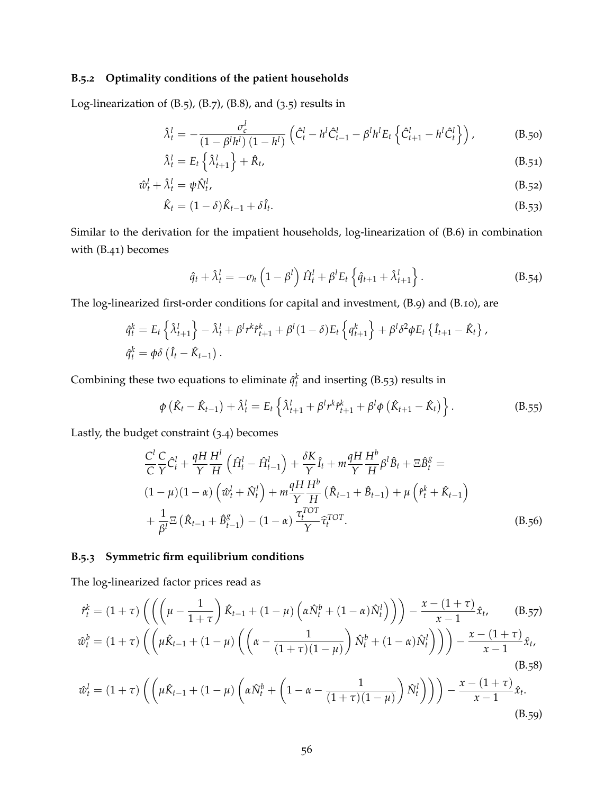### **B.5.2 Optimality conditions of the patient households**

Log-linearization of  $(B.5)$  $(B.5)$ ,  $(B.7)$ ,  $(B.8)$ , and  $(3.5)$  $(3.5)$  $(3.5)$  results in

$$
\hat{\lambda}_t^l = -\frac{\sigma_c^l}{(1 - \beta^l h^l) (1 - h^l)} \left( \hat{C}_t^l - h^l \hat{C}_{t-1}^l - \beta^l h^l E_t \left\{ \hat{C}_{t+1}^l - h^l \hat{C}_t^l \right\} \right),
$$
(B.50)

$$
\hat{\lambda}_t^l = E_t \left\{ \hat{\lambda}_{t+1}^l \right\} + \hat{R}_t, \tag{B.51}
$$

$$
\hat{w}_t^l + \hat{\lambda}_t^l = \psi \hat{N}_t^l,\tag{B.52}
$$

$$
\hat{K}_t = (1 - \delta)\hat{K}_{t-1} + \delta\hat{I}_t.
$$
\n(B.53)

Similar to the derivation for the impatient households, log-linearization of [\(B.](#page-49-1)6) in combination with [\(B.](#page-53-0)41) becomes

<span id="page-55-1"></span><span id="page-55-0"></span>
$$
\hat{q}_t + \hat{\lambda}_t^l = -\sigma_h \left(1 - \beta^l\right) \hat{H}_t^l + \beta^l E_t \left\{\hat{q}_{t+1} + \hat{\lambda}_{t+1}^l\right\}.
$$
\n(B.54)

The log-linearized first-order conditions for capital and investment, [\(B.](#page-49-3)9) and [\(B.](#page-49-4)10), are

$$
\hat{q}_t^k = E_t \left\{ \hat{\lambda}_{t+1}^l \right\} - \hat{\lambda}_t^l + \beta^l r^k \hat{r}_{t+1}^k + \beta^l (1-\delta) E_t \left\{ q_{t+1}^k \right\} + \beta^l \delta^2 \phi E_t \left\{ \hat{I}_{t+1} - \hat{K}_t \right\},
$$
  

$$
\hat{q}_t^k = \phi \delta \left( \hat{I}_t - \hat{K}_{t-1} \right).
$$

Combining these two equations to eliminate  $\hat{q}_t^k$  and inserting [\(B.](#page-55-0)53) results in

$$
\phi\left(\hat{K}_t - \hat{K}_{t-1}\right) + \hat{\lambda}_t^l = E_t \left\{ \hat{\lambda}_{t+1}^l + \beta^l r^k \hat{r}_{t+1}^k + \beta^l \phi\left(\hat{K}_{t+1} - \hat{K}_t\right) \right\}.
$$
\n(B.55)

Lastly, the budget constraint ([3](#page-16-3).4) becomes

$$
\frac{C^l}{C} \frac{C}{Y} \hat{C}_t^l + \frac{qH}{Y} \frac{H^l}{H} \left( \hat{H}_t^l - \hat{H}_{t-1}^l \right) + \frac{\delta K}{Y} \hat{I}_t + m \frac{qH}{Y} \frac{H^b}{H} \beta^l \hat{B}_t + \Xi \hat{B}_t^g =
$$
\n
$$
(1 - \mu)(1 - \alpha) \left( \hat{w}_t^l + \hat{N}_t^l \right) + m \frac{qH}{Y} \frac{H^b}{H} \left( \hat{R}_{t-1} + \hat{B}_{t-1} \right) + \mu \left( \hat{r}_t^k + \hat{K}_{t-1} \right)
$$
\n
$$
+ \frac{1}{\beta^l} \Xi \left( \hat{R}_{t-1} + \hat{B}_{t-1}^g \right) - (1 - \alpha) \frac{\tau_t^{TOT}}{Y} \hat{\tau}_t^{TOT}.
$$
\n(B.56)

### **B.5.3 Symmetric firm equilibrium conditions**

The log-linearized factor prices read as

$$
\hat{r}_t^k = (1+\tau) \left( \left( \left( \mu - \frac{1}{1+\tau} \right) \hat{K}_{t-1} + (1-\mu) \left( \alpha \hat{N}_t^b + (1-\alpha) \hat{N}_t^l \right) \right) \right) - \frac{x - (1+\tau)}{x-1} \hat{x}_t, \qquad (B.57)
$$
  

$$
\hat{w}_t^b = (1+\tau) \left( \left( \mu \hat{K}_{t-1} + (1-\mu) \left( \left( \alpha - \frac{1}{(1+\tau)(1-\mu)} \right) \hat{N}_t^b + (1-\alpha) \hat{N}_t^l \right) \right) \right) - \frac{x - (1+\tau)}{x-1} \hat{x}_t, \qquad (B.58)
$$

<span id="page-55-2"></span>
$$
\hat{\omega}_t^l = (1+\tau) \left( \left( \mu \hat{K}_{t-1} + (1-\mu) \left( \alpha \hat{N}_t^b + \left( 1 - \alpha - \frac{1}{(1+\tau)(1-\mu)} \right) \hat{N}_t^l \right) \right) \right) - \frac{x - (1+\tau)}{x-1} \hat{x}_t.
$$
\n(B.59)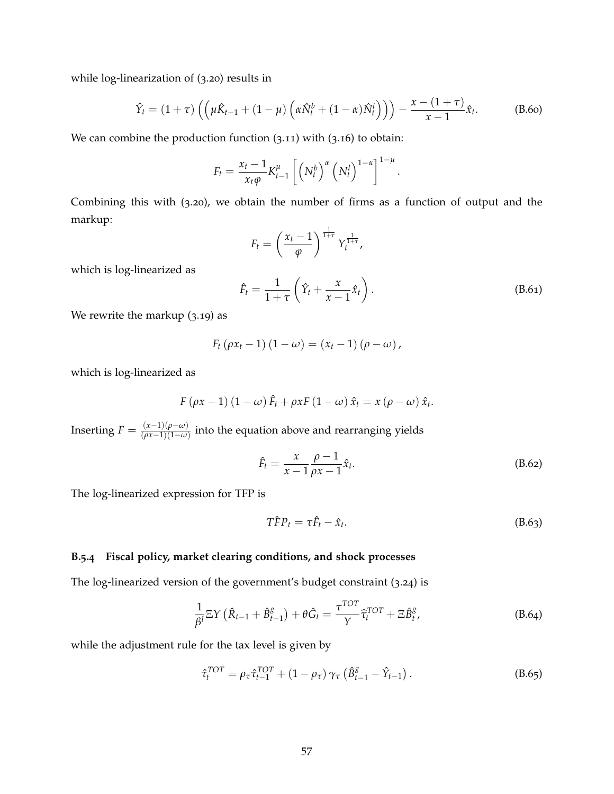while log-linearization of (3.[20](#page-20-0)) results in

<span id="page-56-0"></span>
$$
\hat{Y}_t = (1+\tau) \left( \left( \mu \hat{K}_{t-1} + (1-\mu) \left( \alpha \hat{N}_t^b + (1-\alpha) \hat{N}_t^l \right) \right) \right) - \frac{x - (1+\tau)}{x-1} \hat{x}_t.
$$
 (B.60)

We can combine the production function  $(3.11)$  $(3.11)$  $(3.11)$  with  $(3.16)$  $(3.16)$  $(3.16)$  to obtain:

$$
F_t = \frac{x_t - 1}{x_t \varphi} K_{t-1}^{\mu} \left[ \left( N_t^b \right)^{\alpha} \left( N_t^l \right)^{1-\alpha} \right]^{1-\mu}.
$$

Combining this with (3.[20](#page-20-0)), we obtain the number of firms as a function of output and the markup:

$$
F_t = \left(\frac{x_t - 1}{\varphi}\right)^{\frac{1}{1+\tau}} Y_t^{\frac{1}{1+\tau}},
$$

which is log-linearized as

<span id="page-56-1"></span>
$$
\hat{F}_t = \frac{1}{1+\tau} \left( \hat{Y}_t + \frac{x}{x-1} \hat{x}_t \right). \tag{B.61}
$$

We rewrite the markup (3.[19](#page-19-4)) as

$$
F_t (\rho x_t - 1) (1 - \omega) = (x_t - 1) (\rho - \omega),
$$

which is log-linearized as

$$
F(\rho x - 1) (1 - \omega) \hat{F}_t + \rho x F (1 - \omega) \hat{x}_t = x (\rho - \omega) \hat{x}_t.
$$

Inserting  $F = \frac{(x-1)(\rho-\omega)}{(\rho x-1)(1-\omega)}$ (*ρx*−1)(1−*ω*) into the equation above and rearranging yields

<span id="page-56-2"></span>
$$
\hat{F}_t = \frac{x}{x-1} \frac{\rho-1}{\rho x-1} \hat{x}_t.
$$
\n(B.62)

The log-linearized expression for TFP is

$$
T\hat{F}P_t = \tau \hat{F}_t - \hat{x}_t. \tag{B.63}
$$

### **B.5.4 Fiscal policy, market clearing conditions, and shock processes**

The log-linearized version of the government's budget constraint (3.[24](#page-20-1)) is

$$
\frac{1}{\beta^l} \Xi Y \left( \hat{R}_{t-1} + \hat{B}_{t-1}^g \right) + \theta \hat{G}_t = \frac{\tau^{TOT}}{\gamma} \hat{\tau}_t^{TOT} + \Xi \hat{B}_t^g, \tag{B.64}
$$

while the adjustment rule for the tax level is given by

$$
\hat{\tau}_t^{TOT} = \rho_\tau \hat{\tau}_{t-1}^{TOT} + (1 - \rho_\tau) \gamma_\tau \left( \hat{B}_{t-1}^g - \hat{Y}_{t-1} \right). \tag{B.65}
$$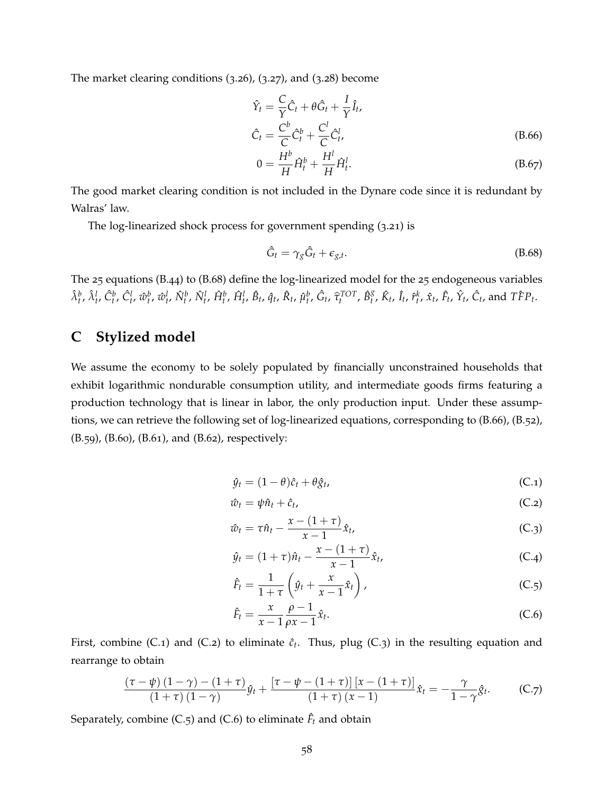The market clearing conditions (3.[26](#page-21-2)), (3.[27](#page-21-3)), and (3.[28](#page-21-4)) become

$$
\hat{Y}_t = \frac{C}{\gamma} \hat{C}_t + \theta \hat{G}_t + \frac{I}{\gamma} \hat{I}_t,
$$
\n
$$
\hat{C}_t = \frac{C^b}{C} \hat{C}_t^b + \frac{C^l}{C} \hat{C}_t^l,
$$
\n(B.66)

<span id="page-57-2"></span>
$$
0 = \frac{H^b}{H}\hat{H}_t^b + \frac{H^l}{H}\hat{H}_t^l.
$$
 (B.67)

The good market clearing condition is not included in the Dynare code since it is redundant by Walras' law.

The log-linearized shock process for government spending (3.[21](#page-20-3)) is

<span id="page-57-1"></span>
$$
\hat{G}_t = \gamma_g \hat{G}_t + \epsilon_{g,t}.
$$
\n(B.68)

The 25 equations [\(B.](#page-54-0)44) to [\(B.](#page-57-1)68) define the log-linearized model for the 25 endogeneous variables  $\hat{\lambda}^b_t$ ,  $\hat{\lambda}^l_t$ ,  $\hat{C}^b_t$ ,  $\hat{C}^l_t$ ,  $\hat{w}^b_t$ ,  $\hat{W}^l_t$ ,  $\hat{N}^l_t$ ,  $\hat{H}^b_t$ ,  $\hat{H}^l_t$ ,  $\hat{B}_t$ ,  $\hat{q}_t$ ,  $\hat{R}_t$ ,  $\hat{\mu}^b_t$ ,  $\hat{G}_t$ ,  $\hat{\tau}^{TOT}_t$ ,  $\hat{B}^g_t$  ${}_{t}^{g}$ ,  $\hat{K}_{t}$ ,  $\hat{I}_{t}$ ,  $\hat{r}_{t}^{k}$ ,  $\hat{x}_{t}$ ,  $\hat{F}_{t}$ ,  $\hat{Y}_{t}$ ,  $\hat{C}_{t}$ , and  $T\hat{F}P_{t}$ .

# <span id="page-57-0"></span>**C Stylized model**

We assume the economy to be solely populated by financially unconstrained households that exhibit logarithmic nondurable consumption utility, and intermediate goods firms featuring a production technology that is linear in labor, the only production input. Under these assumptions, we can retrieve the following set of log-linearized equations, corresponding to [\(B.](#page-57-2)66), [\(B.](#page-55-1)52), [\(B.](#page-55-2)59), [\(B.](#page-56-0)60), [\(B.](#page-56-1)61), and [\(B.](#page-56-2)62), respectively:

<span id="page-57-5"></span><span id="page-57-4"></span><span id="page-57-3"></span>
$$
\hat{y}_t = (1 - \theta)\hat{c}_t + \theta \hat{g}_t, \tag{C.1}
$$

$$
\hat{w}_t = \psi \hat{n}_t + \hat{c}_t, \tag{C.2}
$$

$$
\hat{w}_t = \tau \hat{n}_t - \frac{x - (1 + \tau)}{x - 1} \hat{x}_t, \tag{C.3}
$$

$$
\hat{y}_t = (1+\tau)\hat{n}_t - \frac{x - (1+\tau)}{x-1}\hat{x}_t, \tag{C.4}
$$

<span id="page-57-6"></span>
$$
\hat{F}_t = \frac{1}{1+\tau} \left( \hat{y}_t + \frac{x}{x-1} \hat{x}_t \right), \tag{C.5}
$$

<span id="page-57-7"></span>
$$
\hat{F}_t = \frac{x}{x-1} \frac{\rho-1}{\rho x-1} \hat{x}_t.
$$
\n(C.6)

First, combine [\(C.](#page-57-5)1) and (C.2) to eliminate  $\hat{c}_t$ . Thus, plug (C.3) in the resulting equation and rearrange to obtain

<span id="page-57-8"></span>
$$
\frac{\left(\tau-\psi\right)\left(1-\gamma\right)-\left(1+\tau\right)}{\left(1+\tau\right)\left(1-\gamma\right)}\hat{y}_t + \frac{\left[\tau-\psi-\left(1+\tau\right)\right]\left[x-\left(1+\tau\right)\right]}{\left(1+\tau\right)\left(x-1\right)}\hat{x}_t = -\frac{\gamma}{1-\gamma}\hat{g}_t.
$$
 (C.7)

Separately, combine [\(C.](#page-57-7)5) and (C.6) to eliminate  $\hat{F}_t$  and obtain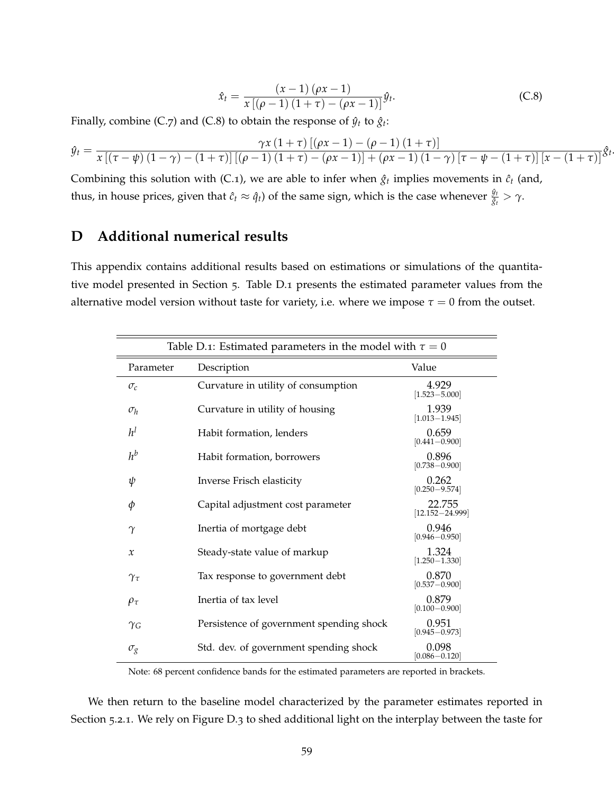<span id="page-58-1"></span>
$$
\hat{x}_t = \frac{(x-1)(\rho x - 1)}{x[(\rho - 1)(1+\tau) - (\rho x - 1)]}\hat{y}_t.
$$
 (C.8)

.

Finally, combine [\(C.](#page-58-1)7) and (C.8) to obtain the response of  $\hat{y}_t$  to  $\hat{g}_t$ :

$$
\hat{y}_t = \frac{\gamma x (1+\tau) [(\rho x - 1) - (\rho - 1) (1+\tau)]}{x [(\tau - \psi) (1-\gamma) - (1+\tau)] [(\rho - 1) (1+\tau) - (\rho x - 1)] + (\rho x - 1) (1-\gamma) [\tau - \psi - (1+\tau)] [x - (1+\tau)]} \hat{\mathcal{S}}_t
$$

Combining this solution with [\(C.](#page-57-3)1), we are able to infer when  $\hat{g}_t$  implies movements in  $\hat{c}_t$  (and, thus, in house prices, given that  $\hat{c}_t \approx \hat{q}_t$ ) of the same sign, which is the case whenever  $\frac{\hat{y}_t}{\hat{g}_t} > \gamma$ .

# <span id="page-58-0"></span>**D Additional numerical results**

This appendix contains additional results based on estimations or simulations of the quantitative model presented in Section [5](#page-23-0). Table D.1 presents the estimated parameter values from the alternative model version without taste for variety, i.e. where we impose  $\tau = 0$  from the outset.

| Table D.1: Estimated parameters in the model with $\tau = 0$ |                                          |                               |  |  |  |
|--------------------------------------------------------------|------------------------------------------|-------------------------------|--|--|--|
| Parameter                                                    | Description                              | Value                         |  |  |  |
| $\sigma_c$                                                   | Curvature in utility of consumption      | 4.929<br>$[1.523 - 5.000]$    |  |  |  |
| $\sigma_h$                                                   | Curvature in utility of housing          | 1.939<br>$[1.013 - 1.945]$    |  |  |  |
| $h^{l}$                                                      | Habit formation, lenders                 | 0.659<br>$[0.441 - 0.900]$    |  |  |  |
| $h^b$                                                        | Habit formation, borrowers               | 0.896<br>$[0.738 - 0.900]$    |  |  |  |
| ψ                                                            | Inverse Frisch elasticity                | 0.262<br>$[0.250 - 9.574]$    |  |  |  |
| φ                                                            | Capital adjustment cost parameter        | 22.755<br>$[12.152 - 24.999]$ |  |  |  |
| $\gamma$                                                     | Inertia of mortgage debt                 | 0.946<br>$[0.946 - 0.950]$    |  |  |  |
| $\mathcal{X}$                                                | Steady-state value of markup             | 1.324<br>$[1.250 - 1.330]$    |  |  |  |
| $\gamma_\tau$                                                | Tax response to government debt          | 0.870<br>$[0.537 - 0.900]$    |  |  |  |
| $\rho_{\tau}$                                                | Inertia of tax level                     | 0.879<br>$[0.100 - 0.900]$    |  |  |  |
| $\gamma_G$                                                   | Persistence of government spending shock | 0.951<br>$[0.945 - 0.973]$    |  |  |  |
| $\sigma_g$                                                   | Std. dev. of government spending shock   | 0.098<br>$[0.086 - 0.120]$    |  |  |  |

Note: 68 percent confidence bands for the estimated parameters are reported in brackets.

We then return to the baseline model characterized by the parameter estimates reported in Section [5](#page-26-4).2.1. We rely on Figure D.3 to shed additional light on the interplay between the taste for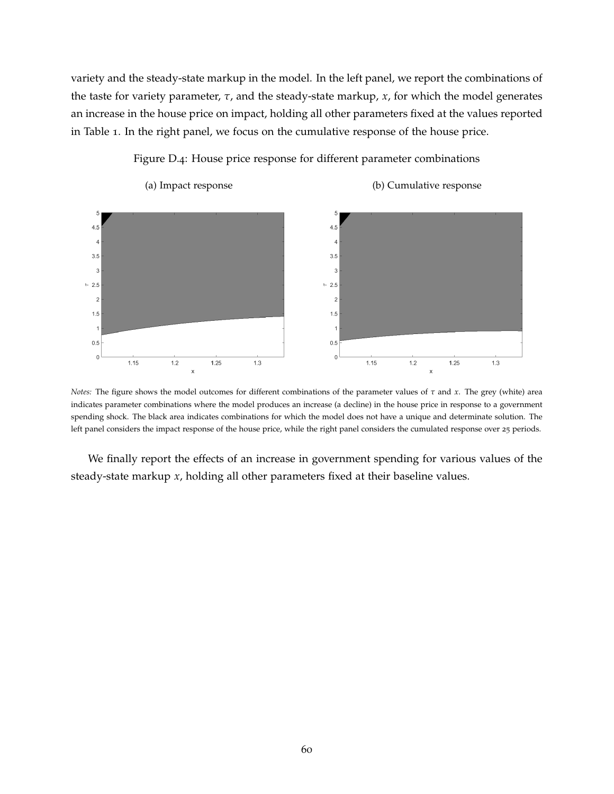variety and the steady-state markup in the model. In the left panel, we report the combinations of the taste for variety parameter, *τ*, and the steady-state markup, *x*, for which the model generates an increase in the house price on impact, holding all other parameters fixed at the values reported in Table 1. In the right panel, we focus on the cumulative response of the house price.



Figure D.4: House price response for different parameter combinations

*Notes:* The figure shows the model outcomes for different combinations of the parameter values of *τ* and *x*. The grey (white) area indicates parameter combinations where the model produces an increase (a decline) in the house price in response to a government spending shock. The black area indicates combinations for which the model does not have a unique and determinate solution. The left panel considers the impact response of the house price, while the right panel considers the cumulated response over 25 periods.

We finally report the effects of an increase in government spending for various values of the steady-state markup *x*, holding all other parameters fixed at their baseline values.